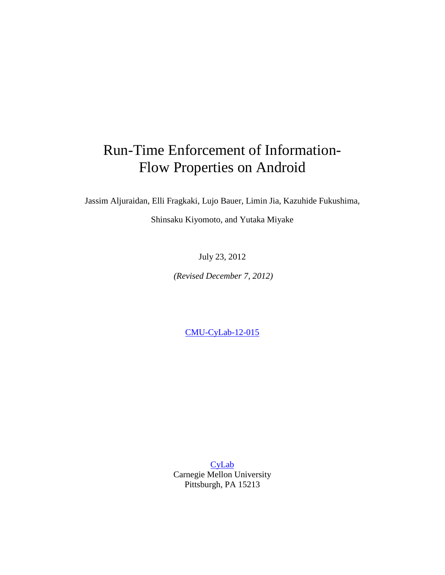# Run-Time Enforcement of Information-Flow Properties on Android

Jassim Aljuraidan, Elli Fragkaki, Lujo Bauer, Limin Jia, Kazuhide Fukushima,

Shinsaku Kiyomoto, and Yutaka Miyake

July 23, 2012

*(Revised December 7, 2012)*

[CMU-CyLab-12-015](http://www.cylab.cmu.edu/research/techreports/2012/tr_cylab12015.html)

[CyLab](http://www.cylab.cmu.edu/) Carnegie Mellon University Pittsburgh, PA 15213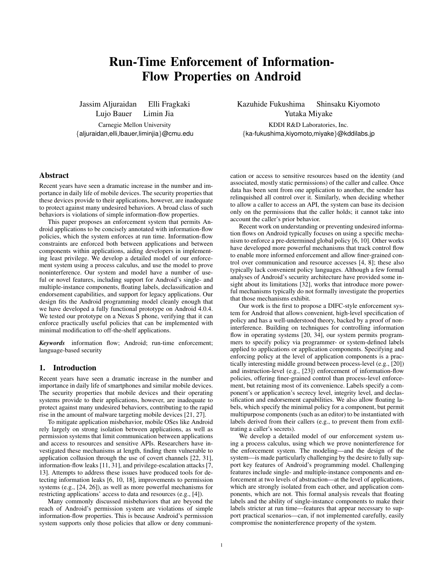## Run-Time Enforcement of Information-Flow Properties on Android

Jassim Aljuraidan Elli Fragkaki Lujo Bauer Limin Jia

Carnegie Mellon University {aljuraidan,elli,lbauer,liminjia}@cmu.edu Kazuhide Fukushima Shinsaku Kiyomoto Yutaka Miyake

KDDI R&D Laboratories, Inc. {ka-fukushima,kiyomoto,miyake}@kddilabs.jp

## Abstract

Recent years have seen a dramatic increase in the number and importance in daily life of mobile devices. The security properties that these devices provide to their applications, however, are inadequate to protect against many undesired behaviors. A broad class of such behaviors is violations of simple information-flow properties.

This paper proposes an enforcement system that permits Android applications to be concisely annotated with information-flow policies, which the system enforces at run time. Information-flow constraints are enforced both between applications and between components within applications, aiding developers in implementing least privilege. We develop a detailed model of our enforcement system using a process calculus, and use the model to prove noninterference. Our system and model have a number of useful or novel features, including support for Android's single- and multiple-instance components, floating labels, declassification and endorsement capabilities, and support for legacy applications. Our design fits the Android programming model cleanly enough that we have developed a fully functional prototype on Android 4.0.4. We tested our prototype on a Nexus S phone, verifying that it can enforce practically useful policies that can be implemented with minimal modification to off-the-shelf applications.

*Keywords* information flow; Android; run-time enforcement; language-based security

## 1. Introduction

Recent years have seen a dramatic increase in the number and importance in daily life of smartphones and similar mobile devices. The security properties that mobile devices and their operating systems provide to their applications, however, are inadequate to protect against many undesired behaviors, contributing to the rapid rise in the amount of malware targeting mobile devices [21, 27].

To mitigate application misbehavior, mobile OSes like Android rely largely on strong isolation between applications, as well as permission systems that limit communication between applications and access to resources and sensitive APIs. Researchers have investigated these mechanisms at length, finding them vulnerable to application collusion through the use of covert channels [22, 31], information-flow leaks [11, 31], and privilege-escalation attacks [7, 13]. Attempts to address these issues have produced tools for detecting information leaks [6, 10, 18], improvements to permission systems (e.g., [24, 26]), as well as more powerful mechanisms for restricting applications' access to data and resources (e.g., [4]).

Many commonly discussed misbehaviors that are beyond the reach of Android's permission system are violations of simple information-flow properties. This is because Android's permission system supports only those policies that allow or deny communi-

cation or access to sensitive resources based on the identity (and associated, mostly static permissions) of the caller and callee. Once data has been sent from one application to another, the sender has relinquished all control over it. Similarly, when deciding whether to allow a caller to access an API, the system can base its decision only on the permissions that the caller holds; it cannot take into account the caller's prior behavior.

Recent work on understanding or preventing undesired information flows on Android typically focuses on using a specific mechanism to enforce a pre-determined global policy [6, 10]. Other works have developed more powerful mechanisms that track control flow to enable more informed enforcement and allow finer-grained control over communication and resource accesses [4, 8]; these also typically lack convenient policy languages. Although a few formal analyses of Android's security architecture have provided some insight about its limitations [32], works that introduce more powerful mechanisms typically do not formally investigate the properties that those mechanisms exhibit.

Our work is the first to propose a DIFC-style enforcement system for Android that allows convenient, high-level specification of policy and has a well-understood theory, backed by a proof of noninterference. Building on techniques for controlling information flow in operating systems [20, 34], our system permits programmers to specify policy via programmer- or system-defined labels applied to applications or application components. Specifying and enforcing policy at the level of application components is a practically interesting middle ground between process-level (e.g., [20]) and instruction-level (e.g., [23]) enforcement of information-flow policies, offering finer-grained control than process-level enforcement, but retaining most of its convenience. Labels specify a component's or application's secrecy level, integrity level, and declassification and endorsement capabilities. We also allow floating labels, which specify the minimal policy for a component, but permit multipurpose components (such as an editor) to be instantiated with labels derived from their callers (e.g., to prevent them from exfiltrating a caller's secrets).

We develop a detailed model of our enforcement system using a process calculus, using which we prove noninterference for the enforcement system. The modeling—and the design of the system—is made particularly challenging by the desire to fully support key features of Android's programming model. Challenging features include single- and multiple-instance components and enforcement at two levels of abstraction—at the level of applications, which are strongly isolated from each other, and application components, which are not. This formal analysis reveals that floating labels and the ability of single-instance components to make their labels stricter at run time—features that appear necessary to support practical scenarios—can, if not implemented carefully, easily compromise the noninterference property of the system.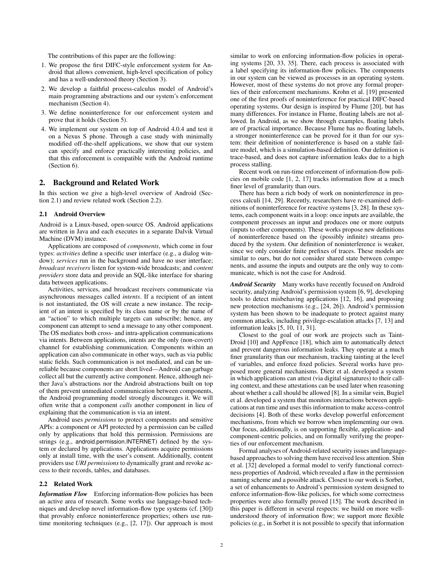The contributions of this paper are the following:

- 1. We propose the first DIFC-style enforcement system for Android that allows convenient, high-level specification of policy and has a well-understood theory (Section 3).
- 2. We develop a faithful process-calculus model of Android's main programming abstractions and our system's enforcement mechanism (Section 4).
- 3. We define noninterference for our enforcement system and prove that it holds (Section 5).
- 4. We implement our system on top of Android 4.0.4 and test it on a Nexus S phone. Through a case study with minimally modified off-the-shelf applications, we show that our system can specify and enforce practically interesting policies, and that this enforcement is compatible with the Android runtime (Section 6).

#### 2. Background and Related Work

In this section we give a high-level overview of Android (Section 2.1) and review related work (Section 2.2).

#### 2.1 Android Overview

Android is a Linux-based, open-source OS. Android applications are written in Java and each executes in a separate Dalvik Virtual Machine (DVM) instance.

Applications are composed of *components*, which come in four types: *activities* define a specific user interface (e.g., a dialog window); *services* run in the background and have no user interface; *broadcast receivers* listen for system-wide broadcasts; and *content providers* store data and provide an SQL-like interface for sharing data between applications.

Activities, services, and broadcast receivers communicate via asynchronous messages called *intents*. If a recipient of an intent is not instantiated, the OS will create a new instance. The recipient of an intent is specified by its class name or by the name of an "action" to which multiple targets can subscribe; hence, any component can attempt to send a message to any other component. The OS mediates both cross- and intra-application communications via intents. Between applications, intents are the only (non-covert) channel for establishing communication. Components within an application can also communicate in other ways, such as via public static fields. Such communication is not mediated, and can be unreliable because components are short lived—Android can garbage collect all but the currently active component. Hence, although neither Java's abstractions nor the Android abstractions built on top of them prevent unmediated communication between components, the Android programming model strongly discourages it. We will often write that a component *calls* another component in lieu of explaining that the communication is via an intent.

Android uses *permissions* to protect components and sensitive APIs: a component or API protected by a permission can be called only by applications that hold this permission. Permissions are strings (e.g., android.permission.INTERNET) defined by the system or declared by applications. Applications acquire permissions only at install time, with the user's consent. Additionally, content providers use *URI permissions* to dynamically grant and revoke access to their records, tables, and databases.

#### 2.2 Related Work

*Information Flow* Enforcing information-flow policies has been an active area of research. Some works use language-based techniques and develop novel information-flow type systems (cf. [30]) that provably enforce noninterference properties; others use runtime monitoring techniques (e.g., [2, 17]). Our approach is most

similar to work on enforcing information-flow policies in operating systems [20, 33, 35]. There, each process is associated with a label specifying its information-flow policies. The components in our system can be viewed as processes in an operating system. However, most of these systems do not prove any formal properties of their enforcement mechanisms. Krohn et al. [19] presented one of the first proofs of noninterference for practical DIFC-based operating systems. Our design is inspired by Flume [20], but has many differences. For instance in Flume, floating labels are not allowed. In Android, as we show through examples, floating labels are of practical importance. Because Flume has no floating labels, a stronger noninterference can be proved for it than for our system: their definition of noninterference is based on a stable failure model, which is a simulation-based definition. Our definition is trace-based, and does not capture information leaks due to a high process stalling.

Recent work on run-time enforcement of information-flow policies on mobile code [1, 2, 17] tracks information flow at a much finer level of granularity than ours.

There has been a rich body of work on noninterference in process calculi [14, 29]. Recently, researchers have re-examined definitions of noninterference for reactive systems [3, 28]. In these systems, each component waits in a loop: once inputs are available, the component processes an input and produces one or more outputs (inputs to other components). These works propose new definitions of noninterference based on the (possibly infinite) streams produced by the system. Our definition of noninterference is weaker, since we only consider finite prefixes of traces. These models are similar to ours, but do not consider shared state between components, and assume the inputs and outputs are the only way to communicate, which is not the case for Android.

*Android Security* Many works have recently focused on Android security, analyzing Android's permission system [6, 9], developing tools to detect misbehaving applications [12, 16], and proposing new protection mechanisms (e.g., [24, 26]). Android's permission system has been shown to be inadequate to protect against many common attacks, including privilege-escalation attacks [7, 13] and information leaks [5, 10, 11, 31].

Closest to the goal of our work are projects such as Taint-Droid [10] and AppFence [18], which aim to automatically detect and prevent dangerous information leaks. They operate at a much finer granularity than our mechanism, tracking tainting at the level of variables, and enforce fixed policies. Several works have proposed more general mechanisms. Dietz et al. developed a system in which applications can attest (via digital signatures) to their calling context, and these attestations can be used later when reasoning about whether a call should be allowed [8]. In a similar vein, Bugiel et al. developed a system that monitors interactions between applications at run time and uses this information to make access-control decisions [4]. Both of these works develop powerful enforcement mechanisms, from which we borrow when implementing our own. Our focus, additionally, is on supporting flexible, application- and component-centric policies, and on formally verifying the properties of our enforcement mechanism.

Formal analyses of Android-related security issues and languagebased approaches to solving them have received less attention. Shin et al. [32] developed a formal model to verify functional correctness properties of Android, which revealed a flaw in the permission naming scheme and a possible attack. Closest to our work is Sorbet, a set of enhancements to Android's permission system designed to enforce information-flow-like policies, for which some correctness properties were also formally proved [15]. The work described in this paper is different in several respects: we build on more wellunderstood theory of information flow; we support more flexible policies (e.g., in Sorbet it is not possible to specify that information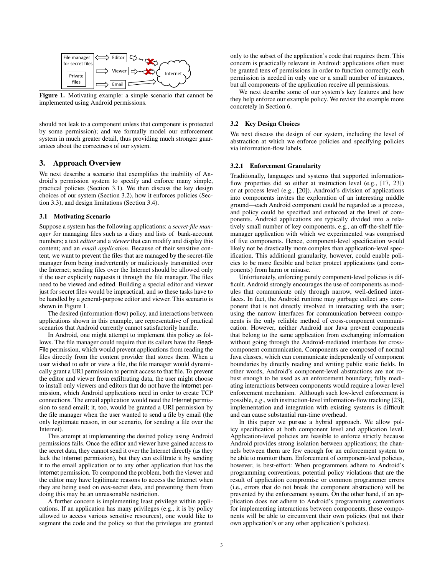

Figure 1. Motivating example: a simple scenario that cannot be implemented using Android permissions.

should not leak to a component unless that component is protected by some permission); and we formally model our enforcement system in much greater detail, thus providing much stronger guarantees about the correctness of our system.

## 3. Approach Overview

We next describe a scenario that exemplifies the inability of Android's permission system to specify and enforce many simple, practical policies (Section 3.1). We then discuss the key design choices of our system (Section 3.2), how it enforces policies (Section 3.3), and design limitations (Section 3.4).

#### 3.1 Motivating Scenario

Suppose a system has the following applications: a *secret-file manager* for managing files such as a diary and lists of bank-account numbers; a text *editor* and a *viewer* that can modify and display this content; and an *email application*. Because of their sensitive content, we want to prevent the files that are managed by the secret-file manager from being inadvertently or maliciously transmitted over the Internet; sending files over the Internet should be allowed only if the user explicitly requests it through the file manager. The files need to be viewed and edited. Building a special editor and viewer just for secret files would be impractical, and so these tasks have to be handled by a general-purpose editor and viewer. This scenario is shown in Figure 1.

The desired (information-flow) policy, and interactions between applications shown in this example, are representative of practical scenarios that Android currently cannot satisfactorily handle.

In Android, one might attempt to implement this policy as follows. The file manager could require that its callers have the Read-File permission, which would prevent applications from reading the files directly from the content provider that stores them. When a user wished to edit or view a file, the file manager would dynamically grant a URI permission to permit access to that file. To prevent the editor and viewer from exfiltrating data, the user might choose to install only viewers and editors that do not have the Internet permission, which Android applications need in order to create TCP connections. The email application would need the Internet permission to send email; it, too, would be granted a URI permission by the file manager when the user wanted to send a file by email (the only legitimate reason, in our scenario, for sending a file over the Internet).

This attempt at implementing the desired policy using Android permissions fails. Once the editor and viewer have gained access to the secret data, they cannot send it over the Internet directly (as they lack the Internet permission), but they can exfiltrate it by sending it to the email application or to any other application that has the Internet permission. To compound the problem, both the viewer and the editor may have legitimate reasons to access the Internet when they are being used on *non*-secret data, and preventing them from doing this may be an unreasonable restriction.

A further concern is implementing least privilege within applications. If an application has many privileges (e.g., it is by policy allowed to access various sensitive resources), one would like to segment the code and the policy so that the privileges are granted only to the subset of the application's code that requires them. This concern is practically relevant in Android: applications often must be granted tens of permissions in order to function correctly; each permission is needed in only one or a small number of instances, but all components of the application receive all permissions.

We next describe some of our system's key features and how they help enforce our example policy. We revisit the example more concretely in Section 6.

#### 3.2 Key Design Choices

We next discuss the design of our system, including the level of abstraction at which we enforce policies and specifying policies via information-flow labels.

#### 3.2.1 Enforcement Granularity

Traditionally, languages and systems that supported informationflow properties did so either at instruction level (e.g., [17, 23]) or at process level (e.g., [20]). Android's division of applications into components invites the exploration of an interesting middle ground—each Android component could be regarded as a process, and policy could be specified and enforced at the level of components. Android applications are typically divided into a relatively small number of key components, e.g., an off-the-shelf filemanager application with which we experimented was comprised of five components. Hence, component-level specification would likely not be drastically more complex than application-level specification. This additional granularity, however, could enable policies to be more flexible and better protect applications (and components) from harm or misuse.

Unfortunately, enforcing purely component-level policies is difficult. Android strongly encourages the use of components as modules that communicate only through narrow, well-defined interfaces. In fact, the Android runtime may garbage collect any component that is not directly involved in interacting with the user; using the narrow interfaces for communication between components is the only reliable method of cross-component communication. However, neither Android nor Java prevent components that belong to the same application from exchanging information without going through the Android-mediated interfaces for crosscomponent communication. Components are composed of normal Java classes, which can communicate independently of component boundaries by directly reading and writing public static fields. In other words, Android's component-level abstractions are not robust enough to be used as an enforcement boundary; fully mediating interactions between components would require a lower-level enforcement mechanism. Although such low-level enforcement is possible, e.g., with instruction-level information-flow tracking [23], implementation and integration with existing systems is difficult and can cause substantial run-time overhead.

In this paper we pursue a hybrid approach. We allow policy specification at both component level and application level. Application-level policies are feasible to enforce strictly because Android provides strong isolation between applications; the channels between them are few enough for an enforcement system to be able to monitor them. Enforcement of component-level policies, however, is best-effort: When programmers adhere to Android's programming conventions, potential policy violations that are the result of application compromise or common programmer errors (i.e., errors that do not break the component abstraction) will be prevented by the enforcement system. On the other hand, if an application does not adhere to Android's programming conventions for implementing interactions between components, these components will be able to circumvent their own policies (but not their own application's or any other application's policies).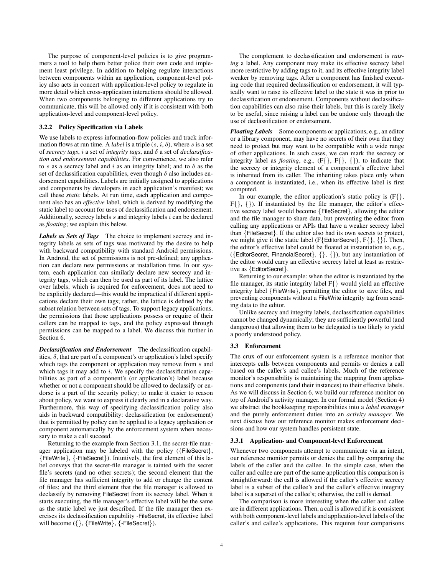The purpose of component-level policies is to give programmers a tool to help them better police their own code and implement least privilege. In addition to helping regulate interactions between components within an application, component-level policy also acts in concert with application-level policy to regulate in more detail which cross-application interactions should be allowed. When two components belonging to different applications try to communicate, this will be allowed only if it is consistent with both application-level and component-level policy.

#### 3.2.2 Policy Specification via Labels

We use labels to express information-flow policies and track information flows at run time. A *label* is a triple  $(s, i, \delta)$ , where s is a set of *secrecy tags*, i a set of *integrity tags*, and δ a set of *declassification and endorsement capabilities*. For convenience, we also refer to s as a secrecy label and i as an integrity label; and to  $\delta$  as the set of declassification capabilities, even though  $\delta$  also includes endorsement capabilities. Labels are initially assigned to applications and components by developers in each application's manifest; we call these *static* labels. At run time, each application and component also has an *effective* label, which is derived by modifying the static label to account for uses of declassification and endorsement. Additionally, secrecy labels  $s$  and integrity labels  $i$  can be declared as *floating*; we explain this below.

*Labels as Sets of Tags* The choice to implement secrecy and integrity labels as sets of tags was motivated by the desire to help with backward compatibility with standard Android permissions. In Android, the set of permissions is not pre-defined; any application can declare new permissions at installation time. In our system, each application can similarly declare new secrecy and integrity tags, which can then be used as part of its label. The lattice over labels, which is required for enforcement, does not need to be explicitly declared—this would be impractical if different applications declare their own tags; rather, the lattice is defined by the subset relation between sets of tags. To support legacy applications, the permissions that those applications possess or require of their callers can be mapped to tags, and the policy expressed through permissions can be mapped to a label. We discuss this further in Section 6.

*Declassification and Endorsement* The declassification capabilities,  $\delta$ , that are part of a component's or application's label specify which tags the component or application may remove from s and which tags it may add to  $i$ . We specify the declassification capabilities as part of a component's (or application's) label because whether or not a component should be allowed to declassify or endorse is a part of the security policy; to make it easier to reason about policy, we want to express it clearly and in a declarative way. Furthermore, this way of specifying declassification policy also aids in backward compatibility: declassification (or endorsement) that is permitted by policy can be applied to a legacy application or component automatically by the enforcement system when necessary to make a call succeed.

Returning to the example from Section 3.1, the secret-file manager application may be labeled with the policy ({FileSecret}, {FileWrite}, {-FileSecret}). Intuitively, the first element of this label conveys that the secret-file manager is tainted with the secret file's secrets (and no other secrets); the second element that the file manager has sufficient integrity to add or change the content of files; and the third element that the file manager is allowed to declassify by removing FileSecret from its secrecy label. When it starts executing, the file manager's effective label will be the same as the static label we just described. If the file manager then exercises its declassification capability -FileSecret, its effective label will become  $({},$  {FileWrite}, {-FileSecret}).

The complement to declassification and endorsement is *raising* a label. Any component may make its effective secrecy label more restrictive by adding tags to it, and its effective integrity label weaker by removing tags. After a component has finished executing code that required declassification or endorsement, it will typically want to raise its effective label to the state it was in prior to declassification or endorsement. Components without declassification capabilities can also raise their labels, but this is rarely likely to be useful, since raising a label can be undone only through the use of declassification or endorsement.

*Floating Labels* Some components or applications, e.g., an editor or a library component, may have no secrets of their own that they need to protect but may want to be compatible with a wide range of other applications. In such cases, we can mark the secrecy or integrity label as *floating*, e.g., (F{}, F{}, {}), to indicate that the secrecy or integrity element of a component's effective label is inherited from its caller. The inheriting takes place only when a component is instantiated, i.e., when its effective label is first computed.

In our example, the editor application's static policy is  $(F\{\},\)$ F{}, {}). If instantiated by the file manager, the editor's effective secrecy label would become {FileSecret}, allowing the editor and the file manager to share data, but preventing the editor from calling any applications or APIs that have a weaker secrecy label than {FileSecret}. If the editor also had its own secrets to protect, we might give it the static label (F{EditorSecret}, F{}, {}). Then, the editor's effective label could be floated at instantiation to, e.g., ({EditorSecret, FinancialSecret}, {}, {}), but any instantiation of the editor would carry an effective secrecy label at least as restrictive as {EditorSecret}.

Returning to our example: when the editor is instantiated by the file manager, its static integrity label F{} would yield an effective integrity label {FileWrite}, permitting the editor to save files, and preventing components without a FileWrite integrity tag from sending data to the editor.

Unlike secrecy and integrity labels, declassification capabilities cannot be changed dynamically; they are sufficiently powerful (and dangerous) that allowing them to be delegated is too likely to yield a poorly understood policy.

#### 3.3 Enforcement

The crux of our enforcement system is a reference monitor that intercepts calls between components and permits or denies a call based on the caller's and callee's labels. Much of the reference monitor's responsibility is maintaining the mapping from applications and components (and their instances) to their effective labels. As we will discuss in Section 6, we build our reference monitor on top of Android's activity manager. In our formal model (Section 4) we abstract the bookkeeping responsibilities into a *label manager* and the purely enforcement duties into an *activity manager*. We next discuss how our reference monitor makes enforcement decisions and how our system handles persistent state.

#### 3.3.1 Application- and Component-level Enforcement

Whenever two components attempt to communicate via an intent, our reference monitor permits or denies the call by comparing the labels of the caller and the callee. In the simple case, when the caller and callee are part of the same application this comparison is straightforward: the call is allowed if the caller's effective secrecy label is a subset of the callee's and the caller's effective integrity label is a superset of the callee's; otherwise, the call is denied.

The comparison is more interesting when the caller and callee are in different applications. Then, a call is allowed if it is consistent with both component-level labels and application-level labels of the caller's and callee's applications. This requires four comparisons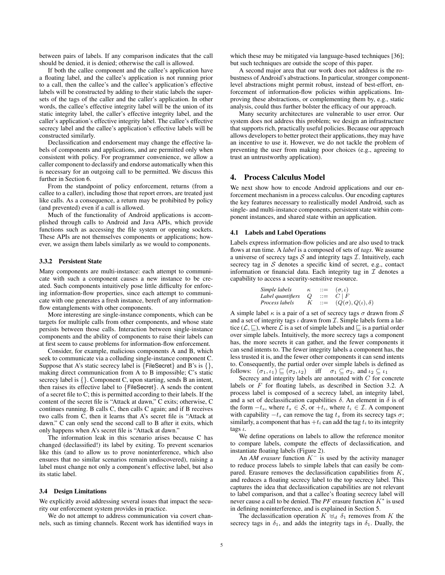between pairs of labels. If any comparison indicates that the call should be denied, it is denied; otherwise the call is allowed.

If both the callee component and the callee's application have a floating label, and the callee's application is not running prior to a call, then the callee's and the callee's application's effective labels will be constructed by adding to their static labels the supersets of the tags of the caller and the caller's application. In other words, the callee's effective integrity label will be the union of its static integrity label, the caller's effective integrity label, and the caller's application's effective integrity label. The callee's effective secrecy label and the callee's application's effective labels will be constructed similarly.

Declassification and endorsement may change the effective labels of components and applications, and are permitted only when consistent with policy. For programmer convenience, we allow a caller component to declassify and endorse automatically when this is necessary for an outgoing call to be permitted. We discuss this further in Section 6.

From the standpoint of policy enforcement, returns (from a callee to a caller), including those that report errors, are treated just like calls. As a consequence, a return may be prohibited by policy (and prevented) even if a call is allowed.

Much of the functionality of Android applications is accomplished through calls to Android and Java APIs, which provide functions such as accessing the file system or opening sockets. These APIs are not themselves components or applications; however, we assign them labels similarly as we would to components.

#### 3.3.2 Persistent State

Many components are multi-instance: each attempt to communicate with such a component causes a new instance to be created. Such components intuitively pose little difficulty for enforcing information-flow properties, since each attempt to communicate with one generates a fresh instance, bereft of any informationflow entanglements with other components.

More interesting are single-instance components, which can be targets for multiple calls from other components, and whose state persists between those calls. Interaction between single-instance components and the ability of components to raise their labels can at first seem to cause problems for information-flow enforcement.

Consider, for example, malicious components A and B, which seek to communicate via a colluding single-instance component C. Suppose that A's static secrecy label is  $\{FileSecret\}$  and B's is  $\{\},\$ making direct communication from A to B impossible; C's static secrecy label is {}. Component C, upon starting, sends B an intent, then raises its effective label to {FileSecret}. A sends the content of a secret file to C; this is permitted according to their labels. If the content of the secret file is "Attack at dawn," C exits; otherwise, C continues running. B calls C, then calls C again; and if B receives two calls from C, then it learns that A's secret file is "Attack at dawn." C can only send the second call to B after it exits, which only happens when A's secret file is "Attack at dawn."

The information leak in this scenario arises because C has changed (declassified!) its label by exiting. To prevent scenarios like this (and to allow us to prove noninterference, which also ensures that no similar scenarios remain undiscovered), raising a label must change not only a component's effective label, but also its static label.

#### 3.4 Design Limitations

We explicitly avoid addressing several issues that impact the security our enforcement system provides in practice.

We do not attempt to address communication via covert channels, such as timing channels. Recent work has identified ways in which these may be mitigated via language-based techniques [36]; but such techniques are outside the scope of this paper.

A second major area that our work does not address is the robustness of Android's abstractions. In particular, stronger componentlevel abstractions might permit robust, instead of best-effort, enforcement of information-flow policies within applications. Improving these abstractions, or complementing them by, e.g., static analysis, could thus further bolster the efficacy of our approach.

Many security architectures are vulnerable to user error. Our system does not address this problem; we design an infrastructure that supports rich, practically useful policies. Because our approach allows developers to better protect their applications, they may have an incentive to use it. However, we do not tackle the problem of preventing the user from making poor choices (e.g., agreeing to trust an untrustworthy application).

## 4. Process Calculus Model

We next show how to encode Android applications and our enforcement mechanism in a process calculus. Our encoding captures the key features necessary to realistically model Android, such as single- and multi-instance components, persistent state within component instances, and shared state within an application.

#### 4.1 Labels and Label Operations

Labels express information-flow policies and are also used to track flows at run time. A *label* is a composed of sets of *tags*. We assume a universe of secrecy tags  $S$  and integrity tags  $I$ . Intuitively, each secrecy tag in  $S$  denotes a specific kind of secret, e.g., contact information or financial data. Each integrity tag in  $I$  denotes a capability to access a security-sensitive resource.

| Simple labels     | $\kappa$ | ::= | $(\sigma, \iota)$               |
|-------------------|----------|-----|---------------------------------|
| Label quantifiers | $Q$      | ::= | $C \mid F$                      |
| Process labels    | $K$      | ::= | $(Q(\sigma), Q(\iota), \delta)$ |

A simple label  $\kappa$  is a pair of a set of secrecy tags  $\sigma$  drawn from S and a set of integrity tags  $\iota$  drawn from  $\mathcal I$ . Simple labels form a lattice ( $\mathcal{L}, \Box$ ), where  $\mathcal L$  is a set of simple labels and  $\Box$  is a partial order over simple labels. Intuitively, the more secrecy tags a component has, the more secrets it can gather, and the fewer components it can send intents to. The fewer integrity labels a component has, the less trusted it is, and the fewer other components it can send intents to. Consequently, the partial order over simple labels is defined as follows:  $(\sigma_1, \iota_1) \sqsubseteq (\sigma_2, \iota_2)$  iff  $\sigma_1 \subseteq \sigma_2$ , and  $\iota_2 \subseteq \iota_1$ 

Secrecy and integrity labels are annotated with  $C$  for concrete labels or F for floating labels, as described in Section 3.2. A process label is composed of a secrecy label, an integrity label, and a set of declassification capabilities  $\delta$ . An element in  $\delta$  is of the form  $-t_s$ , where  $t_s \in S$ , or  $+t_i$ , where  $t_i \in I$ . A component with capability  $-t_s$  can remove the tag  $t_s$  from its secrecy tags  $\sigma$ ; similarly, a component that has  $+t_i$  can add the tag  $t_i$  to its integrity tags ι.

We define operations on labels to allow the reference monitor to compare labels, compute the effects of declassification, and instantiate floating labels (Figure 2).

An *AM erasure* function K<sup>−</sup> is used by the activity manager to reduce process labels to simple labels that can easily be compared. Erasure removes the declassification capabilities from  $K$ , and reduces a floating secrecy label to the top secrecy label. This captures the idea that declassification capabilities are not relevant to label comparison, and that a callee's floating secrecy label will never cause a call to be denied. The  $PF$  erasure function  $K^*$  is used in defining noninterference, and is explained in Section 5.

The declassification operation  $K \oplus_d \delta_1$  removes from K the secrecy tags in  $\delta_1$ , and adds the integrity tags in  $\delta_1$ . Dually, the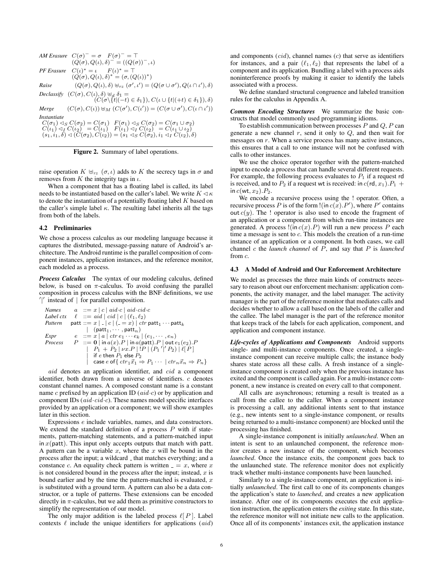*AM Erasure*  $C(\sigma)^{-} = \sigma$   $F(\sigma)^{-} = T$  $(\hat{Q}(\sigma), Q(\iota), \delta)^{-1} = ((Q(\sigma))^{-1}, \iota)$ **PF** Erasure  $C(\iota)^* = \iota \qquad F(\iota)^* = \top$ <br>  $(Q(\sigma), Q(\iota), \delta)^* = (\sigma, (Q(\iota))^*)$ *Raise*  $(Q(\sigma), Q(\iota), \delta) \oplus_{rz} (\sigma', \iota') = (Q(\sigma \cup \sigma'), Q(\iota \cap \iota'), \delta)$ *Declassify*  $(C(\sigma), C(\iota), \delta) \biguplus_{d} \delta_1 =$  $(C(\sigma \setminus \{t|(-t) \in \delta_1\}), C(\iota \cup \{t|(+t) \in \delta_1\}), \delta)$ *Merge*  $(C(\sigma), C(\iota)) \oplus_M (C(\sigma'), C(\iota')) = (C(\sigma \cup \sigma'), C(\iota \cap \iota'))$ *Instantiate*  $C(\sigma_1) \triangleleft_S C(\sigma_2) = C(\sigma_1) \quad F(\sigma_1) \triangleleft_S C(\sigma_2) = C(\sigma_1 \cup \sigma_2) \ C(\iota_1) \triangleleft_I C(\iota_2) = C(\iota_1) \quad F(\iota_1) \triangleleft_I C(\iota_2) = C(\iota_1 \cup \iota_2) \ (s_1, i_1, \delta) \triangleleft (C(\sigma_2), C(\iota_2)) = (s_1 \triangleleft_S C(\sigma_2), i_1 \triangleleft_I C(\iota_2), \delta)$ 

Figure 2. Summary of label operations.

raise operation  $K \oplus_{rz} (\sigma, \iota)$  adds to K the secrecy tags in  $\sigma$  and removes from  $K$  the integrity tags in  $\iota$ .

When a component that has a floating label is called, its label needs to be instantiated based on the caller's label. We write  $K \lhd \kappa$ to denote the instantiation of a potentially floating label  $K$  based on the caller's simple label  $\kappa$ . The resulting label inherits all the tags from both of the labels.

#### 4.2 Preliminaries

We chose a process calculus as our modeling language because it captures the distributed, message-passing nature of Android's architecture. The Android runtime is the parallel composition of component instances, application instances, and the reference monitor, each modeled as a process.

*Process Calculus* The syntax of our modeling calculus, defined below, is based on  $\pi$ -calculus. To avoid confusing the parallel composition in process calculus with the BNF definitions, we use  $\frac{1}{2}$  instead of  $\frac{1}{2}$  for parallel composition.

| Names                                                                                                            | $a$                                                                                                | $::= x \mid c \mid aid \cdot ci$                                                                              | $cid \cdot ci$             | $c$ |
|------------------------------------------------------------------------------------------------------------------|----------------------------------------------------------------------------------------------------|---------------------------------------------------------------------------------------------------------------|----------------------------|-----|
| Label $ctx$                                                                                                      | $\ell$                                                                                             | $::= aid \mid ci$                                                                                             | $ c \mid (\ell_1, \ell_2)$ |     |
| Pattern                                                                                                          | $patt ::= x \mid - \mid c \mid (-x) \mid \text{cr path} \cdots \text{patt}_1 \cdots \text{patt}_k$ |                                                                                                               |                            |     |
| Expression                                                                                                       | $e$                                                                                                | $::= x \mid a \mid \text{ctr} \cdot \cdot e_k \mid (e_1, \cdots, e_n)$                                        |                            |     |
| Process                                                                                                          | $P$                                                                                                | $::= 0 \mid \text{in } a(x) \cdot P \mid \text{in } a(\text{patt}) \cdot P \mid \text{out } e_1(e_2) \cdot P$ |                            |     |
| Pr                                                                                                               | $P_1 + P_2 \mid \text{vx} \cdot P \mid P \mid (P_1' \mid P_2) \mid \ell \mid P$                    |                                                                                                               |                            |     |
| if $e$ then $P_1$ else $P_2$ \n                                                                                  |                                                                                                    |                                                                                                               |                            |     |
| case $e$ of $\{ \text{ctr}_1 \vec{x}_1 \Rightarrow P_1 \cdots \mid \text{ctr}_n \vec{x}_n \Rightarrow P_n \}$ \n |                                                                                                    |                                                                                                               |                            |     |

aid denotes an application identifier, and cid a component identifier, both drawn from a universe of identifiers. c denotes constant channel names. A composed constant name is a constant name c prefixed by an application ID  $(aid \cdot c)$  or by application and component IDs  $(\textit{aid} \cdot \textit{cid} \cdot c)$ . These names model specific interfaces provided by an application or a component; we will show examples later in this section.

Expressions e include variables, names, and data constructors. We extend the standard definition of a process  $P$  with if statements, pattern-matching statements, and a pattern-matched input in  $x$ (patt). This input only accepts outputs that match with patt. A pattern can be a variable  $x$ , where the  $x$  will be bound in the process after the input; a wildcard  $\overline{\ }$  that matches everything; and a constance c. An equality check pattern is written  $z = x$ , where x is not considered bound in the process after the input; instead,  $x$  is bound earlier and by the time the pattern-matched is evaluated,  $x$ is substituted with a ground term. A pattern can also be a data constructor, or a tuple of patterns. These extensions can be encoded directly in  $\pi$ -calculus, but we add them as primitive constructors to simplify the representation of our model.

The only major addition is the labeled process  $\ell[P]$ . Label contexts  $\ell$  include the unique identifiers for applications (aid)

and components  $(cid)$ , channel names  $(c)$  that serve as identifiers for instances, and a pair  $(\ell_1, \ell_2)$  that represents the label of a component and its application. Bundling a label with a process aids noninterference proofs by making it easier to identify the labels associated with a process.

We define standard structural congruence and labeled transition rules for the calculus in Appendix A.

*Common Encoding Structures* We summarize the basic constructs that model commonly used programming idioms.

To establish communication between processes  $P$  and  $Q$ ,  $P$  can generate a new channel  $r$ , send it only to  $Q$ , and then wait for messages on r. When a service process has many active instances, this ensures that a call to one instance will not be confused with calls to other instances.

We use the choice operator together with the pattern-matched input to encode a process that can handle several different requests. For example, the following process evaluates to  $P_1$  if a request rd is received, and to  $P_2$  if a request wt is received: in  $c(\text{rd}, x_1) \cdot P_1 +$ in  $c(\mathsf{wt}, x_2)$ . $P_2$ .

We encode a recursive process using the ! operator. Often, a recursive process P is of the form  $!(\text{in } c(x) \cdot P')$ , where P' contains out  $c(y)$ . The ! operator is also used to encode the fragment of an application or a component from which run-time instances are generated. A process  $!(\text{in } c(x).P)$  will run a new process P each time a message is sent to  $c$ . This models the creation of a run-time instance of an application or a component. In both cases, we call channel c the *launch channel* of P, and say that P is *launched* from c.

#### 4.3 A Model of Android and Our Enforcement Architecture

We model as processes the three main kinds of constructs necessary to reason about our enforcement mechanism: application components, the activity manager, and the label manager. The activity manager is the part of the reference monitor that mediates calls and decides whether to allow a call based on the labels of the caller and the callee. The label manager is the part of the reference monitor that keeps track of the labels for each application, component, and application and component instance.

*Life-cycles of Applications and Components* Android supports single- and multi-instance components. Once created, a singleinstance component can receive multiple calls; the instance body shares state across all these calls. A fresh instance of a singleinstance component is created only when the previous instance has exited and the component is called again. For a multi-instance component, a new instance is created on every call to that component.

All calls are asynchronous; returning a result is treated as a call from the callee to the caller. When a component instance is processing a call, any additional intents sent to that instance (e.g., new intents sent to a single-instance component, or results being returned to a multi-instance component) are blocked until the processing has finished.

A single-instance component is initially *unlaunched*. When an intent is sent to an unlaunched component, the reference monitor creates a new instance of the component, which becomes *launched*. Once the instance exits, the component goes back to the unlaunched state. The reference monitor does not explicitly track whether multi-instance components have been launched.

Similarly to a single-instance component, an application is initially *unlaunched*. The first call to one of its components changes the application's state to *launched*, and creates a new application instance. After one of its components executes the exit application instruction, the application enters the *exiting* state. In this state, the reference monitor will not initiate new calls to the application. Once all of its components' instances exit, the application instance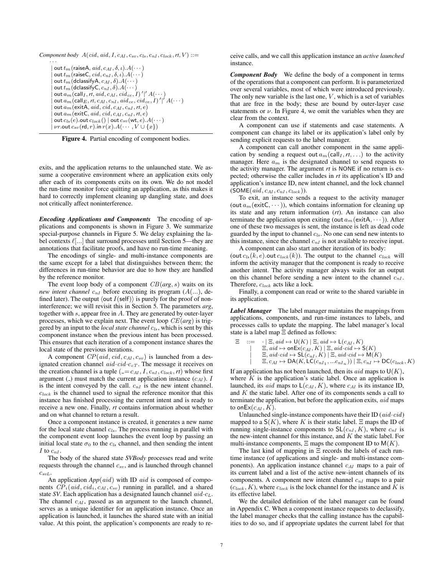*Component body*  $A(cid, aid, I, c_{AI}, c_{sv}, c_{ls}, c_{nI}, c_{lock}, rt, V) ::=$ 

· · · out  $t_m$  (raiseA,  $aid, c_{AI}, \delta, \iota$ ). $A(\cdots)$ out  $t_m$  (raiseC,  $cid, c_{nI}, \delta, \iota$ ). $A(\cdots)$  $\textsf{out}\, t_m$ (dclassifyA,  $c_{AI}, \delta$ ). $A(\cdots)$ out  $t_m$  (dclassify C,  $c_{nI}$  ,  $\delta$ ).  $A(\cdots)$  $|\!\! \alpha$  out  $a_m(\mathsf{call}_I, rt, aid, c_{AI}, cid_{ce}, I)'\!|' A(\cdots)$  $|\!\mid$  out  $a_{m}(\mathsf{call}_{E}, rt, c_{AI}, c_{nI}, \mathit{aid}_{ce}, \mathit{cid}_{ce}, I)'\!\mid' A(\cdots)$ out  $a_m$  (exitA, aid, cid,  $c_{AI}$ ,  $c_{nI}$ ,  $rt$ ,  $e$ )  ${\rm out}\, a_m$ (exitC, aid, cid, c<sub>AI</sub>, c<sub>nI</sub>, rt, e)  $\textsf{out} \, c_{ls} (e) . \textsf{out} \, c_{lock} () \mid$  out  $c_{sv} (\textsf{wt}, e) . A (\cdots)$  $v$ r.out  $c_{sv}$  (rd, r).in  $r(x)$ . $A(\cdots, V \cup \{x\})$ 

Figure 4. Partial encoding of component bodies.

exits, and the application returns to the unlaunched state. We assume a cooperative environment where an application exits only after each of its components exits on its own. We do not model the run-time monitor force quitting an application, as this makes it hard to correctly implement cleaning up dangling state, and does not critically affect noninterference.

*Encoding Applications and Components* The encoding of applications and components is shown in Figure 3. We summarize special-purpose channels in Figure 5. We delay explaining the label contexts  $\ell$ [...] that surround processes until Section 5—they are annotations that facilitate proofs, and have no run-time meaning.

The encodings of single- and multi-instance components are the same except for a label that distinguishes between them; the differences in run-time behavior are due to how they are handled by the reference monitor.

The event loop body of a component CB(*arg*, s) waits on its *new intent channel*  $c_{nI}$  before executing its program  $(A(...),$  defined later). The output  $\langle \text{out } I(\text{self}) \rangle$  is purely for the proof of noninterference; we will revisit this in Section 5. The parameters *arg*, together with s, appear free in A. They are generated by outer-layer processes, which we explain next. The event loop CE(*arg*) is triggered by an input to the *local state channel*  $c_{ls}$ , which is sent by this component instance when the previous intent has been processed. This ensures that each iteration of a component instance shares the local state of the previous iterations.

A component  $CP(aid, cid, c_{AI}, c_{sv})$  is launched from a designated creation channel aid  $cid \nc_{cT}$ . The message it receives on the creation channel is a tuple  $(=-c_{AI}, I, c_{nI}, c_{lock}, rt)$  whose first argument ( $\Box$ ) must match the current application instance ( $c_{AI}$ ). I is the intent conveyed by the call.  $c_{nI}$  is the new intent channel.  $c_{lock}$  is the channel used to signal the reference monitor that this instance has finished processing the current intent and is ready to receive a new one. Finally, *rt* contains information about whether and on what channel to return a result.

Once a component instance is created, it generates a new name for the local state channel  $c_{ls}$ . The process running in parallel with the component event loop launches the event loop by passing an initial local state  $\sigma_0$  to the  $c_{ls}$  channel, and then sending the intent  $I$  to  $c_{nI}$ .

The body of the shared state *SVBody* processes read and write requests through the channel  $c_{sv}$ , and is launched through channel  $C_{svl.}$ 

An application  $App(aid)$  with ID aid is composed of components  $CP_i(\text{aid}, \text{cid}_i, c_{AI}, c_{sv})$  running in parallel, and a shared state *SV*. Each application has a designated launch channel  $aid \nc_{L}$ . The channel  $c_{AI}$ , passed as an argument to the launch channel, serves as a unique identifier for an application instance. Once an application is launched, it launches the shared state with an initial value. At this point, the application's components are ready to receive calls, and we call this application instance an *active launched* instance.

*Component Body* We define the body of a component in terms of the operations that a component can perform. It is parameterized over several variables, most of which were introduced previously. The only new variable is the last one,  $V$ , which is a set of variables that are free in the body; these are bound by outer-layer case statements or  $\nu$ . In Figure 4, we omit the variables when they are clear from the context.

A component can use if statements and case statements. A component can change its label or its application's label only by sending explicit requests to the label manager.

A component can call another component in the same application by sending a request out  $a_m(\text{call}_I, rt, \ldots)$  to the activity manager. Here  $a_m$  is the designated channel to send requests to the activity manager. The argument *rt* is NONE if no return is expected; otherwise the caller includes in *rt* its application's ID and application's instance ID, new intent channel, and the lock channel  $(SOME(*aid*, c<sub>AI</sub>, c<sub>nl</sub>, c<sub>lock</sub>)).$ 

To exit, an instance sends a request to the activity manager (out  $a_m$  (exit C,  $\cdots$  )), which contains information for cleaning up its state and any return information (*rt*). An instance can also terminate the application upon exiting (out  $a_m$  (exitA,  $\cdots$  )). After one of these two messages is sent, the instance is left as dead code guarded by the input to channel  $c_{ls}$ . No one can send new intents to this instance, since the channel  $c_{nI}$  is not available to receive input.

A component can also start another iteration of its body: (out  $c_{ls}(k, e)$ .out  $c_{lock}(k)$ ). The output to the channel  $c_{lock}$  will inform the activity manager that the component is ready to receive another intent. The activity manager always waits for an output on this channel before sending a new intent to the channel  $c_{nl}$ . Therefore,  $c_{lock}$  acts like a lock.

Finally, a component can read or write to the shared variable in its application.

*Label Manager* The label manager maintains the mappings from applications, components, and run-time instances to labels, and processes calls to update the mapping. The label manager's local state is a label map Ξ defined as follows:

$$
\begin{array}{ll}\n\Xi & ::= & \cdot \mid \Xi, \, aid \mapsto \mathsf{U}(K) \mid \Xi, \, aid \mapsto \mathsf{L}(c_{AI}, K) \\
 & \mid & \Xi, \, aid \mapsto \mathsf{onEx}(c_{AI}, K) \mid \Xi, \, aid \cdot cid \mapsto \mathsf{S}(K) \\
 & \mid & \Xi, \, aid \cdot cid \mapsto \mathsf{SL}(c_{nI}, K) \mid \Xi, \, aid \cdot cid \mapsto \mathsf{M}(K) \\
 & \mid & \Xi, \, c_{AI} \mapsto \mathsf{DA}(K, \mathsf{LC}(c_{nI_1}, \ldots c_{nI_n})) \mid \Xi, \, c_{nI} \mapsto \mathsf{DC}(c_{lock}, K)\n\end{array}
$$

If an application has not been launched, then its *aid* maps to  $U(K)$ , where  $K$  is the application's static label. Once an application is launched, its *aid* maps to  $L(c_{AI}, K)$ , where  $c_{AI}$  is its instance ID, and K the static label. After one of its components sends a call to terminate the application, but before the application exits, aid maps to onEx $(c_{AI}, K)$ .

Unlaunched single-instance components have their ID  $(\textit{aid} \cdot \textit{cid})$ mapped to a  $S(K)$ , where K is their static label.  $\Xi$  maps the ID of running single-instance components to  $SL(c_{nI}, K)$ , where  $c_{nI}$  is the new-intent channel for this instance, and  $K$  the static label. For multi-instance components,  $\Xi$  maps the component ID to  $M(K)$ .

The last kind of mapping in Ξ records the labels of each runtime instance (of applications and single- and multi-instance components). An application instance channel  $c_{AI}$  maps to a pair of its current label and a list of the active new-intent channels of its components. A component new intent channel  $c_{nI}$  maps to a pair  $(c_{lock}, K)$ , where  $c_{lock}$  is the lock channel for the instance and K is its effective label.

We the detailed definition of the label manager can be found in Appendix C. When a component instance requests to declassify, the label manager checks that the calling instance has the capabilities to do so, and if appropriate updates the current label for that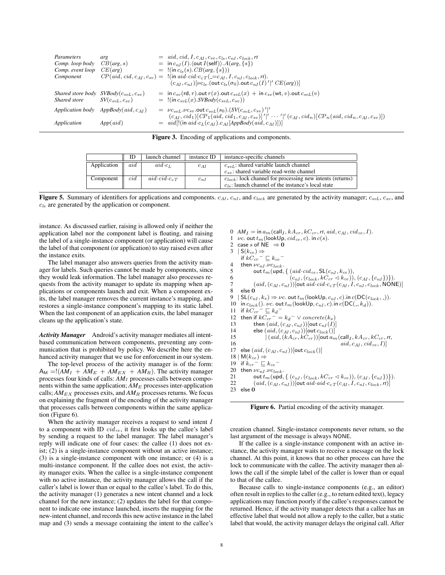| Parameters        | arg                       | $= \text{aid}, \text{cid}, I, c_{AI}, c_{sv}, c_{ls}, c_{nI}, c_{lock}, rt$                                                                    |
|-------------------|---------------------------|------------------------------------------------------------------------------------------------------------------------------------------------|
| Comp. loop body   | CB(arg, s)                | $=$ in $c_{nI}(I)$ . (out $I$ (self)). $A(arg, \{s\})$                                                                                         |
| Comp. event loop  | CE(arg)                   | $=$ !(in $c_{ls}(s)$ . $CB(arg, \{s\})$ )                                                                                                      |
| Component         |                           | $CP(\text{aid}, \text{cid}, c_{AI}, c_{sv}) =$ !(in aid $\text{cid} \cdot c_{cT} (=c_{AI}, I, c_{nl}, c_{lock}, rt)$ .                         |
|                   |                           | $(c_{AI}, c_{nI})$ [ $\nu c_{ls}$ . (out $c_{ls}(\sigma_0)$ .out $c_{nI}(I)'$ ]' $CE(arg)$ ]]                                                  |
| Shared store body | $SVBody(c_{svL}, c_{sv})$ | $=$ in $c_{sv}$ (rd, r). out $r(x)$ . out $c_{svL}(x)$ + in $c_{sv}$ (wt, v). out $c_{svL}(v)$                                                 |
| Shared store      | $SV(c_{svL}, c_{sv})$     | $=$ !(in $c_{svL}(x)$ . SVBody $(c_{svL}, c_{sv})$ )                                                                                           |
| Application body  | AppBody( $aid, c_{AI}$ )  | $= \nu c_{svL} \nu c_{sv}$ out $c_{svL}(s_0)$ . $(SV(c_{svL}, c_{sv})')'$                                                                      |
|                   |                           | $(c_{AI}, cid_1)[CP_1(aid, cid_1, c_{AI}, c_{sv})]'' \cdots']' (c_{AI}, cid_n)[CP_n(aid, cid_n, c_{AI}, c_{sv})])$                             |
| Application       | $App(\textit{aid})$       | $= \text{aid} \left[ \left( \text{in } \text{aid } c_L(c_{AI}) \cdot c_{AI} \left[ \text{AppBody}(\text{aid}, c_{AI}) \right] \right) \right]$ |
|                   |                           |                                                                                                                                                |

Figure 3. Encoding of applications and components.

|             | ID  | launch channel                    | instance ID | instance-specific channels                                     |
|-------------|-----|-----------------------------------|-------------|----------------------------------------------------------------|
| Application | aid | $aid \cdot c_L$                   | $c_{AI}$    | $c_{syl}$ : shared variable launch channel                     |
|             |     |                                   |             | $c_{sv}$ : shared variable read-write channel                  |
| Component   | cid | $aid \cdot c id \cdot c_{c} \tau$ | $c_{n,I}$   | $c_{lock}$ : lock channel for processing new intents (returns) |
|             |     |                                   |             | $c_{ls}$ : launch channel of the instance's local state        |

**Figure 5.** Summary of identifiers for applications and components.  $c_{At}$ ,  $c_{nl}$ , and  $c_{lock}$  are generated by the activity manager;  $c_{svL}$ ,  $c_{sv}$ , and  $c_{ls}$  are generated by the application or component.

instance. As discussed earlier, raising is allowed only if neither the application label nor the component label is floating, and raising the label of a single-instance component (or application) will cause the label of that component (or application) to stay raised even after the instance exits.

The label manager also answers queries from the activity manager for labels. Such queries cannot be made by components, since they would leak information. The label manager also processes requests from the activity manager to update its mapping when applications or components launch and exit. When a component exits, the label manager removes the current instance's mapping, and restores a single-instance component's mapping to its static label. When the last component of an application exits, the label manager cleans up the application's state.

*Activity Manager* Android's activity manager mediates all intentbased communication between components, preventing any communication that is prohibited by policy. We describe here the enhanced activity manager that we use for enforcement in our system.

The top-level process of the activity manager is of the form:  $A_M = !(AM_I + AM_E + AM_{EX} + AM_R)$ . The activity manager processes four kinds of calls: *AM*<sup>I</sup> processes calls between components within the same application;  $AM_E$  processes inter-application calls;  $AM_{EX}$  processes exits, and  $AM_{R}$  processes returns. We focus on explaining the fragment of the encoding of the activity manager that processes calls between components within the same application (Figure 6).

When the activity manager receives a request to send intent  $I$ to a component with ID  $cid_{ce}$ , it first looks up the callee's label by sending a request to the label manager. The label manager's reply will indicate one of four cases: the callee (1) does not exist; (2) is a single-instance component without an active instance; (3) is a single-instance component with one instance; or (4) is a multi-instance component. If the callee does not exist, the activity manager exits. When the callee is a single-instance component with no active instance, the activity manager allows the call if the caller's label is lower than or equal to the callee's label. To do this, the activity manager (1) generates a new intent channel and a lock channel for the new instance; (2) updates the label for that component to indicate one instance launched, inserts the mapping for the new-intent channel, and records this new active instance in the label map and (3) sends a message containing the intent to the callee's

```
0 AM_I = \text{in } a_m(\text{call}_I, kA_{cr}, kC_{cr}, rt, aid, c_{AI}, cid_{ce}, I).1 vc. out t_m (lookUp, cid_{ce}, c). in c(s).<br>2. case s of NF \Rightarrow 0.
2 case s of NE \Rightarrow 0<br>3 | S(k_{\text{ee}}) \Rightarrow| S(k_{ce}) \Rightarrowif kC_{cr}^- \sqsubseteq k_{ce}^-4 then \nu c_{nl} \cdot \nu c_{lock}.<br>5 out t_m (und.
5 out t_m (upd, { (aid·cid<sub>ce</sub>, SL(c_{nI}, k_{ce})),<br>6 (c_{nI}, (c_{lock}, kC_{cr} \leq k_{ce}))6 (c_{nI}, (c_{lock}, kC_{cr} \triangleleft kce)), (c_{AI}, (c_{nI}, \{c_{nI}\})\).<br>
7 (id, (c_{AL}, c_{nI}) out aid cid \cdot c_{aI} (c_{AL}, I, c_{nI}, c_{lock}, NON)7 (aid, (c_{AI}, c_{nI}))[out aid·cid·c_{cT}(c_{AI}, I, c_{nI}, c_{lock}, \overline{\text{NONE}})]<br>8 else 0
8 else \overline{0}<br>9 | SL(c_m)| SL(c_{nI}, k_s) \Rightarrow \nu c. out t_m(lookUp, c_{nI}, c).in c(DC(c_{lock}, 0)).
10 in c_{lock}(). \nu c. out t_m (lookUp, c_{nI}, c). in c(DC( , k_d)).<br>11 if kC_{en} = \square k_J11 if kC_{cr}<sup>-</sup> \sqsubseteq k_d<sup>-</sup>
 12 then if kC_{cr}^- = k_d^- \vee concrete(k_s)13 then (ai d, (c_{AI}, c_{nI}))[out c_{nI}(I)]<br>14 else (ai d, (c_{AI}, c_{nI}))[out c_{l+1}(I)]
14 else (ai d, (c_{AI}, c_{nI}))[out c_{lock}()]<br>15 (a id, (kA_{cr}, kC_{cr}))[out a<sub>n</sub>
15 |(aid, (kA_{cr}, kC_{cr}))[out a_m (call<sub>I</sub>, kA_{cr}, kC_{cr}, r, 16<br>16 aid, c_{AL}, cida_{cr}, D]]
16 aid, c_{AI}, cid_{ce}, I]<br>17 else (aid. (c_{AI}, c_{nI})) [out c_{lock} ()]
        else (\mathit{aid}, (\mathit{c}_{AI}, \mathit{c}_{nI}))[\mathsf{out}\,\mathit{c}_{\mathit{lock}}()]18 \mid M(k_{ce}) \Rightarrow19 if k_{cr} = \sqsubseteq k_{ce} =
20 then \nu c_{nI} \cdot \nu c_{lock}.<br>21 out t_m (und.
21 out t_m(\text{upd}, \{ (c_{nI}, (c_{lock}, kC_{cr} \triangleleft k_{ce})), (c_{AI}, (c_{nI}) \})\}).<br>
22 (ai, (c_{AI}, c_{nI}))[out \text{ aid} \cdot aid \cdot c_{c} \cdot T(c_{AI}, I, c_{nI}, c_{lock}, rt)](aid, (c_{AI}, c_{nI}))[out aid·aid·c<sub>cT</sub>(c<sub>AI</sub>, I, c<sub>nI</sub>, c<sub>lock</sub>, rt)]
23 else\vec{\mathbf{0}}
```
Figure 6. Partial encoding of the activity manager.

creation channel. Single-instance components never return, so the last argument of the message is always NONE.

If the callee is a single-instance component with an active instance, the activity manager waits to receive a message on the lock channel. At this point, it knows that no other process can have the lock to communicate with the callee. The activity manager then allows the call if the simple label of the caller is lower than or equal to that of the callee.

Because calls to single-instance components (e.g., an editor) often result in replies to the caller (e.g., to return edited text), legacy applications may function poorly if the callee's responses cannot be returned. Hence, if the activity manager detects that a callee has an effective label that would not allow a reply to the caller, but a static label that would, the activity manager delays the original call. After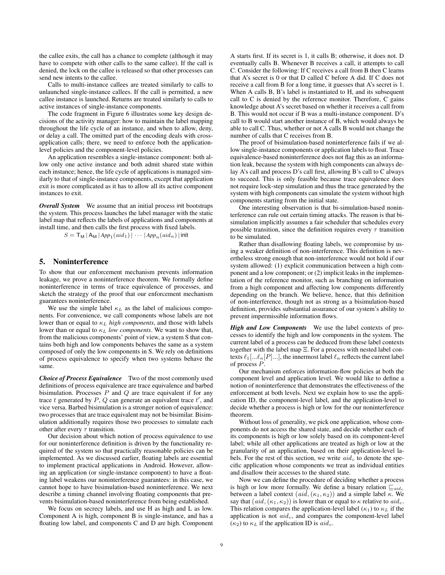the callee exits, the call has a chance to complete (although it may have to compete with other calls to the same callee). If the call is denied, the lock on the callee is released so that other processes can send new intents to the callee.

Calls to multi-instance callees are treated similarly to calls to unlaunched single-instance callees. If the call is permitted, a new callee instance is launched. Returns are treated similarly to calls to active instances of single-instance components.

The code fragment in Figure 6 illustrates some key design decisions of the activity manager: how to maintain the label mapping throughout the life cycle of an instance, and when to allow, deny, or delay a call. The omitted part of the encoding deals with crossapplication calls; there, we need to enforce both the applicationlevel policies and the component-level policies.

An application resembles a single-instance component: both allow only one active instance and both admit shared state within each instance; hence, the life cycle of applications is managed similarly to that of single-instance components, except that application exit is more complicated as it has to allow all its active component instances to exit.

*Overall System* We assume that an initial process init bootstraps the system. This process launches the label manager with the static label map that reflects the labels of applications and components at install time, and then calls the first process with fixed labels.

 $S = \mathsf{T}_\mathsf{M} \, | \, \mathsf{A}_\mathsf{M} \, | \, \mathsf{App}_1(\mathit{aid}_1) \, | \, \cdots \, | \, \mathsf{App}_n(\mathit{aid}_n) \, |$  init

#### 5. Noninterference

To show that our enforcement mechanism prevents information leakage, we prove a noninterference theorem. We formally define noninterference in terms of trace equivalence of processes, and sketch the strategy of the proof that our enforcement mechanism guarantees noninterference.

We use the simple label  $\kappa_L$  as the label of malicious components. For convenience, we call components whose labels are not lower than or equal to  $\kappa_L$  *high components*, and those with labels lower than or equal to  $\kappa_L$  *low components*. We want to show that, from the malicious components' point of view, a system S that contains both high and low components behaves the same as a system composed of only the low components in S. We rely on definitions of process equivalence to specify when two systems behave the same.

*Choice of Process Equivalence* Two of the most commonly used definitions of process equivalence are trace equivalence and barbed bisimulation. Processes  $P$  and  $Q$  are trace equivalent if for any trace t generated by  $P$ ,  $Q$  can generate an equivalent trace  $t'$ , and vice versa. Barbed bisimulation is a stronger notion of equivalence: two processes that are trace equivalent may not be bisimilar. Bisimulation additionally requires those two processes to simulate each other after every  $\tau$  transition.

Our decision about which notion of process equivalence to use for our noninterference definition is driven by the functionality required of the system so that practically reasonable policies can be implemented. As we discussed earlier, floating labels are essential to implement practical applications in Android. However, allowing an application (or single-instance component) to have a floating label weakens our noninterference guarantees: in this case, we cannot hope to have bisimulation-based noninterference. We next describe a timing channel involving floating components that prevents bisimulation-based noninterference from being established.

We focus on secrecy labels, and use H as high and L as low. Component A is high, component B is single-instance, and has a floating low label, and components C and D are high. Component A starts first. If its secret is 1, it calls B; otherwise, it does not. D eventually calls B. Whenever B receives a call, it attempts to call C. Consider the following: If C receives a call from B then C learns that A's secret is 0 or that D called C before A did. If C does not receive a call from B for a long time, it guesses that A's secret is 1. When A calls B, B's label is instantiated to H, and its subsequent call to C is denied by the reference monitor. Therefore, C gains knowledge about A's secret based on whether it receives a call from B. This would not occur if B was a multi-instance component. D's call to B would start another instance of B, which would always be able to call C. Thus, whether or not A calls B would not change the number of calls that C receives from B.

The proof of bisimulation-based noninterference fails if we allow single-instance components or application labels to float. Trace equivalence-based noninterference does not flag this as an information leak, because the system with high components can always delay A's call and process D's call first, allowing B's call to C always to succeed. This is only feasible because trace equivalence does not require lock-step simulation and thus the trace generated by the system with high components can simulate the system without high components starting from the initial state.

One interesting observation is that bi-simulation-based noninterference can rule out certain timing attacks. The reason is that bisimulation implicitly assumes a fair scheduler that schedules every possible transition, since the definition requires every  $\tau$  transition to be simulated.

Rather than disallowing floating labels, we compromise by using a weaker definition of non-interference. This definition is nevertheless strong enough that non-interference would not hold if our system allowed: (1) explicit communication between a high component and a low component; or (2) implicit leaks in the implementation of the reference monitor, such as branching on information from a high component and affecting low components differently depending on the branch. We believe, hence, that this definition of non-interference, though not as strong as a bisimulation-based definition, provides substantial assurance of our system's ability to prevent impermissible information flows.

*High and Low Components* We use the label contexts of processes to identify the high and low components in the system. The current label of a process can be deduced from these label contexts together with the label map Ξ. For a process with nested label contexts  $\ell_1[\ldots \ell_n[P] \ldots]$ , the innermost label  $\ell_n$  reflects the current label of process P.

Our mechanism enforces information-flow policies at both the component level and application level. We would like to define a notion of noninterference that demonstrates the effectiveness of the enforcement at both levels. Next we explain how to use the application ID, the component-level label, and the application-level to decide whether a process is high or low for the our noninterference theorem.

Without loss of generality, we pick one application, whose components do not access the shared state, and decide whether each of its components is high or low solely based on its component-level label; while all other applications are treated as high or low at the granularity of an application, based on their application-level labels. For the rest of this section, we write  $aid_c$  to denote the specific application whose components we treat as individual entities and disallow their accesses to the shared state.

Now we can define the procedure of deciding whether a process is high or low more formally. We define a binary relation  $\mathcal{L}_{aidc}$ between a label context  $(aid, (\kappa_1, \kappa_2))$  and a simple label  $\kappa$ . We say that  $(\text{aid},(\kappa_1,\kappa_2))$  is lower than or equal to  $\kappa$  relative to  $\text{aid}_c$ . This relation compares the application-level label  $(\kappa_1)$  to  $\kappa_L$  if the application is not  $aid_c$ , and compares the component-level label  $(\kappa_2)$  to  $\kappa_L$  if the application ID is  $aid_c$ .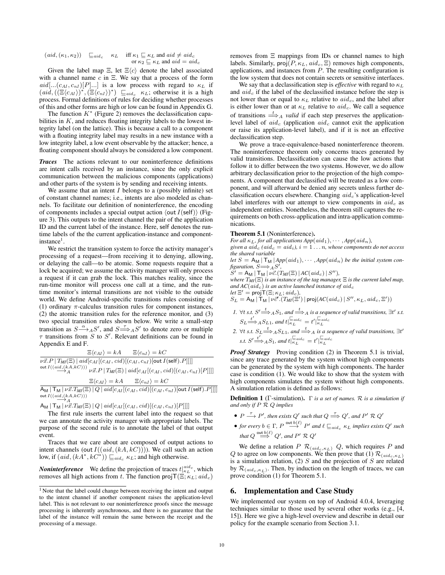$$
\begin{array}{ll} \big(\mathit{aid},(\kappa_1,\kappa_2)\big) & \sqsubseteq_{\mathit{aid}_c} & \kappa_L & \text{ iff } \kappa_1 \sqsubseteq \kappa_L \text{ and } \mathit{aid} \neq \mathit{aid}_c \\ & \hspace{3em} \text{ or } \kappa_2 \sqsubseteq \kappa_L \text{ and } \mathit{aid} = \mathit{aid}_c \end{array}
$$

Given the label map  $\Xi$ , let  $\Xi\langle c \rangle$  denote the label associated with a channel name  $c$  in  $\Xi$ . We say that a process of the form  $aid[... (c_{AI}, c_{nI})[P]...]$  is a low process with regard to  $\kappa_L$  if  $(id, ((\Xi\langle c_{AI} \rangle)^*, (\Xi\langle c_{nI} \rangle)^*) \sqsubseteq_{aid_c} \kappa_L$ ; otherwise it is a high process. Formal definitions of rules for deciding whether processes of this and other forms are high or low can be found in Appendix G.

The function  $K^*$  (Figure 2) removes the declassification capabilities in  $K$ , and reduces floating integrity labels to the lowest integrity label (on the lattice). This is because a call to a component with a floating integrity label may results in a new instance with a low integrity label, a low event observable by the attacker; hence, a floating component should always be considered a low component.

*Traces* The actions relevant to our noninterference definitions are intent calls received by an instance, since the only explicit communication between the malicious components (applications) and other parts of the system is by sending and receiving intents.

We assume that an intent  $I$  belongs to a (possibly infinite) set of constant channel names; i.e., intents are also modeled as channels. To facilitate our definition of noninterference, the encoding of components includes a special output action  $\langle \text{out } I(\text{self}) \rangle$  (Figure 3). This outputs to the intent channel the pair of the application ID and the current label of the instance. Here, self denotes the runtime labels of the the current application-instance and component $instance<sup>1</sup>$ .

We restrict the transition system to force the activity manager's processing of a request—from receiving it to denying, allowing, or delaying the call—to be atomic. Some requests require that a lock be acquired; we assume the activity manager will only process a request if it can grab the lock. This matches reality, since the run-time monitor will process one call at a time, and the runtime monitor's internal transitions are not visible to the outside world. We define Android-specific transitions rules consisting of (1) ordinary  $\pi$ -calculus transition rules for component instances, (2) the atomic transition rules for the reference monitor, and (3) two special transition rules shown below. We write a small-step transition as  $S \stackrel{\alpha}{\longrightarrow}_A S'$ , and  $S \stackrel{\tau}{\Longrightarrow}_A S'$  to denote zero or multiple  $\tau$  transitions from S to S'. Relevant definitions can be found in Appendix E and F.

$$
\Xi\langle c_{AI}\rangle = kA \qquad \Xi\langle c_{nI}\rangle = kC
$$
  

$$
\overline{\nu \vec{x}.P | T_{MI}(\Xi) | \operatorname{aid}[c_{AI}[(c_{AI}, \operatorname{cid})[(c_{AI}, c_{nI})[\operatorname{out} I(\operatorname{self}).P]]]]}
$$
  
out  $I((\underbrace{\operatorname{aid}, (k_{A}, k_{C})}_{A})) \qquad \nu \vec{x}.P | T_{MI}(\Xi) | \operatorname{aid}[c_{AI}[(c_{AI}, \operatorname{cid})[(c_{AI}, c_{nI})[P]]]]$   

$$
\Xi\langle c_{AI}\rangle = kA \qquad \Xi\langle c_{nI}\rangle = kC
$$

 $\overline{{\sf A}_{\sf M}\,|\,{\sf T}_{\sf M}\,|\,\nu\vec x.T_{\sf M\!I}(\Xi)\,|\,Q\,|\,\mathit{aid}\,[c_{AI}\,[(c_{AI},\mathit{cid})](c_{AI},c_{nI})[{\sf out}\,I({\sf self}).P]]]]}$ out  $I((\underset{\longrightarrow}{aid, (kA, kC)}))$ 

 $A_{\text{M}} | T_{\text{M}} | \nu \vec{x}. T_{\text{M}}(\Xi) | Q | \text{aid}[c_{AI}[(c_{AI}, \text{cid})[(c_{AI}, c_{nI})[P]]]]$ 

The first rule inserts the current label into the request so that we can annotate the activity manager with appropriate labels. The purpose of the second rule is to annotate the label of that output event.

Traces that we care about are composed of output actions to intent channels (out  $I((aid, (kA, kC))))$ ). We call such an action low, if  $(\textit{aid}, (kA^*, \textit{kC}^*)) \sqsubseteq_{\textit{aid}_c} \kappa_L$ ; and high otherwise.

*Noninterference* We define the projection of traces  $t|_{\kappa_L}^{aid_c}$ , which removes all high actions from t. The function  $projT(\Xi;\kappa_L;aid_c)$  removes from Ξ mappings from IDs or channel names to high labels. Similarly,  $proj(P, \kappa_L, aid_c, \Xi)$  removes high components, applications, and instances from  $P$ . The resulting configuration is the low system that does not contain secrets or sensitive interfaces.

We say that a declassification step is *effective* with regard to  $\kappa_L$ and  $aid_c$  if the label of the declassified instance before the step is not lower than or equal to  $\kappa_L$  relative to  $aid_c$ , and the label after is either lower than or at  $\kappa_L$  relative to  $aid_c$ . We call a sequence of transitions  $\stackrel{t}{\Longrightarrow}_A$  *valid* if each step preserves the applicationlevel label of  $aid_c$  (application  $aid_c$  cannot exit the application or raise its application-level label), and if it is not an effective declassification step.

We prove a trace-equivalence-based noninterference theorem. The noninterference theorem only concerns traces generated by valid transitions. Declassification can cause the low actions that follow it to differ between the two systems. However, we do allow arbitrary declassification prior to the projection of the high components. A component that declassified will be treated as a low component, and will afterward be denied any secrets unless further declassification occurs elsewhere. Changing  $aid_c$ 's application-level label interferes with our attempt to view components in  $aid_c$  as independent entities. Nonetheless, the theorem still captures the requirements on both cross-application and intra-application communications.

#### Theorem 5.1 (Noninterference).

*For all*  $\kappa_L$ *, for all applications*  $App(\text{aid}_1), \cdots, App(\text{aid}_n)$ *,* given a  $aid_c$  ( $aid_c = aid_i$ ),  $i = 1...n$ , whose components do not access *the shared variable* let  $S = A_M | T_M | App(\text{aid}_1), \cdots, App(\text{aid}_n)$  be the initial system con $figuration, S \longrightarrow A S',$  $S' = A_M | T_M | \nu \vec{c} \cdot (T_M(\Xi) | AC(\mathit{aid}_c) | S'')$ , *where*  $T_{MI}(\Xi)$  *is an instance of the tag manager*,  $\Xi$  *is the current label map,* 

and  $AC(ai d_c)$  *is an active launched instance of aid<sub>c</sub>*  $let \Xi' = \text{projT}(\Xi; \kappa_L; \text{aid}_c)$ ,

$$
S_L = \mathsf{A}_\mathsf{M} | \mathsf{T}_\mathsf{M} | \nu \vec{c}'. (T_{\mathsf{M} \mathsf{I}}(\Xi') | \mathsf{proj}(A C(\mathit{aid}_c) | S'', \kappa_L, \mathit{aid}_c, \Xi'))
$$

- *1.*  $\forall t$  *s.t.*  $S' \stackrel{t}{\Longrightarrow}_A S_1$ *, and*  $\stackrel{t}{\Longrightarrow}_A$  *is a sequence of valid transitions,*  $\exists t'$  *s.t.*  $S_L \stackrel{t'}{\Longrightarrow}_A S_{L1}$ , and  $t|_{\kappa_L}^{\square_{aidc}} = t'|_{\kappa_L}^{\square_{aidc}}$
- 2.  $\forall t$  *s.t.*  $S_L \stackrel{t}{\Longrightarrow}_A S_{L1}$ *, and*  $\stackrel{t}{\Longrightarrow}_A$  *is a sequence of valid transitions,*  $\exists t'$ *s.t.*  $S' \stackrel{t'}{\Longrightarrow} {}_A S_1$ *, and*  $t \vert_{\kappa_L}^{\sqsubseteq_{aid_c}} = t' \vert_{\kappa_L}^{\sqsubseteq_{aid_c}}$

*Proof Strategy* Proving condition (2) in Theorem 5.1 is trivial, since any trace generated by the system without high components can be generated by the system with high components. The harder case is condition (1). We would like to show that the system with high components simulates the system without high components. A simulation relation is defined as follows:

Definition 1 (Γ-simulation). Γ *is a set of names.* R *is a simulation if and only if* P R Q *implies*

- $P \stackrel{\tau}{\longrightarrow} P'$ , then exists Q' such that  $Q \stackrel{\tau}{\Longrightarrow} Q'$ , and  $P' \mathcal{R} Q'$
- *for every*  $b \in \Gamma$ ,  $P \stackrel{\text{out } b(\ell)}{\longrightarrow} P'$  and  $\ell \sqsubseteq_{aid_c} \kappa_L$  *implies exists*  $Q'$  *such that*  $Q \stackrel{\text{out } b(\ell)}{\Longrightarrow} Q'$ , and  $P' \mathcal{R} Q'$

We define a relation  $P \mathcal{R}_{(aid_c, \kappa_L)} Q$ , which requires P and Q to agree on low components. We then prove that (1)  $\mathcal{R}_{(aid_c, \kappa_L)}$ is a simulation relation,  $(2)$  S and the projection of S are related by  $\mathcal{R}_{(aid_c, \kappa_L)}$ . Then, by induction on the length of traces, we can prove condition (1) for Theorem 5.1.

## 6. Implementation and Case Study

We implemented our system on top of Android 4.0.4, leveraging techniques similar to those used by several other works (e.g., [4, 15]). Here we give a high-level overview and describe in detail our policy for the example scenario from Section 3.1.

<sup>&</sup>lt;sup>1</sup> Note that the label could change between receiving the intent and output to the intent channel if another component raises the application-level label. This is not relevant to our noninterference proofs since the message processing is inherently asynchronous, and there is no guarantee that the label of the instance will remain the same between the receipt and the processing of a message.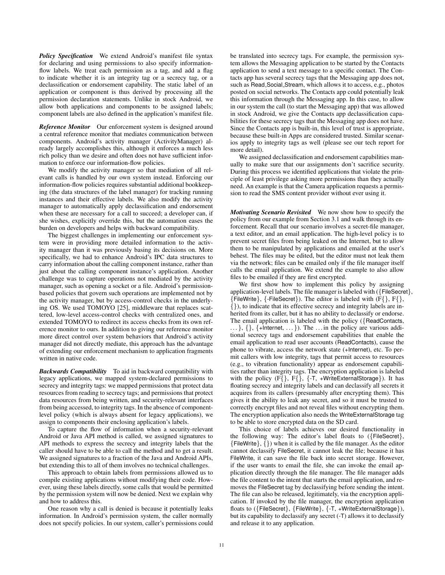*Policy Specification* We extend Android's manifest file syntax for declaring and using permissions to also specify informationflow labels. We treat each permission as a tag, and add a flag to indicate whether it is an integrity tag or a secrecy tag, or a declassification or endorsement capability. The static label of an application or component is thus derived by processing all the permission declaration statements. Unlike in stock Android, we allow both applications and components to be assigned labels; component labels are also defined in the application's manifest file.

*Reference Monitor* Our enforcement system is designed around a central reference monitor that mediates communication between components. Android's activity manager (ActivityManager) already largely accomplishes this, although it enforces a much less rich policy than we desire and often does not have sufficient information to enforce our information-flow policies.

We modify the activity manager so that mediation of all relevant calls is handled by our own system instead. Enforcing our information-flow policies requires substantial additional bookkeeping (the data structures of the label manager) for tracking running instances and their effective labels. We also modify the activity manager to automatically apply declassification and endorsement when these are necessary for a call to succeed; a developer can, if she wishes, explicitly override this, but the automation eases the burden on developers and helps with backward compatibility.

The biggest challenges in implementing our enforcement system were in providing more detailed information to the activity manager than it was previously basing its decisions on. More specifically, we had to enhance Android's IPC data structures to carry information about the calling component instance, rather than just about the calling component instance's application. Another challenge was to capture operations not mediated by the activity manager, such as opening a socket or a file. Android's permissionbased policies that govern such operations are implemented not by the activity manager, but by access-control checks in the underlying OS. We used TOMOYO [25], middleware that replaces scattered, low-level access-control checks with centralized ones, and extended TOMOYO to redirect its access checks from its own reference monitor to ours. In addition to giving our reference monitor more direct control over system behaviors that Android's activity manager did not directly mediate, this approach has the advantage of extending our enforcement mechanism to application fragments written in native code.

*Backwards Compatibility* To aid in backward compatibility with legacy applications, we mapped system-declared permissions to secrecy and integrity tags: we mapped permissions that protect data resources from reading to secrecy tags; and permissions that protect data resources from being written, and security-relevant interfaces from being accessed, to integrity tags. In the absence of componentlevel policy (which is always absent for legacy applications), we assign to components their enclosing application's labels.

To capture the flow of information when a security-relevant Android or Java API method is called, we assigned signatures to API methods to express the secrecy and integrity labels that the caller should have to be able to call the method and to get a result. We assigned signatures to a fraction of the Java and Android APIs, but extending this to all of them involves no technical challenges.

This approach to obtain labels from permissions allowed us to compile existing applications without modifying their code. However, using these labels directly, some calls that would be permitted by the permission system will now be denied. Next we explain why and how to address this.

One reason why a call is denied is because it potentially leaks information. In Android's permission system, the caller normally does not specify policies. In our system, caller's permissions could be translated into secrecy tags. For example, the permission system allows the Messaging application to be started by the Contacts application to send a text message to a specific contact. The Contacts app has several secrecy tags that the Messaging app does not, such as Read Social Stream, which allows it to access, e.g., photos posted on social networks. The Contacts app could potentially leak this information through the Messaging app. In this case, to allow in our system the call (to start the Messaging app) that was allowed in stock Android, we give the Contacts app declassification capabilities for these secrecy tags that the Messaging app does not have. Since the Contacts app is built-in, this level of trust is appropriate, because these built-in Apps are considered trusted. Similar scenarios apply to integrity tags as well (please see our tech report for more detail).

We assigned declassification and endorsement capabilities manually to make sure that our assignments don't sacrifice security. During this process we identified applications that violate the principle of least privilege asking more permissions than they actually need. An example is that the Camera application requests a permission to read the SMS content provider without ever using it.

*Motivating Scenario Revisited* We now show how to specify the policy from our example from Section 3.1 and walk through its enforcement. Recall that our scenario involves a secret-file manager, a text editor, and an email application. The high-level policy is to prevent secret files from being leaked on the Internet, but to allow them to be manipulated by applications and emailed at the user's behest. The files may be edited, but the editor must not leak them via the network; files can be emailed only if the file manager itself calls the email application. We extend the example to also allow files to be emailed if they are first encrypted.

We first show how to implement this policy by assigning application-level labels. The file manager is labeled with ({FileSecret},  ${FileWrite}, {FileSecret}}$ . The editor is labeled with  $(F{}, F{}, F{})$ , {}), to indicate that its effective secrecy and integrity labels are inherited from its caller, but it has no ability to declassify or endorse. The email application is labeled with the policy ({ReadContacts,  $\ldots$ }, {}, {+Internet,  $\ldots$ }). The  $\ldots$  in the policy are various additional secrecy tags and endorsement capabilities that enable the email application to read user accounts (ReadContacts), cause the phone to vibrate, access the network state (+Internet), etc. To permit callers with low integrity, tags that permit access to resources (e.g., to vibration functionality) appear as endorsement capabilities rather than integrity tags. The encryption application is labeled with the policy  $(F\{ \} , F\{ \} , \{-T, +WriteExternalStorage \})$ . It has floating secrecy and integrity labels and can declassify all secrets it acquires from its callers (presumably after encrypting them). This gives it the ability to leak any secret, and so it must be trusted to correctly encrypt files and not reveal files without encrypting them. The encryption application also needs the WriteExternalStorage tag to be able to store encrypted data on the SD card.

This choice of labels achieves our desired functionality in the following way: The editor's label floats to ({FileSecret},  ${FileWrite}, { }$  (b) when it is called by the file manager. As the editor cannot declassify FileSecret, it cannot leak the file; because it has FileWrite, it can save the file back into secret storage. However, if the user wants to email the file, she can invoke the email application directly through the file manager. The file manager adds the file content to the intent that starts the email application, and removes the FileSecret tag by declassifying before sending the intent. The file can also be released, legitimately, via the encryption application. If invoked by the file manager, the encryption application floats to ({FileSecret}, {FileWrite}, {-T, +WriteExternalStorage}), but its capability to declassify any secret (-T) allows it to declassify and release it to any application.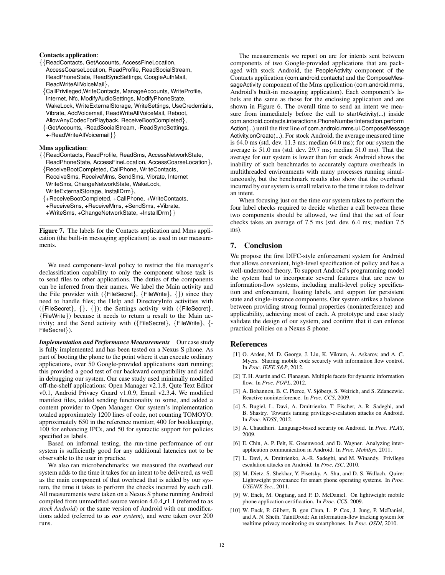#### Contacts application:

{{ReadContacts, GetAccounts, AccessFineLocation, AccessCoarseLocation, ReadProfile, ReadSocialStream, ReadPhoneState, ReadSyncSettings, GoogleAuthMail, ReadWriteAllVoiceMail},

{CallPrivileged,WriteContacts, ManageAccounts, WriteProfile, Internet, Nfc, ModifyAudioSettings, ModifyPhoneState, WakeLock, WriteExternalStorage, WriteSettings, UseCredentials, Vibrate, AddVoicemail, ReadWriteAllVoiceMail, Reboot, AllowAnyCodecForPlayback, ReceiveBootCompleted},

{-GetAccounts, -ReadSocialStream, -ReadSyncSettings, +-ReadWriteAllVoicemail}}

### Mms application:

- {{ReadContacts, ReadProfile, ReadSms, AccessNetworkState, ReadPhoneState, AccessFineLocation, AccessCoarseLocation},
- {ReceiveBootCompleted, CallPhone, WriteContacts, ReceiveSms, ReceiveMms, SendSms, Vibrate, Internet WriteSms, ChangeNetworkState, WakeLock, WriteExternalStorage, InstallDrm},
- {+ReceiveBootCompleted, +CallPhone, +WriteContacts,
- +ReceiveSms, +ReceiveMms, +SendSms, +Vibrate,
- +WriteSms, +ChangeNetworkState, +InstallDrm}}

Figure 7. The labels for the Contacts application and Mms application (the built-in messaging application) as used in our measurements.

We used component-level policy to restrict the file manager's declassification capability to only the component whose task is to send files to other applications. The duties of the components can be inferred from their names. We label the Main activity and the File provider with ({FileSecret}, {FileWrite}, {}) since they need to handle files; the Help and DirectoryInfo activities with ({FileSecret}, {}, {}); the Settings activity with ({FileSecret}, {FileWrite}) because it needs to return a result to the Main activity; and the Send activity with ({FileSecret}, {FileWrite}, {- FileSecret}).

**Implementation and Performance Measurements** Our case study is fully implemented and has been tested on a Nexus S phone. As part of booting the phone to the point where it can execute ordinary applications, over 50 Google-provided applications start running; this provided a good test of our backward compatibility and aided in debugging our system. Our case study used minimally modified off-the-shelf applications: Open Manager v2.1.8, Qute Text Editor v0.1, Android Privacy Guard v1.0.9, Email v2.3.4. We modified manifest files, added sending functionality to some, and added a content provider to Open Manager. Our system's implementation totaled approximately 1200 lines of code, not counting TOMOYO: approximately 650 in the reference monitor, 400 for bookkeeping, 100 for enhancing IPCs, and 50 for syntactic support for policies specified as labels.

Based on informal testing, the run-time performance of our system is sufficiently good for any additional latencies not to be observable to the user in practice.

We also ran microbenchmarks: we measured the overhead our system adds to the time it takes for an intent to be delivered, as well as the main component of that overhead that is added by our system, the time it takes to perform the checks incurred by each call. All measurements were taken on a Nexus S phone running Android compiled from unmodified source version 4.0.4 r1.1 (referred to as *stock Android*) or the same version of Android with our modifications added (referred to as *our system*), and were taken over 200 runs.

The measurements we report on are for intents sent between components of two Google-provided applications that are packaged with stock Android, the PeopleActivity component of the Contacts application (com.android.contacts) and the ComposeMessageActivity component of the Mms application (com.android.mms, Android's built-in messaging application). Each component's labels are the same as those for the enclosing application and are shown in Figure 6. The overall time to send an intent we measure from immediately before the call to startActivity(...) inside com.android.contacts.interactions.PhoneNumberInteraction.perform Action(...) until the first line of com.android.mms.ui.ComposeMessage Activity.onCreate(...). For stock Android, the average measured time is 64.0 ms (std. dev. 11.3 ms; median 64.0 ms); for our system the average is 51.0 ms (std. dev. 29.7 ms; median 51.0 ms). That the average for our system is lower than for stock Android shows the inability of such benchmarks to accurately capture overheads in multithreaded environments with many processes running simultaneously, but the benchmark results also show that the overhead incurred by our system is small relative to the time it takes to deliver an intent.

When focusing just on the time our system takes to perform the four label checks required to decide whether a call between these two components should be allowed, we find that the set of four checks takes an average of 7.5 ms (std. dev. 6.4 ms; median 7.5 ms).

## 7. Conclusion

We propose the first DIFC-style enforcement system for Android that allows convenient, high-level specification of policy and has a well-understood theory. To support Android's programming model the system had to incorporate several features that are new to information-flow systems, including multi-level policy specification and enforcement, floating labels, and support for persistent state and single-instance components. Our system strikes a balance between providing strong formal properties (noninterference) and applicability, achieving most of each. A prototype and case study validate the design of our system, and confirm that it can enforce practical policies on a Nexus S phone.

#### References

- [1] O. Arden, M. D. George, J. Liu, K. Vikram, A. Askarov, and A. C. Myers. Sharing mobile code securely with information flow control. In *Proc. IEEE S&P*, 2012.
- [2] T. H. Austin and C. Flanagan. Multiple facets for dynamic information flow. In *Proc. POPL*, 2012.
- [3] A. Bohannon, B. C. Pierce, V. Sjöberg, S. Weirich, and S. Zdancewic. Reactive noninterference. In *Proc. CCS*, 2009.
- [4] S. Bugiel, L. Davi, A. Dmitrienko, T. Fischer, A.-R. Sadeghi, and B. Shastry. Towards taming privilege-escalation attacks on Android. In *Proc. NDSS*, 2012.
- [5] A. Chaudhuri. Language-based security on Android. In *Proc. PLAS*, 2009.
- [6] E. Chin, A. P. Felt, K. Greenwood, and D. Wagner. Analyzing interapplication communication in Android. In *Proc. MobiSys*, 2011.
- [7] L. Davi, A. Dmitrienko, A.-R. Sadeghi, and M. Winandy. Privilege escalation attacks on Android. In *Proc. ISC*, 2010.
- [8] M. Dietz, S. Shekhar, Y. Pisetsky, A. Shu, and D. S. Wallach. Quire: Lightweight provenance for smart phone operating systems. In *Proc. USENIX Sec.*, 2011.
- [9] W. Enck, M. Ongtang, and P. D. McDaniel. On lightweight mobile phone application certification. In *Proc. CCS*, 2009.
- [10] W. Enck, P. Gilbert, B. gon Chun, L. P. Cox, J. Jung, P. McDaniel, and A. N. Sheth. TaintDroid: An information-flow tracking system for realtime privacy monitoring on smartphones. In *Proc. OSDI*, 2010.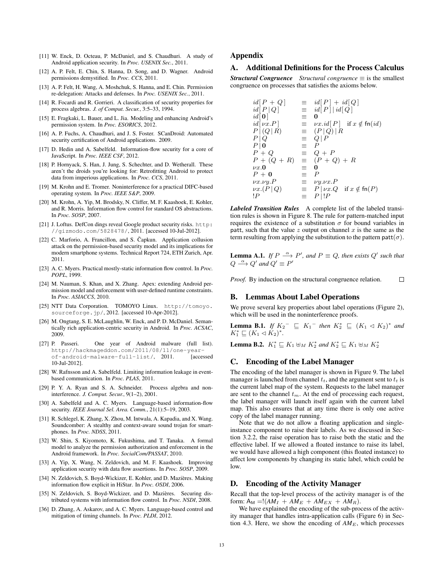- [11] W. Enck, D. Octeau, P. McDaniel, and S. Chaudhuri. A study of Android application security. In *Proc. USENIX Sec.*, 2011.
- [12] A. P. Felt, E. Chin, S. Hanna, D. Song, and D. Wagner. Android permissions demystified. In *Proc. CCS*, 2011.
- [13] A. P. Felt, H. Wang, A. Moshchuk, S. Hanna, and E. Chin. Permission re-delegation: Attacks and defenses. In *Proc. USENIX Sec.*, 2011.
- [14] R. Focardi and R. Gorrieri. A classification of security properties for process algebras. *J. of Comput. Secur.*, 3:5–33, 1994.
- [15] E. Fragkaki, L. Bauer, and L. Jia. Modeling and enhancing Android's permission system. In *Proc. ESORICS*, 2012.
- [16] A. P. Fuchs, A. Chaudhuri, and J. S. Foster. SCanDroid: Automated security certification of Android applications. 2009.
- [17] D. Hedin and A. Sabelfeld. Information-flow security for a core of JavaScript. In *Proc. IEEE CSF*, 2012.
- [18] P. Hornyack, S. Han, J. Jung, S. Schechter, and D. Wetherall. These aren't the droids you're looking for: Retrofitting Android to protect data from imperious applications. In *Proc. CCS*, 2011.
- [19] M. Krohn and E. Tromer. Noninterference for a practical DIFC-based operating system. In *Proc. IEEE S&P*, 2009.
- [20] M. Krohn, A. Yip, M. Brodsky, N. Cliffer, M. F. Kaashoek, E. Kohler, and R. Morris. Information flow control for standard OS abstractions. In *Proc. SOSP*, 2007.
- [21] J. Loftus. DefCon dings reveal Google product security risks. http: //gizmodo.com/5828478/, 2011. [accessed 10-Jul-2012].
- [22] C. Marforio, A. Francillon, and S. Čapkun. Application collusion attack on the permission-based security model and its implications for modern smartphone systems. Technical Report 724, ETH Zurich, Apr. 2011.
- [23] A. C. Myers. Practical mostly-static information flow control. In *Proc. POPL*, 1999.
- [24] M. Nauman, S. Khan, and X. Zhang. Apex: extending Android permission model and enforcement with user-defined runtime constraints. In *Proc. ASIACCS*, 2010.
- [25] NTT Data Corporation. TOMOYO Linux. http://tomoyo. sourceforge.jp/, 2012. [accessed 10-Apr-2012].
- [26] M. Ongtang, S. E. McLaughlin, W. Enck, and P. D. McDaniel. Semantically rich application-centric security in Android. In *Proc. ACSAC*, 2009.
- [27] P. Passeri. One year of Android malware (full list). http://hackmageddon.com/2011/08/11/one-yearof-android-malware-full-list/, 2011. [accessed 10-Jul-2012].
- [28] W. Rafnsson and A. Sabelfeld. Limiting information leakage in eventbased communication. In *Proc. PLAS*, 2011.
- [29] P. Y. A. Ryan and S. A. Schneider. Process algebra and noninterference. *J. Comput. Secur.*, 9(1–2), 2001.
- [30] A. Sabelfeld and A. C. Myers. Language-based information-flow security. *IEEE Journal Sel. Area. Comm.*, 21(1):5–19, 2003.
- [31] R. Schlegel, K. Zhang, X. Zhou, M. Intwala, A. Kapadia, and X. Wang. Soundcomber: A stealthy and context-aware sound trojan for smartphones. In *Proc. NDSS*, 2011.
- [32] W. Shin, S. Kiyomoto, K. Fukushima, and T. Tanaka. A formal model to analyze the permission authorization and enforcement in the Android framework. In *Proc. SocialCom/PASSAT*, 2010.
- [33] A. Yip, X. Wang, N. Zeldovich, and M. F. Kaashoek. Improving application security with data flow assertions. In *Proc. SOSP*, 2009.
- [34] N. Zeldovich, S. Boyd-Wickizer, E. Kohler, and D. Mazières. Making information flow explicit in HiStar. In *Proc. OSDI*, 2006.
- [35] N. Zeldovich, S. Boyd-Wickizer, and D. Mazières. Securing distributed systems with information flow control. In *Proc. NSDI*, 2008.
- [36] D. Zhang, A. Askarov, and A. C. Myers. Language-based control and mitigation of timing channels. In *Proc. PLDI*, 2012.

## Appendix

## A. Additional Definitions for the Process Calculus

*Structural Congruence Structural congruence*  $\equiv$  is the smallest congruence on processes that satisfies the axioms below.

| $\equiv$ | $id[P] + id[Q]$                                      |
|----------|------------------------------------------------------|
|          | $\equiv \operatorname{id}[P]   \operatorname{id}[Q]$ |
| Ξ        | 0                                                    |
| $\equiv$ | $\nu x. id[P]$ if $x \notin \text{fn}(id)$           |
| $\equiv$ | (P Q) R                                              |
| $\equiv$ | $Q \,   \, P$                                        |
| E.       | $\boldsymbol{P}$                                     |
| $\equiv$ | $Q + P$                                              |
| $\equiv$ | $(P+Q)+R$                                            |
| ≡        | 0                                                    |
| ≡        | $\boldsymbol{P}$                                     |
| $\equiv$ | $\nu y.\nu x.P$                                      |
|          | $\equiv P  \nu x.Q$ if $x \notin \text{fn}(P)$       |
| E.       | $P \mid P$                                           |
|          |                                                      |

*Labeled Transition Rules* A complete list of the labeled transition rules is shown in Figure 8. The rule for pattern-matched input requires the existence of a substitution  $\sigma$  for bound variables in patt, such that the value  $z$  output on channel  $x$  is the same as the term resulting from applying the substitution to the pattern patt $(\sigma)$ .

**Lemma A.1.** *If*  $P \stackrel{\alpha}{\longrightarrow} P'$ , and  $P \equiv Q$ , then exists  $Q'$  such that  $Q \stackrel{\alpha}{\longrightarrow} Q'$  and  $Q' \equiv P'$ 

*Proof.* By induction on the structural congruence relation.  $\Box$ 

## B. Lemmas About Label Operations

We prove several key properties about label operations (Figure 2), which will be used in the noninterference proofs.

**Lemma B.1.** *If*  $K_2^- \subseteq K_1^-$  *then*  $K_2^* \subseteq (K_1 \triangleleft K_2)^*$  *and*  $K_1^* \sqsubseteq (K_1 \triangleleft K_2)^*.$ 

**Lemma B.2.**  $K_1^* \sqsubseteq K_1 \oplus_M K_2^*$  and  $K_2^* \sqsubseteq K_1 \oplus_M K_2^*$ 

## C. Encoding of the Label Manager

The encoding of the label manager is shown in Figure 9. The label manager is launched from channel  $t_t$ , and the argument sent to  $t_t$  is the current label map of the system. Requests to the label manager are sent to the channel  $t_m$ . At the end of processing each request, the label manager will launch itself again with the current label map. This also ensures that at any time there is only one active copy of the label manager running.

Note that we do not allow a floating application and singleinstance component to raise their labels. As we discussed in Section 3.2.2, the raise operation has to raise both the static and the effective label. If we allowed a floated instance to raise its label, we would have allowed a high component (this floated instance) to affect low components by changing its static label, which could be low.

## D. Encoding of the Activity Manager

Recall that the top-level process of the activity manager is of the form:  $A_M = (AM_I + AM_E + AM_{EX} + AM_R).$ 

We have explained the encoding of the sub-process of the activity manager that handles intra-application calls (Figure 6) in Section 4.3. Here, we show the encoding of  $AM_E$ , which processes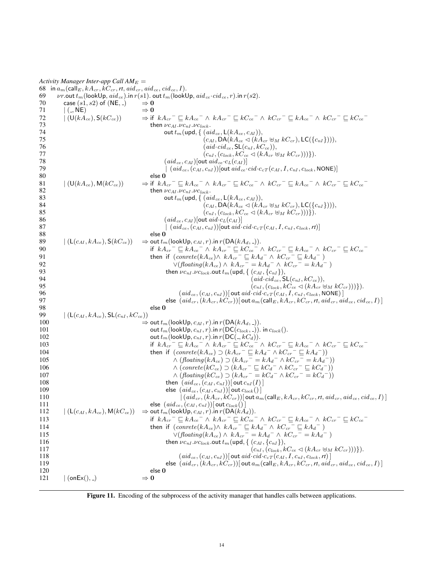| 69         | Activity Manager Inter-app Call $AM_E =$<br>68 in $a_m$ (call $E, kA_{cr}, kC_{cr}, r\tau, aid_{cr}, aid_{ce}, cid_{ce}, I$ ). | <i>vr</i> .out $t_m$ (lookUp, $aid_{ce}$ ). in $r(s_1)$ . out $t_m$ (lookUp, $aid_{ce} \cdot cid_{ce}, r$ ). in $r(s_2)$ .                                                                                                                                                                                |
|------------|--------------------------------------------------------------------------------------------------------------------------------|-----------------------------------------------------------------------------------------------------------------------------------------------------------------------------------------------------------------------------------------------------------------------------------------------------------|
| 70         | case $(s1, s2)$ of (NE, $_{-}$ )                                                                                               | $\Rightarrow$ 0                                                                                                                                                                                                                                                                                           |
| 71         | $($ $\,$ , NE)                                                                                                                 | $\Rightarrow$ 0                                                                                                                                                                                                                                                                                           |
| 72         | $(U(kA_{ce}), S(kC_{ce}))$                                                                                                     | $\Rightarrow$ if $kA_{cr}$ $\equiv$ $kA_{ce}$ $\equiv$ $\wedge$ $kA_{cr}$ $\equiv$ $kC_{ce}$ $\equiv$ $\wedge$ $kC_{cr}$ $\equiv$ $kA_{ce}$ $\equiv$ $kC_{ce}$ $\equiv$ $kC_{ce}$ $\equiv$                                                                                                                |
| 73         |                                                                                                                                | then $\nu c_{AI} \ldotp \nu c_{nl} \ldotp \nu c_{lock}$ .                                                                                                                                                                                                                                                 |
| 74         |                                                                                                                                | out $t_m$ (upd, { $(\textit{aid}_{\textit{ce}}, \mathsf{L}(\textit{kA}_{\textit{ce}}, c_{\textit{AI}})),$                                                                                                                                                                                                 |
| 75         |                                                                                                                                | $(c_{AI}, DA(kA_{ce} \triangleleft (kA_{cr} \boxplus_M kC_{cr}), LC(\lbrace c_{nI} \rbrace))),$                                                                                                                                                                                                           |
| 76         |                                                                                                                                | $(\textit{aid-cid}_{\textit{ce}}, \mathsf{SL}(c_{nI}, kC_{\textit{ce}})),$                                                                                                                                                                                                                                |
| 77         |                                                                                                                                | $(c_{nI}, (c_{lock}, kC_{ce} \lhd (kA_{cr} \boxplus_M kC_{cr})))\}).$                                                                                                                                                                                                                                     |
| 78         |                                                                                                                                | $(\mathit{aid}_{\mathit{ce}}, c_{AI})$  out $\mathit{aid}_{\mathit{ce}} \hspace{0.02cm} \cdot \hspace{0.02cm} c_{L}(c_{AI})]$                                                                                                                                                                             |
| 79         |                                                                                                                                | $(ai d_{ce}, (c_{AI}, c_{nI}))$ [out $aid_{ce} \cdot cid \cdot c_{cT}(c_{AI}, I, c_{nI}, c_{lock}, \text{NONE})$ ]                                                                                                                                                                                        |
| 80         |                                                                                                                                | else 0                                                                                                                                                                                                                                                                                                    |
| 81<br>82   | $\vert$ (U(kA <sub>ce</sub> ), M(kC <sub>ce</sub> ))                                                                           | $\Rightarrow$ if $kA_{cr}^- \sqsubseteq kA_{ce}^- \wedge kA_{cr}^- \sqsubseteq kC_{ce}^- \wedge kC_{cr}^- \sqsubseteq kA_{ce}^- \wedge kC_{cr}^- \sqsubseteq kC_{ce}^-$                                                                                                                                   |
| 83         |                                                                                                                                | then $\nu c_{AI} \ldotp \nu c_{nl} \ldotp \nu c_{lock}$ .                                                                                                                                                                                                                                                 |
| 84         |                                                                                                                                | out $t_m$ (upd, $\{(aid_{ce}, L(kA_{ce}, c_{AI})),$<br>$(c_{AI}, DA(kA_{ce} \triangleleft (kA_{cr} \boxplus_M kC_{cr}), LC({c_{nI}}))$ ,                                                                                                                                                                  |
| 85         |                                                                                                                                | $(c_{nI}, (c_{lock}, kC_{ce} \lhd (kA_{cr} \boxplus_M kC_{cr})))\}).$                                                                                                                                                                                                                                     |
| 86         |                                                                                                                                | $(aid_{ce}, c_{AI})$ out $aid \cdot c_L(c_{AI})$                                                                                                                                                                                                                                                          |
| 87         |                                                                                                                                | $(aid_{ce}, (c_{AI}, c_{nI}))$ [out aid·cid·c <sub>cT</sub> $(c_{AI}, I, c_{nI}, c_{lock}, rt)$ ]                                                                                                                                                                                                         |
| 88         |                                                                                                                                | else 0                                                                                                                                                                                                                                                                                                    |
| 89         | $( (L(c_{AI}, kA_{ce}), S(kC_{ce}))$                                                                                           | $\Rightarrow$ out $t_m$ (lookUp, $c_{AI}, r$ ). in $r(DA(kA_d, \_)).$                                                                                                                                                                                                                                     |
| 90         |                                                                                                                                | if $kA_{cr}^{\phantom{cr}}\subseteq kA_{ce}^{\phantom{cr}}\wedge kA_{cr}^{\phantom{cr}}\subseteq kC_{ee}^{\phantom{cr}}\wedge kC_{cr}^{\phantom{cr}}\subseteq kA_{ce}^{\phantom{cr}}\wedge kC_{cr}^{\phantom{cr}}\equiv kA_{ce}^{\phantom{cr}}\wedge kC_{cr}^{\phantom{cr}}\equiv kC_{ee}^{\phantom{cr}}$ |
| 91         |                                                                                                                                | then if $(conrete(kA_{ce}) \wedge kA_{cr}^- \sqsubseteq kA_d^- \wedge kC_{cr}^- \sqsubseteq kA_d^-)$                                                                                                                                                                                                      |
| 92         |                                                                                                                                | $\vee(floating(kA_{ce}) \wedge kA_{cr}^{-} = kA_d^{-} \wedge kC_{cr}^{-} = kA_d^{-}$                                                                                                                                                                                                                      |
| 93         |                                                                                                                                | then $\nu c_{nI}.\nu c_{lock}$ out $t_m$ (upd, { $(c_{AI}, \{c_{nI}\}),$                                                                                                                                                                                                                                  |
| 94         |                                                                                                                                | $(\textit{aid}\cdot \textit{cid}_{ce}, \mathsf{SL}(c_{nI}, kC_{ce})),$                                                                                                                                                                                                                                    |
| 95         |                                                                                                                                | $(c_{nI}, (c_{lock}, kC_{ce} \lhd (kA_{cr} \uplus_M kC_{cr})))\}).$                                                                                                                                                                                                                                       |
| 96<br>97   |                                                                                                                                | $(id_{ce}, (c_{AI}, c_{nI}))$ out $aid\cdot cid\cdot c_{cT}(c_{AI}, I, c_{nI}, c_{lock}, \text{NONE})$<br>else $(\textit{aid}_{cr}, (kA_{cr}, kC_{cr}))$ out $a_m$ (call $_E$ , $kA_{cr}, kC_{cr}, rt$ , $\textit{aid}_{cr}, \textit{aid}_{ce}, \textit{cid}_{ce}, I)$ ]                                  |
| 98         |                                                                                                                                | else 0                                                                                                                                                                                                                                                                                                    |
| 99         | $(L(c_{AI}, kA_{ce}), SL(c_{nI}, kC_{ce}))$                                                                                    |                                                                                                                                                                                                                                                                                                           |
| 100        |                                                                                                                                | $\Rightarrow$ out $t_m$ (lookUp, $c_{AI}, r$ ). in $r$ (DA( $kA_d,$ .)).                                                                                                                                                                                                                                  |
| 101        |                                                                                                                                | out $t_m$ (lookUp, $c_{nI}$ , r). in $r(DC(c_{lock},))$ . in $c_{lock}$ ().                                                                                                                                                                                                                               |
| 102        |                                                                                                                                | out $t_m$ (lookUp, $c_{nI}, r$ ). in $r(DC(., kC_d))$ .                                                                                                                                                                                                                                                   |
| 103        |                                                                                                                                | $\text{if } k{A_{cr}}^-\sqsubseteq k{A_{ce}}^-\wedge\ k{A_{cr}}^-\sqsubseteq k{C_{ce}}^-\wedge\ k{C_{cr}}^-\sqsubseteq k{A_{ce}}^-\wedge\ k{C_{cr}}^-\sqsubseteq k{C_{ce}}^-\ \$                                                                                                                          |
| 104        |                                                                                                                                | then if $(conrete(kA_{ce}) \supset (kA_{cr}^- \sqsubseteq kA_d^- \wedge kC_{cr}^- \sqsubseteq kA_d^-))$                                                                                                                                                                                                   |
| 105        |                                                                                                                                | $\wedge (floating(kA_{ce}) \supset (kA_{cr}^- = kA_d^- \wedge kC_{cr}^- = kA_d^-))$                                                                                                                                                                                                                       |
| 106        |                                                                                                                                | $\wedge (conrete(kC_{ce}) \supset (kA_{cr}^-\sqsubseteq kC_d^- \wedge kC_{cr}^-\sqsubseteq kC_d^-))$                                                                                                                                                                                                      |
| 107        |                                                                                                                                | $\wedge (floating(kC_{ce}) \supset (kA_{cr}^- = kC_d^- \wedge kC_{cr}^- = kC_d^-))$                                                                                                                                                                                                                       |
| 108        |                                                                                                                                | then $(ai d_{ce}, (c_{AI}, c_{nI}))$ out $c_{nI}(I)$ ]                                                                                                                                                                                                                                                    |
| 109        |                                                                                                                                | else $(ai d_{ce}, (c_{AI}, c_{nI}))$ [out $c_{lock}()$ ]                                                                                                                                                                                                                                                  |
| 110<br>111 |                                                                                                                                | $(aid_{cr}, (kA_{cr}, kC_{cr}))$ [out $a_m$ (call $_E$ , $kA_{cr}, kC_{cr}, rt$ , $aid_{cr}, aid_{ce}, cid_{ce}, I)$ ]<br>else $(\textit{aid}_{\textit{ce}},(\textit{c}_{\textit{AI}},\textit{c}_{\textit{nl}}))[\textsf{out}\,\textit{c}_{\textit{lock}}()$                                              |
| 112        | $( L(c_{AI}, kA_{ce}), M(kC_{ce}))$                                                                                            | $\Rightarrow$ out $t_m$ (lookUp, $c_{AI}, r$ ). in $r(DA(kA_d))$ .                                                                                                                                                                                                                                        |
| 113        |                                                                                                                                | if $kA_{cr}^- \sqsubseteq kA_{ce}^- \wedge kA_{cr}^- \sqsubseteq kC_{ce}^- \wedge kC_{cr}^- \sqsubseteq kA_{ce}^- \wedge kC_{cr}^- \sqsubseteq kC_{ce}^-$                                                                                                                                                 |
| 114        |                                                                                                                                | then if $(conrete(kA_{ce}) \wedge kA_{cr}^- \sqsubseteq kA_d^- \wedge kC_{cr}^- \sqsubseteq kA_d^-)$                                                                                                                                                                                                      |
| 115        |                                                                                                                                | $\vee(floating(kA_{ce}) \wedge kA_{cr}^{-} = kA_d^{-} \wedge kC_{cr}^{-} = kA_d^{-}$ )                                                                                                                                                                                                                    |
| 116        |                                                                                                                                | then $\nu c_{nI} \ldotp \nu c_{lock}$ out $t_m$ (upd, { $(c_{AI}, \{c_{nI}\})$ ,                                                                                                                                                                                                                          |
| 117        |                                                                                                                                | $(c_{nI}, (c_{lock}, kC_{ce} \lhd (kA_{cr} \uplus_M kC_{cr})))\}).$                                                                                                                                                                                                                                       |
| 118        |                                                                                                                                | $(aid_{ce}, (c_{AI}, c_{nI}))$ out aid $cid \cdot c_{cT}(c_{AI}, I, c_{nI}, c_{lock}, rt)$                                                                                                                                                                                                                |
| 119        |                                                                                                                                | else $(ald_{cr}, (kA_{cr}, kC_{cr}))$ out $a_m$ (call $_E$ , $kA_{cr}, kC_{cr}, rt$ , $aid_{cr}, aid_{ce}, cid_{ce}, I)$ ]                                                                                                                                                                                |
| 120        |                                                                                                                                | else 0                                                                                                                                                                                                                                                                                                    |
| 121        | $ $ (onEx(), $_{\text{-}}$ )                                                                                                   | $\Rightarrow$ 0                                                                                                                                                                                                                                                                                           |

Figure 11. Encoding of the subprocess of the activity manager that handles calls between applications.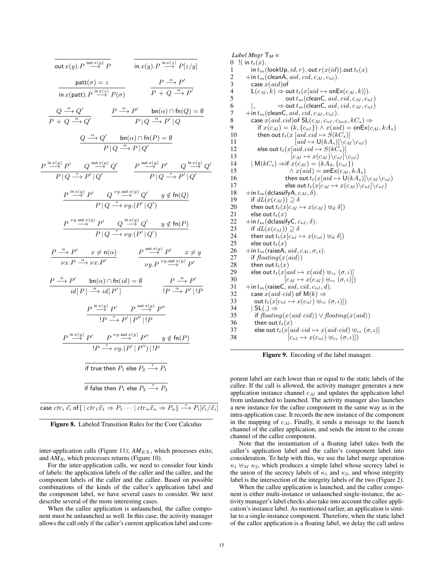out 
$$
x(y)
$$
.  $P \xrightarrow{\text{out } x(y)}$   $P$   
\n $\frac{\text{part}(a) = z}{\text{in } x(y)$ .  $P \xrightarrow{\text{in } x(z)}$   $P[z/y]$   
\n $\frac{\text{part}(a) = z}{\text{in } x(\text{part})}$ .  $P \xrightarrow{\text{in } x(z)}$   $P(\sigma)$   
\n $P + Q \xrightarrow{\alpha} P'$   
\n $P + Q \xrightarrow{\alpha} Q'$   
\n $P \xrightarrow{P} \xrightarrow{P} \text{bn}(\alpha) \cap \text{fn}(Q) = \emptyset$   
\n $Q \xrightarrow{\alpha} Q'$   
\n $P | Q \xrightarrow{\alpha} P' | Q'$   
\n $P | Q \xrightarrow{\alpha} P | Q'$   
\n $P | Q \xrightarrow{\text{in } x(y)} P' | Q'$   
\n $P | Q \xrightarrow{\text{in } x(y)} Q'$   
\n $P | Q \xrightarrow{\text{in } x(y)} P' | Q'$   
\n $P | Q \xrightarrow{\text{in } x(y)} P' | Q'$   
\n $P | Q \xrightarrow{\text{in } x(y)} P' | Q'$   
\n $P | Q \xrightarrow{\text{in } x(y)} P' | Q'$   
\n $P | Q \xrightarrow{\text{in } x(y)} P' | Q'$   
\n $P | Q \xrightarrow{\text{in } x(y)} Q'$   $y \notin \text{fn}(Q)$   
\n $P \xrightarrow{\text{in } x(y)} P' | Q \xrightarrow{\text{in } x(y)} Q'$   $y \notin \text{fn}(P)$   
\n $P | Q \xrightarrow{\text{in } x(y)} P' | Q'$   
\n $P | Q \xrightarrow{\text{in } x(y)} P' | Q'$   
\n $P | Q \xrightarrow{\text{in } x(y)} P' | Q'$   
\n $P | Q \xrightarrow{\text{in } x(y)} P' | Q'$   
\n $P | Q \xrightarrow{\text{in } x(y)} P' | Q'$   
\n $P \xrightarrow{\text{in } x(y)} P' | Q \xrightarrow{\text{out } x(y)} P'$   
\n $P \xrightarrow{\text{in } x(y)} P' | P'' | P'$   
\n $P \xrightarrow{\text{in } x(y)} P' | P'' | P'$   
\n $P \$ 

Figure 8. Labeled Transition Rules for the Core Calculus

inter-application calls (Figure 11);  $AM_{EX}$ , which processes exits; and  $AM<sub>R</sub>$ , which processes returns (Figure 10).

For the inter-application calls, we need to consider four kinds of labels: the application labels of the caller and the callee, and the component labels of the caller and the callee. Based on possible combinations of the kinds of the callee's application label and the component label, we have several cases to consider. We next describe several of the more interesting cases.

When the callee application is unlaunched, the callee component must be unlaunched as well. In this case, the activity manager allows the call only if the caller's current application label and com-

|                         | Label Mngr $T_M =$                                                                                |
|-------------------------|---------------------------------------------------------------------------------------------------|
| 0                       | !( in $t_t(x)$ .                                                                                  |
| 1                       | in $t_m$ (lookUp, $id, r$ ). out $r(x(id))$ .out $t_t(x)$                                         |
| $\overline{\mathbf{c}}$ | $+$ in $t_m$ (cleanA, $aid, cid, c_{AI}, c_{nI}).$                                                |
| 3                       | case $x(\text{aid})$ of                                                                           |
| 4                       | $\mathsf{L}(c_{AI}, k) \Rightarrow \mathsf{out} \, t_t(x[aid \mapsto \mathsf{onEx}(c_{AI}, k)]).$ |
| 5                       | out $t_m$ (clean C, aid, cid, $c_{AI}$ , $c_{nI}$ )                                               |
| 6                       | $\Rightarrow$ out $t_m$ (clean C, $aid, cid, c_{AI}, c_{nI})$                                     |
| 7                       | $+$ in $t_m$ (clean C, aid, cid, $c_{AI}, c_{nI}$ ).                                              |
| 8                       | case $x(\text{aid.} \text{cid})$ of $SL(c_{AI}, c_{nI}, c_{lock}, kC_s) \Rightarrow$              |
| 9                       | if $x(c_{AI}) = (k, \{c_{nI}\}) \wedge x(aid) = \text{onEx}(c_{AI}, kA_s)$                        |
| 10                      | then out $t_t(x \text{ } [aid.cid \mapsto S(kC_s)]$                                               |
| 11                      | $[aid \mapsto \mathsf{U}(kA_s)] \backslash c_{AI} \backslash c_{nI})$                             |
| 12                      | else out $t_t(x[aid.cid \mapsto S(kC_s))]$                                                        |
| 13                      | $[c_{AI} \mapsto x(c_{AI})\backslash c_{nI}]\backslash c_{nI})$                                   |
| 14                      | $\mid M(kC_s) \Rightarrow \text{if } x(c_{AI}) = (kA_d, \{c_{nI}\})$                              |
| 15                      | $\wedge x (aid) = \text{onEx}(c_{AI}, kA_s)$                                                      |
| 16                      | then out $t_t(x[aid \mapsto \mathsf{U}(kA_s)]\backslash c_{AI}\backslash c_{nI})$                 |
| 17                      | else out $t_t(x[c_{AI} \mapsto x(c_{AI})\setminus c_{nI}]\setminus c_{nI})$                       |
| 18                      | $+$ in $t_m$ (dclassify A, $c_{AI}, \delta$ ).                                                    |
| 19                      | if $dL(x(c_{AI})) \supseteq \delta$                                                               |
| 20                      | then out $t_t(x c_{AI} \mapsto x(c_{AI}) \uplus_d \delta)$                                        |
| 21                      | else out $t_t(x)$                                                                                 |
| 22                      | $+$ in $t_m$ (dclassify C, $c_{nI}$ , $\delta$ ).                                                 |
| 23                      | if $dL(x(c_{nI})) \supseteq \delta$                                                               |
| 24                      | then out $t_t(x[c_{nI} \mapsto x(c_{nI}) \uplus_d \delta])$                                       |
| 25                      | else out $t_t(x)$                                                                                 |
| 26                      | $+$ in $t_m$ (raiseA, $aid, c_{AI}, \sigma, \iota$ ).                                             |
| 27                      | if $floating(x\langle aid \rangle)$                                                               |
| 28                      | then out $t_t(x)$                                                                                 |
| 29                      | else out $t_t(x[aid \mapsto x(aid) \cup_{rz} (\sigma, \iota)]$                                    |
| 30                      | $[c_{AI} \mapsto x(c_{AI}) \uplus_{rz} (\sigma, \iota)]$                                          |
| 31                      | $+$ in $t_m$ (raiseC, $aid, cid, c_{nI}, d$ ).                                                    |
| 32                      | case $x(\text{aid } \text{cd})$ of $M(k) \Rightarrow$                                             |
| 33                      | out $t_t(x[c_{nI} \mapsto x(c_{nI}) \uplus_{rz} (\sigma, \iota)])$                                |
| 34                      | $ $ SL(_) $\Rightarrow$                                                                           |
| 35                      | if $floating(x\langle aid \cdot cid \rangle) \vee floating(x\langle aid \rangle)$                 |
| 36                      | then out $t_t(x)$                                                                                 |
| 37                      | else out $t_t(x[aid\cdot cid \mapsto x(aid\cdot cid) \cup_{rz} (\sigma, \iota)]$                  |
| 38                      | $[c_{nI} \mapsto x(c_{nI}) \uplus_{rz} (\sigma, \iota)]$                                          |
|                         |                                                                                                   |

Figure 9. Encoding of the label manager.

ponent label are each lower than or equal to the static labels of the callee. If the call is allowed, the activity manager generates a new application instance channel  $c_{AI}$  and updates the application label from unlaunched to launched. The activity manager also launches a new instance for the callee component in the same way as in the intra-application case. It records the new instance of the component in the mapping of  $c_{AI}$ . Finally, it sends a message to the launch channel of the callee application, and sends the intent to the create channel of the callee component.

Note that the instantiation of a floating label takes both the caller's application label and the caller's component label into consideration. To help with this, we use the label merge operation  $\kappa_1 \oplus_M \kappa_2$ , which produces a simple label whose secrecy label is the union of the secrecy labels of  $\kappa_1$  and  $\kappa_2$ , and whose integrity label is the intersection of the integrity labels of the two (Figure 2).

When the callee application is launched, and the callee component is either multi-instance or unlaunched single-instance, the activity manager's label checks also take into account the callee application's instance label. As mentioned earlier, an application is similar to a single-instance component. Therefore, when the static label of the callee application is a floating label, we delay the call unless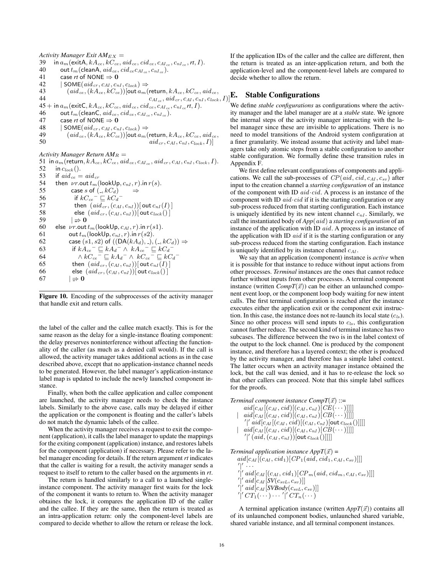$Activity$  *Manager Exit*  $AM_{EX}$  *=* 39 in  $a_m$  (exitA,  $kA_{ce}$ ,  $kC_{ce}$ ,  $aid_{ce}$ ,  $cid_{ce}$ ,  $c_{AL_{ce}}$ ,  $c_{nI_{ce}}$ ,  $rt$ , I).<br>40 out  $t_m$  (cleanA,  $aid_{ce}$ ,  $cid_{ce}CA_{c}$ ,  $c_{nI}$ ,). 40 out  $t_m$  (cleanA,  $aid_{ce}$ ,  $cid_{ce} c_{AI_{ce}}$ ,  $c_{nI_{ce}}$ ).<br>41 case *rt* of NONE  $\Rightarrow$  **0** 41 case *rt* of NONE  $\Rightarrow$  0<br>42 | SOME(*aid<sub>cT</sub>*, *c<sub>AI</sub>*, *c<sub>n</sub>*  $|SOME(*aid<sub>cr</sub>*, *c<sub>AI</sub>*, *c<sub>nock</sub>*) \Rightarrow$ 43  $(alde_c, (kA_{ce}, kC_{ce}))$ [out  $a_m$ (return,  $kA_{ce}, kC_{ce}$ ,  $aid_{ce}$ , 44 (dtd ce,  $(KT_{ce}, N_C_{ce})$  of  $a_{m}$  (close),  $K_{cR_{ce}}, a_{cR}, c_{cR}, d_{cR}, c_{bR}, d_{cR},$ <br>44 45 + in  $a_m$  (exit C,  $kA_{ce}$ ,  $kC_{ce}$ ,  $aid_{ce}$ ,  $cid_{ce}$ ,  $c_{AL_{ce}}$ ,  $c_{nI_{ce}}$ ,  $r_{nI_{ce}}$ ,  $I$ ).<br>46 out  $t_m$  (clean C,  $aid_{ce}$ ,  $cid_{ce}$ ,  $c_{AL_{ce}}$ ,  $c_{nI_{ce}}$ ). 46 out  $t_m$  (clean C,  $aid_{ce}$ ,  $cid_{ce}$ ,  $c_{AI_{ce}}$ ,  $c_{nI_{ce}}$ ).<br>47 case *rt* of NONE  $\Rightarrow$  **0** case *rt* of NONE  $\Rightarrow$  0 48 | SOME $(ai d_{cr}, c_{AI}, c_{nl}, c_{lock}) \Rightarrow$ <br>49  $(ai d_{ce}, (kA_{ce}, kC_{ce}))$ [out  $a_{m}$ ]  $(id_{ce},(kA_{ce},kC_{ce}))$ [out  $a_m$ (return,  $kA_{ce},kC_{ce}$ ,  $aid_{ce}$ ,

50  $aid_{cr}, c_{AI}, c_{nI}, c_{lock}, I)$ 

#### *Activity Manager Return*  $AM_R =$

51 in  $a_m$  (return,  $kA_{ce}$ ,  $kC_{ce}$ , aid  $ce$ ,  $c_{AI}$ , aid  $cr$ ,  $c_{AI}$ ,  $c_{nI}$ ,  $c_{lock}$ ,  $I$ ).<br>52 in  $c_{lock}$ (). 52 in  $c_{lock}$  ().<br>53 if  $aid_{ce}$  = 53 if  $aid_{ce} = aid_{cr}$ <br>54 then *vr*.out  $t_m$ 54 then  $\nu r$ .out  $t_m$  (lookUp,  $c_{nI}$ ,  $r$ ).in  $r(s)$ .<br>55 case s of  $($ ,  $kC_d$ )  $\Rightarrow$ case s of  $( \cdot, kC_d ) \longrightarrow$ 56 if  $kC_{ce}^- \sqsubseteq kC_d^-$ 57 then  $(ald_{cr}$ ,  $(c_{AI}, c_{nI})$  [out  $c_{nI}(I)$ ]<br>58 else  $(ald_{cr}$ ,  $(c_{AI}, c_{nI})$  [out  $c_{lock}(I)$ ] else  $(ald_{cr}$ ,  $(c_{AI}, c_{nI})$ ][ out  $c_{lock}()$ ] 59  $|\Rightarrow 0$ 60 else  $\nu r$ .out  $t_m$  (lookUp,  $c_{AI}$ , r).in  $r(s1)$ .<br>61 out  $t_m$  (lookUp,  $c_{nI}$ , r).in  $r(s2)$ . out  $t_m$  (lookUp,  $c_{nI}$ ,  $r$ ). in  $r(s2)$ . 62 case  $(s1, s2)$  of  $((DA(kA_d), -), (-, kC_d)) \Rightarrow$ 63 if  $kA_{ce}^{\phantom{ce}^-} \sqsubseteq kA_d^- \wedge kA_{ce}^{\phantom{ce}^-} \sqsubseteq kC_d^-$ 64  $\wedge kC_{ce}^- \sqsubseteq kA_d^- \wedge kC_{ce}^- \sqsubseteq kC_d^-$ 65 then  $(ald_{cr},(c_{AI},c_{nI})$  out  $c_{nI}(I)$  ] 66 else  $(ald_{cr},(c_{AI},c_{nI}))$ [ out  $c_{lock}()$ ] 67  $|\Rightarrow 0$ 

Figure 10. Encoding of the subprocesses of the activity manager that handle exit and return calls.

the label of the caller and the callee match exactly. This is for the same reason as the delay for a single-instance floating component: the delay preserves noninterference without affecting the functionality of the caller (as much as a denied call would). If the call is allowed, the activity manager takes additional actions as in the case described above, except that no application-instance channel needs to be generated. However, the label manager's application-instance label map is updated to include the newly launched component instance.

Finally, when both the callee application and callee component are launched, the activity manager needs to check the instance labels. Similarly to the above case, calls may be delayed if either the application or the component is floating and the caller's labels do not match the dynamic labels of the callee.

When the activity manager receives a request to exit the component (application), it calls the label manager to update the mappings for the exiting component (application) instance, and restores labels for the component (application) if necessary. Please refer to the label manager encoding for details. If the return argument *rt* indicates that the caller is waiting for a result, the activity manager sends a request to itself to return to the caller based on the arguments in *rt*.

The return is handled similarly to a call to a launched singleinstance component. The activity manager first waits for the lock of the component it wants to return to. When the activity manager obtaines the lock, it compares the application ID of the caller and the callee. If they are the same, then the return is treated as an intra-application return: only the component-level labels are compared to decide whether to allow the return or release the lock.

If the application IDs of the caller and the callee are different, then the return is treated as an inter-application return, and both the application-level and the component-level labels are compared to decide whether to allow the return.

## **Stable Configurations**

We define *stable configurations* as configurations where the activity manager and the label manager are at a *stable* state. We ignore the internal steps of the activity manager interacting with the label manager since these are invisible to applications. There is no need to model transitions of the Android system configuration at a finer granularity. We instead assume that activity and label managers take only atomic steps from a stable configuration to another stable configuration. We formally define these transition rules in Appendix F.

We first define relevant configurations of components and applications. We call the sub-processes of  $CP(aid, cid, c<sub>AI</sub>, c<sub>sv</sub>)$  after input to the creation channel a *starting configuration* of an instance of the component with ID aid·cid. A process is an instance of the component with ID  $aid \cdot cid$  if it is the starting configuration or any sub-process reduced from that starting configuration. Each instance is uniquely identified by its new intent channel  $c_{nI}$ . Similarly, we call the instantiated body of *App*(aid) a *starting configuration* of an instance of the application with ID aid. A process is an instance of the application with ID  $aid$  if it is the starting configuration or any sub-process reduced from the starting configuration. Each instance is uniquely identified by its instance channel  $c_{AI}$ .

We say that an application (component) instance is *active* when it is possible for that instance to reduce without input actions from other processes. *Terminal* instances are the ones that cannot reduce further without inputs from other processes. A terminal component instance (written  $CompT(\vec{x})$ ) can be either an unlaunched component event loop, or the component loop body waiting for new intent calls. The first terminal configuration is reached after the instance executes either the application exit or the component exit instruction. In this case, the instance does not re-launch its local state  $(c_{ls})$ . Since no other process will send inputs to  $c_{ls}$ , this configuration cannot further reduce. The second kind of terminal instance has two subcases. The difference between the two is in the label context of the output to the lock channel. One is produced by the component instance, and therefore has a layered context; the other is produced by the activity manager, and therefore has a simple label context. The latter occurs when an activity manager instance obtained the lock, but the call was denied, and it has to re-release the lock so that other callers can proceed. Note that this simple label suffices for the proofs.

*Terminal component instance*  $CompT(\vec{x})$  *::=* 

 $aid[c_{AI}[(c_{AI}, cid)][(c_{AI}, c_{nI})][CE(\cdots)]$  $aid[caI[(caI, cid)](caI, caI)][CB(\cdots)]]]]$  $\int' \int' aid[c_{AI}[(c_{AI},cid)](c_{AI},c_{nI})[outc_{lock}()]]]$  $aid[c_{AI}[(c_{AI}, cid) [(c_{AI}, c_{nI}) [CB(\cdots)]]]]$  $\mathcal{C}^{\text{max}}_{\text{[1]}}\left((c_{AI},c_{nI})\right)[\text{out}~c_{lock}()]]]]$ 

*Terminal application instance AppT* $(\vec{x})$  =  $aid[caI[(caI, cid_1)[CP_1(aid, cid_1, caI, c_{sv})]]]$  $\left\langle \begin{smallmatrix} \prime & \cdots \cr ' & ad \end{smallmatrix} \left[ c_{AI} \left[ \left( c_{AI} , cid_1 \right) \left[ CP_m (aid, cd_m, c_{AI}, c_{sv}) \right] \right] \right] \right\rangle$  $\gamma$ <sup>'</sup>|' aid  $[c_{AI}$   $SV(c_{svL}, c_{sv})]$ ]  $\mathcal{O} \left[ \frac{1}{\text{Gal} \left[ C_{AI} \left[ SVBody(c_{svL}, c_{sv}) \right] \right]} \right]$  $\sqrt{C}T_1(\cdots)\cdots\sqrt{C}T_n(\cdots)$ 

A terminal application instance (written  $AppT(\vec{x})$ ) contains all of its unlaunched component bodies, unlaunched shared variable, shared variable instance, and all terminal component instances.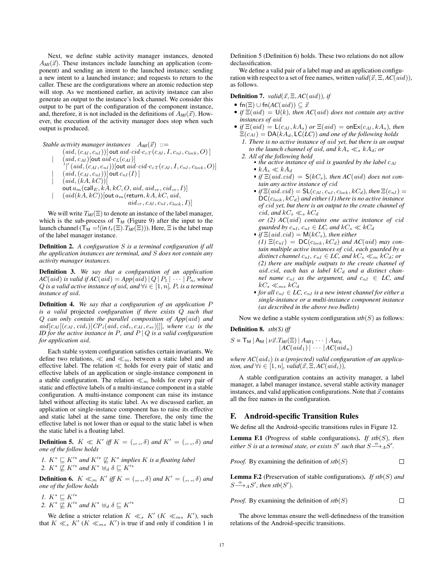Next, we define stable activity manager instances, denoted  $A_{\text{MI}}(\vec{x})$ . These instances include launching an application (component) and sending an intent to the launched instance; sending a new intent to a launched instance; and requests to return to the caller. These are the configurations where an atomic reduction step will stop. As we mentioned earlier, an activity instance can also generate an output to the instance's lock channel. We consider this output to be part of the configuration of the component instance, and, therefore, it is not included in the definitions of  $A_{MI}(\vec{x})$ . However, the execution of the activity manager does stop when such output is produced.

*Stable activity manager instances*  $A_{MI}(\vec{x}) ::=$ 

 $(ai,d,(c_{AI},c_{nI}))$ [out aid·cid·c<sub>cT</sub> $(c_{AI}, I, c_{nI}, c_{lock}, O)]$ ]  $(aid, c_{AI})$ [out aid· $c_L(c_{AI})$ ]  $\hat{O}^{\prime\prime}$  (aid,  $(c_{AI},c_{nI}))$  [out aid·cid·c<sub>cT</sub> (c<sub>AI</sub>, I, c<sub>nI</sub>, c<sub>lock</sub>, O)]  $(aid, (c_{AI}, c_{nI}))$ [ out  $c_{nI}(I)$  ]  $(ai, (kA, kC))$ [ out  $a_m$  (call  $E$ ,  $kA$ ,  $kC$ ,  $O$ ,  $aid$ ,  $aid_{ce}$ ,  $cid_{ce}$ ,  $I)$ ]  $(aid(kA, kC))$ [out  $a_m$ (return, kA, kC, aid,  $aid_{cr}, c_{AI}, c_{nI}, c_{lock}, I)$ 

We will write  $T_M(\Xi)$  to denote an instance of the label manager, which is the sub-process of  $T_M$  (Figure 9) after the input to the launch channel ( $T_M = !$ (in  $t_t(\Xi)$ . $T_M(\Xi)$ )). Here,  $\Xi$  is the label map of the label manager instance.

Definition 2. *A configuration* S *is a terminal configuration if all the application instances are terminal, and* S *does not contain any activity manager instances.*

Definition 3. *We say that a configuration of an application*  $AC(aid)$  *is valid if*  $AC(aid) = App(ai d) | Q | P_1 | \cdots | P_n$ *, where* Q *is a valid active instance of aid, and*  $\forall i \in [1, n]$ *,*  $P_i$  *is a terminal instance of* aid*.*

Definition 4. *We say that a configuration of an application* P *is a valid* projected *configuration if there exists* Q *such that* Q *can only contain the parallel composition of App*(aid) *and*  $aid[c_{AI}[(c_{AI}, cid_i)[CP_i(\dot{a}id, cid_i, c_{AI}, c_{sv})]]]$ *, where*  $c_{AI}$  *is the ID for the active instance in P, and P | Q is a valid configuration for application* aid*.*

Each stable system configuration satisfies certain invariants. We define two relations,  $\ll$  and  $\ll$ <sub>m</sub>, between a static label and an effective label. The relation  $\ll$  holds for every pair of static and effective labels of an application or single-instance component in a stable configuration. The relation  $\ll_m$  holds for every pair of static and effective labels of a multi-instance component in a stable configuration. A multi-instance component can raise its instance label without affecting its static label. As we discussed earlier, an application or single-instance component has to raise its effective and static label at the same time. Therefore, the only time the effective label is not lower than or equal to the static label is when the static label is a floating label.

**Definition 5.**  $K \ll K'$  iff  $K = (0, 0, 0)$  and  $K' = (0, 0, 0)$  and *one of the follow holds*

*1.*  $K^* \subseteq K'^*$  and  $K'^* \nsubseteq K^*$  implies K is a floating label 2.  $K^* \not\sqsubseteq K'^*$  and  $K^* \biguplus_d \delta \sqsubseteq K'^*$ 

**Definition 6.**  $K \ll_m K'$  iff  $K = (0, 0, 0)$  and  $K' = (0, 0, 0)$  and *one of the follow holds*

- *1.*  $K^* \sqsubseteq K'^*$
- 2.  $K^* \not\sqsubseteq K'^*$  and  $K^* \biguplus_d \delta \sqsubseteq K'^*$

We define a stricter relation  $K \ll_s K'(K \ll_{ms} K')$ , such that  $K \ll_s K'$  ( $K \ll_{ms} K'$ ) is true if and only if condition 1 in Definition 5 (Definition 6) holds. These two relations do not allow declassification.

We define a valid pair of a label map and an application configuration with respect to a set of free names, written *valid*( $\vec{x}$ ,  $\Xi$ ,  $AC(\vec{ad})$ ), as follows.

**Definition 7.** *valid*( $\vec{x}$ ,  $\Xi$ ,  $AC(\text{aid})$ )*, if* 

- fn( $\Xi$ )  $\cup$  fn( $AC(\text{aid})$ )  $\subset \vec{x}$
- *if*  $\Xi(\text{aid}) = \mathsf{U}(k)$ *, then*  $\mathrm{AC}(\text{aid})$  *does not contain any active instances of* aid
- *if*  $\Xi$ (aid) =  $\mathsf{L}(c_{AI}, kA_s)$  *or*  $\Xi$ (aid) = onEx( $c_{AI}, kA_s$ )*, then*  $\Xi(c_{AI}) = DA(kA_d, \mathsf{LC}(LC))$  *and one of the following holds 1. There is no active instance of* aid *yet, but there is an output*
	- *to the launch channel of aid, and*  $kA_s \ll_s kA_d$ *; or 2. All of the following hold*
		- *the active instance of aid is guarded by the label*  $c_{AI}$  $kA_s \ll kA_d$ 
			-
			- $\bullet$  *if*  $\Xi(\text{aid.cid}) = S(\text{kC}_s)$ , then AC(aid) does not con*tain any active instance of* cid
			- $\blacksquare$  *if*  $\Xi$ (*aid.cid*) =  $\mathsf{SL}(c_{AI}, c_{nI}, c_{lock}, kC_d)$ *, then*  $\Xi(c_{nI})$  =  $DC(c_{lock}, kC_d)$  and either (1) there is no active instance *of* cid *yet, but there is an output to the create channel of* cid, and  $kC_s \ll_s kC_d$ *or (2) AC*(aid) *contains one active instance of* cid

*guarded by*  $c_{nI}$ *,*  $c_{nI} \in LC$ *, and*  $kC_s \ll kC_d$ 

- $\bullet$  *if*  $\Xi$ (*aid.cid*) =  $M(kC_s)$ *, then either*  $(I) \Xi(c_{nl}) = \mathsf{DC}(c_{lock}, kC_d)$  *and AC*(*aid*) *may contain multiple active instances of* cid*, each guarded by a distinct channel*  $c_{nI}$ ,  $c_{nI} \in LC$ , and  $kC_s \ll_m kC_d$ ; or *(2) there are multiple outputs to the create channel of* aid.cid, each has a label  $kC_d$  and a distinct chan*nel name*  $c_{nI}$  *as the argument, and*  $c_{nI} \in LC$ , and  $kC_s \ll_{ms} kC_d$
- *for all*  $c_{nI} \in LC$ ,  $c_{nI}$  *is a new intent channel for either a single-instance or a multi-instance component instance (as described in the above two bullets)*

Now we define a stable system configuration  $\mathfrak{sb}(S)$  as follows:

#### Definition 8. *stb(S) iff*

$$
S = \mathsf{T}_{\mathsf{M}} \mid A_{\mathsf{M}} \mid \nu \vec{x}. T_{\mathsf{M}}(\Xi) \mid A_{\mathsf{M}1} \cdots \mid A_{\mathsf{M}k}
$$

$$
\mid AC(\text{aid}_1) \mid \cdots \mid AC(\text{aid}_n)
$$

where  $AC(\text{aid}_i)$  is a (projected) valid configuration of an applica*tion, and*  $\forall i \in [1, n]$ *, valid* $(\vec{x}, \Xi, AC(\text{aid}_i))$ *,* 

A stable configuration contains an activity manager, a label manager, a label manager instance, several stable activity manager instances, and valid application configurations. Note that  $\vec{x}$  contains all the free names in the configuration.

### F. Android-specific Transition Rules

We define all the Android-specific transitions rules in Figure 12.

Lemma F.1 (Progress of stable configurations). *If stb*(S)*, then either* S is at a terminal state, or exists S' such that  $S \xrightarrow{\alpha} {}_{A}S'$ .

*Proof.* By examining the definition of 
$$
stb(S)
$$

Lemma F.2 (Preservation of stable configurations). *If stb*(S) *and*  $S \stackrel{\alpha}{\longrightarrow} {}_A S'$ , then stb(S').

*Proof.* By examining the definition of  $stb(S)$  $\Box$ 

The above lemmas ensure the well-definedness of the transition relations of the Android-specific transitions.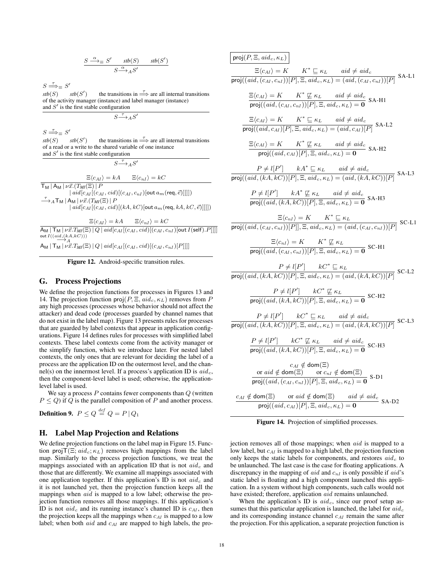$$
\frac{S \stackrel{\alpha}{\longrightarrow}_{\equiv} S' \quad \text{stb}(S) \quad \text{stb}(S')}{S \stackrel{\alpha}{\longrightarrow}_A S'}
$$

 $S \stackrel{\tau}{\Longrightarrow}_{\equiv} S'$ 

 $\textit{stb}(S)$   $\textit{stb}(S')$ the transitions in  $\Rightarrow$  are all internal transitions of the activity manager (instance) and label manager (instance) and  $S'$  is the first stable configuration

$$
S {\overset{\tau}{\longrightarrow}} _A S'
$$

 $S \stackrel{\tau}{\Longrightarrow}_{\equiv} S'$ 

 $\textit{stb}(S)$   $\textit{stb}(S')$ the transitions in  $\Rightarrow$  are all internal transitions of a read or a write to the shared variable of one instance and  $S'$  is the first stable configuration

 $S \stackrel{\tau}{\longrightarrow} _A S'$ 

 $\Xi \langle c_{AI} \rangle = kA$   $\Xi \langle c_{nI} \rangle = kC$  $\mathsf{T}_\mathsf{M}$  |  $\mathsf{A}_\mathsf{M}$  |  $\nu\vec{x}.(T_{\mathsf{M}I}(\Xi))$  |  $P$  $| \textit{aid}[c_{AI}[(c_{AI}, \textit{cid})[(c_{AI}, c_{nI})[\textsf{out} \textit{a}_{m}(\textsf{req}, \vec{e})]]]] )$  $\stackrel{\tau}{\longrightarrow}_A \mathsf{T}_\mathsf{M}$  | A<sub>M</sub> |  $\nu\vec{x}.(\stackrel{\tau}{T}_{\mathsf{M}I}(\Xi))$  |  $\stackrel{\tau}{P}$  $|aid[c_{AI}[(c_{AI}, cid)](kA, kC)]$ out  $a_m$ (req, kA, kC,  $\vec{e}$ )]]]])

 $\Xi \langle c_{AI} \rangle = kA$   $\Xi \langle c_{nI} \rangle = kC$  $\mathsf{A}_{\mathsf{M}}\,|\, \mathsf{T}_{\mathsf{M}}\,|\, \nu \vec{x}.T_{\textit{M}I}(\Xi)\,|\, Q\,|\, \textit{aid}\,[c_{AI}[(c_{AI},\textit{cid})[(c_{AI},c_{nI})[\mathsf{out}\, I(\mathsf{self}).P]]]]$ out  $I((\underset{\longrightarrow}{aid, (kA, kC)}))$ 

 $A_M | T_M | \nu \vec{x}. T_M(\Xi) | Q | aid[c_{AI}[(c_{AI}, cid)][(c_{AI}, c_{nI})[P]]]]$ 

Figure 12. Android-specific transition rules.

#### G. Process Projections

We define the projection functions for processes in Figures 13 and 14. The projection function  $proj(P, \Xi, aid_c, \kappa_L)$  removes from P any high processes (processes whose behavior should not affect the attacker) and dead code (processes guarded by channel names that do not exist in the label map). Figure 13 presents rules for processes that are guarded by label contexts that appear in application configurations. Figure 14 defines rules for processes with simplified label contexts. These label contexts come from the activity manager or the simplify function, which we introduce later. For nested label contexts, the only ones that are relevant for deciding the label of a process are the application ID on the outermost level, and the channel(s) on the innermost level. If a process's application ID is  $aid_c$ , then the component-level label is used; otherwise, the applicationlevel label is used.

We say a process  $P$  contains fewer components than  $Q$  (written  $P \le Q$ ) if Q is the parallel composition of P and another process.

Definition 9.  $\,P\leq Q\stackrel{def}{=} Q=P\,|\,Q_1\,$ 

### H. Label Map Projection and Relations

We define projection functions on the label map in Figure 15. Function proj $\mathsf{T}(\Xi; \text{aid}_c; \kappa_L)$  removes high mappings from the label map. Similarly to the process projection functions, we treat the mappings associated with an application ID that is not  $aid_c$  and those that are differently. We examine all mappings associated with one application together. If this application's ID is not  $aid_c$  and it is not launched yet, then the projection function keeps all the mappings when aid is mapped to a low label; otherwise the projection function removes all those mappings. If this application's ID is not  $aid_c$  and its running instance's channel ID is  $c_{AI}$ , then the projection keeps all the mappings when  $c_{AI}$  is mapped to a low label; when both  $aid$  and  $c_{AI}$  are mapped to high labels, the pro-

$$
\frac{\text{proj}(P, \Xi, \text{aid}_c, \kappa_L)}{\Xi(c_{AI}) = K \qquad K^* \sqsubseteq \kappa_L \qquad \text{aid} \neq \text{aid}_c}
$$
\n
$$
\frac{\Xi(c_{AI}) = K \qquad K^* \sqsubseteq \kappa_L \qquad \text{aid} \neq \text{aid}_c}{\text{proj}((\text{aid}, (c_{AI}, c_{nI}))[P], \Xi, \text{aid}_c, \kappa_L) = (\text{aid}, (c_{AI}, c_{nI}))[P]} \text{SA-L1}
$$

$$
\frac{\Xi\langle c_{AI}\rangle = K \qquad K^* \not\sqsubseteq \kappa_L \qquad aid \neq aid_c}{\text{proj}((aid, (c_{AI}, c_{nI}))[P], \Xi, aid_c, \kappa_L) = \mathbf{0}} \text{ SA-H1}
$$

$$
\frac{\Xi\langle c_{AI}\rangle = K \qquad K^* \sqsubseteq \kappa_L \qquad aid \neq aid_c}{\text{proj}((aid, c_{AI})[P], \Xi, aid_c, \kappa_L) = (aid, c_{AI})[P]} \text{ SA-L2}
$$

$$
\frac{\Xi\langle c_{AI}\rangle = K \qquad K^* \not\sqsubseteq \kappa_L \qquad aid \neq aid_c}{\text{proj}((aid, c_{AI})[P], \Xi, aid_c, \kappa_L) = \mathbf{0}} \text{ SA-H2}
$$

 $P \neq l[P']$   $kA^* \sqsubseteq \kappa_L$  aid  $\neq$  aid<sub>c</sub>  $\overline{\textsf{proj}((aid, (kA, kC))[P], \Xi, aid_c, \kappa_L) = (aid, (kA, kC))[P]}$  SA-L3

> $P \neq l[P']$   $kA^* \not\sqsubseteq \kappa_L$   $aid \neq aid_c$  $\frac{1}{\text{proj}((aid, (kA, kC))[P], \Xi, aid_c, \kappa_L) = 0}$  SA-H3

$$
\frac{\Xi\langle c_{nI}\rangle = K \qquad K^* \sqsubseteq \kappa_L}{\text{proj}((aid, (c_{AI}, c_{nI}))[P]], \Xi, aid_c, \kappa_L) = (aid, (c_{AI}, c_{nI}))[P]} \text{ SC-L1}
$$

$$
\frac{\Xi\langle c_{nI}\rangle = K \qquad K^* \not\sqsubseteq \kappa_L}{\text{proj}((aid, (c_{AI}, c_{nI}))[P], \Xi, aid_c, \kappa_L) = \mathbf{0}} \text{ SC-H1}
$$

$$
\frac{P\neq l[P'] \qquad kC^*\sqsubseteq \kappa_L}{\text{proj}((aid, (kA, kC))[P], \Xi, aid_c, \kappa_L) = (\textit{aid}, (kA, kC))[P]} \text{ SC-L2}
$$

$$
\frac{P \neq l[P'] \qquad kC^* \not\sqsubseteq \kappa_L}{\text{proj}((aid, (kA, kC))[P], \Xi, aid_c, \kappa_L) = \mathbf{0}} \text{ SC-H2}
$$

$$
P \neq l[P'] \qquad kC^* \subseteq \kappa_L \qquad aid \neq aid_c
$$
  
\n
$$
\overline{\text{proj}((aid, (kA, kC))[P], \Xi, aid_c, \kappa_L) = (aid, (kA, kC))[P]} \text{ SC-L3}
$$
  
\n
$$
\frac{P \neq l[P'] \qquad kC^* \not\sqsubseteq \kappa_L \qquad aid \neq aid_c}{\overline{\text{proj}((aid, (kA, kC))[P], \Xi, aid_c, \kappa_L) = \mathbf{0}} \text{ SC-H3}
$$
  
\n
$$
\begin{array}{c} c_{AI} \notin \text{dom}(\Xi) \\ \overline{\text{proj}((aid, (c_{AI}, c_{nI}))[P], \Xi, aid_c, \kappa_L) = \mathbf{0}} \text{ S-D1} \\ \overline{\text{proj}((aid, (c_{AI}, c_{nI}))[P], \Xi, aid_c, \kappa_L) = \mathbf{0}} \text{ S-D1} \\ \overline{\text{proj}((aid, c_{AI})[P], \Xi, aid_c, \kappa_L) = \mathbf{0}} \text{ S-A-D2} \end{array}
$$

Figure 14. Projection of simplified processes.

jection removes all of those mappings; when aid is mapped to a low label, but  $c_{AI}$  is mapped to a high label, the projection function only keeps the static labels for components, and restores  $aid_c$  to be unlaunched. The last case is the case for floating applications. A discrepancy in the mapping of  $aid$  and  $c_{nl}$  is only possible if  $aid$ 's static label is floating and a high component launched this application. In a system without high components, such calls would not have existed; therefore, application aid remains unlaunched.

When the application's ID is  $aid_c$ , since our proof setup assumes that this particular application is launched, the label for  $aid_c$ and its corresponding instance channel  $c_{AI}$  remain the same after the projection. For this application, a separate projection function is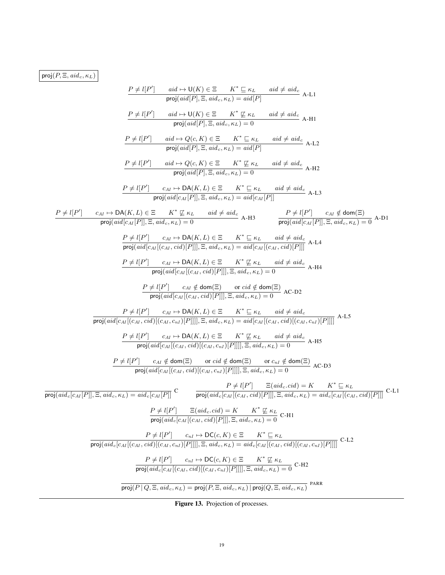$\boxed{\mathsf{proj}(P,\Xi,\mathit{aid}_c,\kappa_L)}$ 

$$
P \neq I[P'] \quad \text{aid} \mapsto U(K) \in \mathbb{Z} \qquad K^* \subseteq \kappa_L \qquad \text{oid} \neq \text{aid}_{\epsilon} \wedge L \cup \text{proj}(id[P], \Xi, \text{add}, \kappa_L) = \text{aid}[P]
$$
\n
$$
P \neq I[P'] \quad \text{aid} \mapsto Q(c, K) \in \mathbb{Z} \qquad K^* \subseteq \kappa_L \qquad \text{aid} \neq \text{add}_{\epsilon} \wedge L \cup \text{proj}(id[P], \Xi, \text{add}_{\epsilon}, \kappa_L) = 0
$$
\n
$$
P \neq I[P'] \quad \text{aid} \mapsto Q(c, K) \in \mathbb{Z} \qquad K^* \subseteq \kappa_L \qquad \text{aid} \neq \text{add}_{\epsilon} \wedge L \cup \text{proj}(id[P], \Xi, \text{add}_{\epsilon}, \kappa_L) = 0
$$
\n
$$
P \neq I[P'] \quad \text{aid} \mapsto Q(c, K) \in \mathbb{Z} \qquad K^* \subseteq \kappa_L \qquad \text{aid} \neq \text{add}_{\epsilon} \wedge H \cup \text{proj}(id[P], \Xi, \text{add}_{\epsilon}, \kappa_L) = 0
$$
\n
$$
P \neq I[P'] \quad \text{cat} \mapsto Q(\kappa, L) \in \mathbb{Z} \qquad K^* \subseteq \kappa_L \qquad \text{aid} \neq \text{add}_{\epsilon} \wedge L \cup \text{proj}(id[\epsilon_M[P]], \Xi, \text{add}_{\epsilon} \kappa_L) = \text{aid} \forall_{\epsilon} \kappa_L \qquad \text{add} \neq \text{add}_{\epsilon} \wedge L \cup \text{proj}(id[\epsilon_M[P]], \Xi, \text{add}_{\epsilon} \kappa_L) = \text{add}_{\epsilon} \forall_{\epsilon} \kappa_L \qquad \text{add} \neq \text{add}_{\epsilon} \wedge L \cup \text{proj}(id[\epsilon_M[P]], \Xi, \text{add}_{\epsilon} \kappa_L) = \text{cad}[\epsilon_M[\epsilon_M, \kappa_L] \cup \text{cod}[\epsilon_M[P]] \wedge \text{add}_{\epsilon} \kappa_L) = 0
$$
\n
$$
P \neq I[P'] \quad \text{cat} \mapsto \text{DA}(K, L) \in \mathbb{Z} \qquad K^* \subseteq \kappa_L \qquad \
$$

Figure 13. Projection of processes.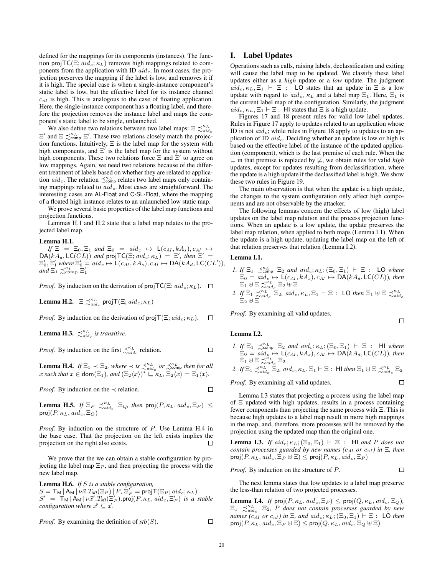defined for the mappings for its components (instances). The function proj $TC(\Xi; \text{aid}_c; \kappa_L)$  removes high mappings related to components from the application with ID  $aid_c$ . In most cases, the projection preserves the mapping if the label is low, and removes it if it is high. The special case is when a single-instance component's static label is low, but the effective label for its instance channel  $c_{nI}$  is high. This is analogous to the case of floating application. Here, the single-instance component has a floating label, and therefore the projection removes the instance label and maps the component's static label to be single, unlaunched.

We also define two relations between two label maps:  $\Xi \precsim_{adi\ c}^{\kappa_L}$  $\Xi'$  and  $\Xi \precsim_{\text{comp}}^{\kappa_L} \Xi'$ . These two relations closely match the projection functions. Intuitively, Ξ is the label map for the system with high components, and  $\Xi'$  is the label map for the system without high components. These two relations force  $\Xi$  and  $\Xi'$  to agree on low mappings. Again, we need two relations because of the different treatment of labels based on whether they are related to application  $aid_c$ . The relation  $\precsim_{\text{comp}}^{\kappa_L}$  relates two label maps only containing mappings related to  $aid_c$ . Most cases are straightforward. The interesting cases are AL-Float and C-SL-Float, where the mapping of a floated high instance relates to an unlaunched low static map.

We prove several basic properties of the label map functions and projection functions.

Lemmas H.1 and H.2 state that a label map relates to the projected label map.

#### Lemma H.1.

 $If \ \Xi = \ \Xi_0, \Xi_1 \ \text{and} \ \Xi_0 = \ \text{aid}_c \ \mapsto \ \mathsf{L}(c_{AI}, kA_s), c_{AI} \ \mapsto$  $DA(kA_d, LC(\tilde{CL}))$  and proj $TC(\Xi; aid_c; \kappa_L)$  =  $\Xi'$ , then  $\Xi'$  =  $\Xi'_0$ ,  $\Xi'_1$  where  $\Xi'_0 = ad_c \mapsto \mathsf{L}(c_{AI}, kA_s), c_{AI} \mapsto \mathsf{DA}(kA_d, \mathsf{LC}(CL')).$ and  $\Xi_1 \precsim_{comp}^{\kappa_L} \Xi_1'$ 

*Proof.* By induction on the derivation of proj $\mathsf{TC}(\Xi; \mathit{aid}_c; \kappa_L)$ .  $\square$ 

**Lemma H.2.**  $\equiv \precsim_{aid_c}^{\kappa_L} \text{projT}(\Xi; \text{aid}_c; \kappa_L)$ 

*Proof.* By induction on the derivation of proj $\mathsf{T}(\Xi; \text{aid}_c; \kappa_L)$ .  $\Box$ 

**Lemma H.3.**  $\precsim_{aid_c}^{\kappa_L}$  is transitive.

*Proof.* By induction on the first  $\precsim_{aid_c}^{\kappa_L}$  relation.  $\Box$ 

**Lemma H.4.** *If*  $\Xi_1 \prec \Xi_2$ , where  $\prec$  *is*  $\precsim_{aid_c}^{k_L}$  *or*  $\precsim_{comp}^{k_L}$  *then for all* x such that  $x \in \text{dom}(\Xi_1)$ , and  $(\Xi_2\langle x \rangle)^* \sqsubseteq \kappa_L$ ,  $\Xi_2\langle x \rangle = \Xi_1\langle x \rangle$ .

*Proof.* By induction on the  $\prec$  relation.

**Lemma H.5.** *If*  $\Xi_P \precsim_{aid_c}^{\kappa_L} \Xi_Q$ , then  $proj(P, \kappa_L, aid_c, \Xi_P)$   $\leq$  $proj(P, \kappa_L, aid_c, \Xi_Q)$ 

*Proof.* By induction on the structure of P. Use Lemma H.4 in the base case. That the projection on the left exists implies the projection on the right also exists.  $\Box$ projection on the right also exists.

We prove that the we can obtain a stable configuration by projecting the label map  $\Xi_P$ , and then projecting the process with the new label map.

Lemma H.6. *If* S *is a stable configuration,*  $S = \mathsf{T}_\mathsf{M} \, | \, \mathsf{A}_\mathsf{M} \, | \, \nu \vec{x}. T_{\mathsf{M}}(\Xi_P) \, | \, P, \, \check{\Xi}_P^\mathsf{v} = \mathsf{projT}(\Xi_P; \mathit{aid}_c; \kappa_L)$  $S' = \mathsf{T}_\mathsf{M} | \mathsf{A}_\mathsf{M} | \nu \vec{x}' \cdot \mathsf{T}_\mathsf{M}(\Xi_P') \cdot \mathsf{proj}(P, \kappa_L, \mathit{aid}_c, \Xi_P')$  *is a stable configuration where*  $\vec{x}' \subseteq \vec{x}$ .

*Proof.* By examining the definition of  $stb(S)$ .

## I. Label Updates

Operations such as calls, raising labels, declassification and exiting will cause the label map to be updated. We classify these label updates either as a *high* update or a *low* update. The judgment  $aid_c, \kappa_L, \Xi_1 \vdash \Xi$ : LO states that an update in  $\Xi$  is a low update with regard to  $aid_c$ ,  $\kappa$ <sub>L</sub> and a label map  $\Xi_1$ . Here,  $\Xi_1$  is the current label map of the configuration. Similarly, the judgment  $aid_{\alpha}, \kappa_L, \Xi_1 \vdash \Xi$ : HI states that  $\Xi$  is a high update.

Figures 17 and 18 present rules for valid low label updates. Rules in Figure 17 apply to updates related to an application whose ID is not  $aid_c$ ; while rules in Figure 18 apply to updates to an application of ID  $aid_c$ . Deciding whether an update is low or high is based on the effective label of the instance of the updated application (component), which is the last premise of each rule. When the  $\sqsubseteq$  in that premise is replaced by  $\nsubseteq$ , we obtain rules for valid *high* updates, except for updates resulting from declassification, where the update is a high update if the declassified label is high. We show these two rules in Figure 19.

The main observation is that when the update is a high update, the changes to the system configuration only affect high components and are not observable by the attacker.

The following lemmas concern the effects of low (high) label updates on the label map relation and the process projection functions. When an update is a low update, the update preserves the label map relation, when applied to both maps (Lemma I.1). When the update is a high update, updating the label map on the left of that relation preserves that relation (Lemma I.2).

#### Lemma I.1.

- *1. If*  $\Xi_1 \precsim_{\text{comp}}^{\kappa_L} \Xi_2$  *and*  $aid_c; \kappa_L; (\Xi_0, \Xi_1) \vdash \Xi$  : LO where  $\Xi_0 = aid_c \mapsto \mathsf{L}(c_{AI}, kA_s), c_{AI} \mapsto \mathsf{DA}(kA_d, \mathsf{LC}(CL))$ *, then*  $\Xi_1 \uplus \Xi \precsim_{aid_c}^{\tilde{\kappa}_L} \Xi_2 \uplus \Xi$
- 2. *If*  $\Xi_1 \preceq_{aid_c}^{\kappa_L} \Xi_2$ ,  $aid_c$ ,  $\kappa_L$ ,  $\Xi_1 \vdash \Xi$  : LO *then*  $\Xi_1 \uplus \Xi \preceq_{aid_c}^{\kappa_L}$  $\Xi_2 \boxplus \Xi$

 $\Box$ 

*Proof.* By examining all valid updates.

#### Lemma I.2.

*1. If*  $\Xi_1$   $\precsim_{\text{comp}}^{\kappa}$   $\Xi_2$  *and*  $aid_c; \kappa_L; (\Xi_0, \Xi_1)$   $\vdash \Xi$  : **HI** where  $\Xi_0 = aid_c \mapsto \mathsf{L}(c_{AI}, kA_s), c_{AI} \mapsto \mathsf{DA}(kA_d, \mathsf{LC}(CL))$ *, then*  $\Xi_1 \boxplus \Xi \precsim_{aidc}^{\tilde{\kappa}_L} \Xi_2$ 

2. If 
$$
\Xi_1 \preceq_{aid_c}^{k_L} \Xi_2
$$
,  $aid_c$ ,  $\kappa_L$ ,  $\Xi_1 \vdash \Xi$ : Hl then  $\Xi_1 \uplus \Xi \preceq_{aid_c}^{k_L} \Xi_2$ 

*Proof.* By examining all valid updates.  $\Box$ 

Lemma I.3 states that projecting a process using the label map of Ξ updated with high updates, results in a process containing fewer components than projecting the same process with Ξ. This is because high updates to a label map result in more high mappings in the map, and, therefore, more processes will be removed by the projection using the updated map than the original one.

**Lemma I.3.** *If*  $aid_c$ ;  $\kappa$ <sub>*L*</sub>;  $(\Xi_0, \Xi_1)$   $\vdash \Xi$  : HI *and P does not contain processes guarded by new names (* $c_{AI}$  *or*  $c_{nI}$ ) *in*  $\Xi$ *, then*  $proj(P, \kappa_L, aid_c, \Xi_P \boxplus \Xi) \le proj(P, \kappa_L, aid_c, \Xi_P)$ 

*Proof.* By induction on the structure of P.  $\Box$ 

The next lemma states that low updates to a label map preserve the less-than relation of two projected processes.

**Lemma I.4.** *If*  $\text{proj}(P, \kappa_L, \text{aid}_c, \Xi_P) \leq \text{proj}(Q, \kappa_L, \text{aid}_c, \Xi_Q)$ ,  $\Xi_1$   $\precsim_{aid_c}^{\kappa_L} \Xi_2$ , P does not contain processes guarded by new *names*  $(c_{AI}$  *or*  $c_{nI}$ *)* in  $\Xi$ *, and*  $aid_c$ ;  $\kappa_L$ ;  $(\Xi_0, \Xi_1) \vdash \Xi$  : LO *then*  $\mathsf{proj}(P, \kappa_L, \mathit{aid}_c, \Xi_P \uplus \Xi) \le \mathsf{proj}(Q, \kappa_L, \mathit{aid}_c, \Xi_Q \uplus \Xi)$ 

 $\Box$ 

 $\Box$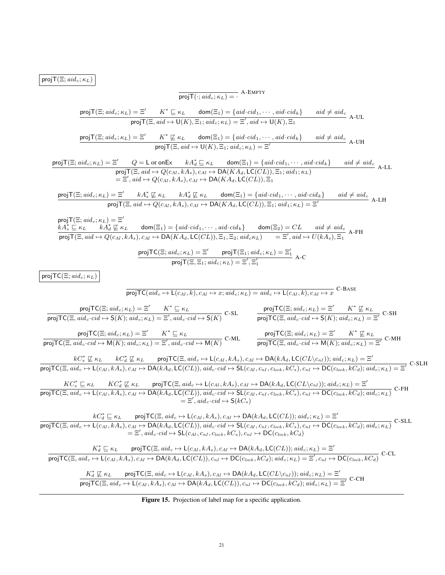$projT(\Xi; aid_c; \kappa_L)$ 

$$
\frac{\text{proj}(\mathbb{C}; \text{ad}_{\leq i} \kappa_{L}) = 2}{\text{proj}(\mathbb{C}; \text{ad}_{\leq i} \kappa_{L})} = \frac{2}{K^{*} \subseteq \kappa_{L} \quad \text{dom}(\mathbb{C}_{1}) = \{ \text{ad} \cdot \text{cd}, \ldots, \text{ad} \cdot \text{cds} \} \quad \text{and} \neq \text{ads} \quad \text{A}\cdot \text{UL}
$$
\n
$$
\frac{\text{proj}(\mathbb{C}; \text{add}_{\leq i} \kappa_{L}) = 2'}{2K^{*} \subseteq \kappa_{L} \quad \text{dom}(\mathbb{C}_{1}) = \{ \text{ad} \cdot \text{cd}, \ldots, \text{ad} \cdot \text{cds} \} \quad \text{and} \neq \text{ads} \quad \text{A}\cdot \text{UL}
$$
\n
$$
\frac{\text{proj}(\mathbb{C}; \text{add}_{\leq i} \kappa_{L}) = 2'}{2K^{*} \subseteq \kappa_{L} \quad \text{dom}(\mathbb{C}_{1}) = \{ \text{ad} \cdot \text{cds} \} \quad \text{and} \neq \text{ads} \quad \text{and} \neq \text{ads} \quad \text{A}\cdot \text{UL}
$$
\n
$$
\frac{\text{proj}(\mathbb{C}; \text{add}_{\leq i} \kappa_{L}) = 2'}{2} = 1 \text{ or } \text{on} \mathbb{K} \quad \text{A} \Delta_{L} \subseteq \kappa_{L} \quad \text{dom}(\mathbb{C}_{1}) = \{ \text{add} \cdot \text{cds} \} \quad \text{and} \neq \text{ads} \quad \text{A}\cdot \text{UL}
$$
\n
$$
\frac{\text{proj}(\mathbb{C}; \text{add}_{\leq i} \kappa_{L}) = 2'}{2} = 1 \text{ or } \text{on} \mathbb{K} \quad \text{A} \Delta_{L} \subseteq \kappa_{L} \quad \text{dom}(\mathbb{C}_{1}) = \{ \text{add} \cdot \text{cds} \} \quad \text{and} \neq \text{ads} \quad \text{A}\cdot \text{UL}
$$
\n
$$
\frac{\text{proj}(\mathbb{C}; \text{add}_{\leq i} \kappa_{L}) = 2
$$

## Figure 15. Projection of label map for a specific application.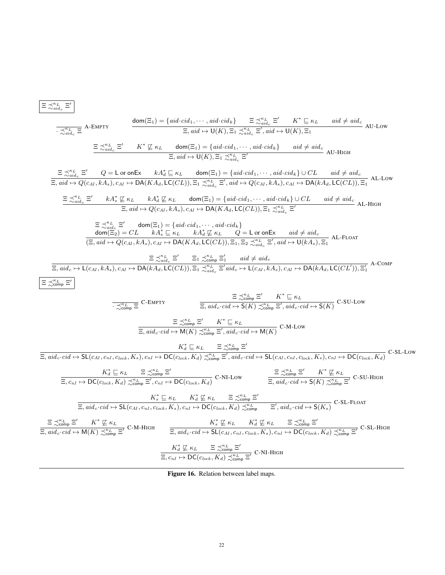$$
\frac{\Xi \precsim_{\text{side}}^{\mathcal{H}_L} \Xi'}{\Xi'_{\text{side}}} = \frac{\Xi \precsim_{\text{side}}^{\mathcal{H}_L} \Xi'}{\Xi'_{\text{side}}} = \frac{\Xi \precsim_{\text{side}}^{\mathcal{H}_L} \Xi'}{\Xi'_{\text{side}}} = \frac{\Xi \precsim_{\text{side}}^{\mathcal{H}_L} \Xi'}{\Xi'_{\text{side}}} = \frac{\Xi \precsim_{\text{side}}^{\mathcal{H}_L} \Xi'}{\Xi'_{\text{side}}} = \frac{\Xi \precsim_{\text{side}}^{\mathcal{H}_L} \Xi'}{\Xi'_{\text{side}}} = \frac{\Xi \precsim_{\text{side}}^{\mathcal{H}_L} \Xi'}{\Xi'_{\text{side}}} = \frac{\Xi \precsim_{\text{side}}^{\mathcal{H}_L} \Xi'}{\Xi'_{\text{side}}} = \frac{\Xi \precsim_{\text{side}}^{\mathcal{H}_L} \Xi'}{\Xi'_{\text{side}}} = \frac{\Xi \precsim_{\text{side}}^{\mathcal{H}_L} \Xi'}{\Xi'_{\text{side}}} = \frac{\Xi \precsim_{\text{side}}^{\mathcal{H}_L} \Xi'}{\Xi'_{\text{side}}} = \frac{\Xi \precsim_{\text{side}}^{\mathcal{H}_L} \Xi'}{\Xi'_{\text{side}}} = \frac{\Xi \precsim_{\text{side}}^{\mathcal{H}_L} \Xi'}{\Xi'_{\text{side}}} = \frac{\Xi \precsim_{\text{side}}^{\mathcal{H}_L} \Xi'}{\Xi'_{\text{side}}} = \frac{\Xi \precsim_{\text{side}}^{\mathcal{H}_L} \Xi'}{\Xi'_{\text{side}}} = \frac{\Xi \precsim_{\text{side}}^{\mathcal{H}_L} \Xi'}{\Xi'_{\text{side}}} = \frac{\Xi \precsim_{\text{ide}}^{\mathcal{H}_L} \Xi'}{\Xi'_{\text{side}}} = \frac{\Xi \precsim_{\text{ide}}^{\mathcal{H}_L} \Xi'}{\Xi'_{\text{side}}} = \frac{\Xi \precsim_{\text{ide}}^{\mathcal{H}_L} \Xi'}{\Xi'_{\text{side}}} = \frac{\Xi \precsim_{\text{ide}}^{\mathcal{H}_L} \Xi'}{\Xi'_{\text{side}}} = \frac{\Xi \precsim_{\text{ide}}^{\mathcal{H}_L} \Xi'}{\Xi'_{\text{side}}} = \frac{\Xi
$$

Figure 16. Relation between label maps.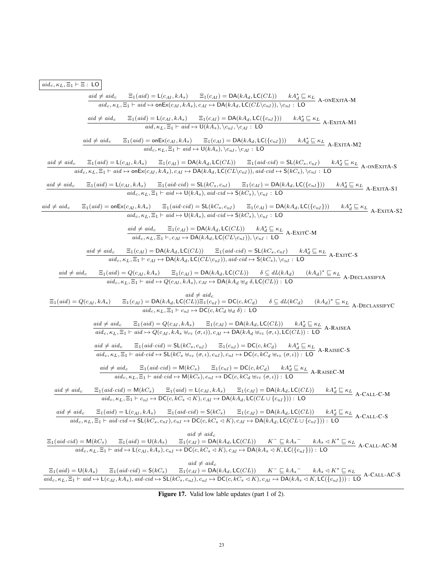## $aid_c, \kappa_L, \Xi_1 \vdash \Xi$ : LO

| $aid \neq aid_c$ $\Xi_1(aid) = L(c_{AI}, kA_s)$ $\Xi_1(c_{AI}) = DA(kA_d, LC(CL))$                                                                                                                                                                                                                                                                                                                                                                                                                  |
|-----------------------------------------------------------------------------------------------------------------------------------------------------------------------------------------------------------------------------------------------------------------------------------------------------------------------------------------------------------------------------------------------------------------------------------------------------------------------------------------------------|
| $\operatorname{aid}_c, \kappa_L, \Xi_1 \vdash \operatorname{aid} \mapsto \mathsf{onEx}(c_{AI}, kA_s), c_{AI} \mapsto \mathsf{DA}(kA_d, \mathsf{LC}(CL) \setminus c_{nI}), \langle c_{nI} : \mathsf{LO} \rangle$ A- $\mathsf{ONEX}(\mathsf{TA} \rightarrow \mathsf{OnEx}(c_{AI}, kA_s), c_{AI} \mapsto \mathsf{DA}(kA_d, \mathsf{LC}(CL \setminus c_{nI})), \langle c_{nI} : \mathsf{LO} \rangle$                                                                                                    |
| $\Xi_1 (aid) = L(c_{AI}, kA_s)$ $\Xi_1(c_{AI}) = DA(kA_d, LC({c_{nI}}))$ $kA_d^* \sqsubseteq \kappa_L$ A-EXITA-M1<br>$aid \neq aid_c$                                                                                                                                                                                                                                                                                                                                                               |
| aid, $\kappa_L, \overline{\Xi_1} \vdash \textit{aid} \mapsto \mathsf{U}(kA_s), \langle c_{nI}, c_{AI} : \mathsf{LO}$                                                                                                                                                                                                                                                                                                                                                                                |
| $\Xi_1 (aid) = \text{onEx}(c_{AI}, kA_s) \qquad \Xi_1(c_{AI}) = \text{DA}(kA_d, \text{LC}(\{c_{nI}\})) \qquad kA_d^* \sqsubseteq \kappa_L \quad \text{A-EXITA-M2}$<br>$aid \neq aid_c$<br>$\overline{aid_c, \kappa_L, \Xi_1 \vdash aid \mapsto \mathsf{U}(kA_s), \langle c_{nI}, \langle c_{AI} : \mathsf{LO} \rangle}$                                                                                                                                                                             |
| $\frac{c}{a id_{c}, \kappa_{L}, \Xi_{1} \models \textit{aid})} = \mathsf{L}(c_{AI}, kA_{s}) \qquad \Xi_{1}(c_{AI}) = \mathsf{DA}(kA_{d}, \mathsf{LC}(CL)) \qquad \Xi_{1}(\textit{aid} \cdot \textit{cid}) = \mathsf{SL}(kC_{s}, c_{nI}) \qquad kA_{d}^{*} \sqsubseteq \kappa_{L}$<br>$\textit{aid}_{c}, \kappa_{L}, \Xi_{1} \vdash \textit{aid} \mapsto \mathsf{onEx}(c_{AI}, kA_{s}), c_{AI} \mapsto \mathsf{DA}(kA_{d}, \mathsf{LC}(CL \setminus c_{nI$<br>$aid \neq aid_c$                       |
|                                                                                                                                                                                                                                                                                                                                                                                                                                                                                                     |
| $\frac{\Xi_1(\mathit{aid})=\mathsf{L}(c_{AI}, \mathit{kA}_s)\qquad \Xi_1(\mathit{aid}\cdot\mathit{cid})=\mathsf{SL}(\mathit{kC}_s, c_{nI})\qquad \Xi_1(c_{AI})=\mathsf{DA}(\mathit{kA}_d,\mathsf{LC}(\{c_{nI}\}))\qquad \mathit{kA}_d^*\sqsubseteq \kappa_L}{\mathit{aid}_c,\kappa_L,\Xi_1\vdash \mathit{aid}\mapsto \mathsf{U}(\mathit{kA}_s),\mathit{aid}\cdot\mathit{cid}\mapsto \mathsf{S}(\mathit{kC}_s), \backslash c_{nI}:\ \mathsf{LO}} \qquad \qquad \mathsf{A$<br>$aid \neq aid_c$        |
| $aid \neq aid_c$<br>$\Xi_1(aid) = \text{onEx}(c_{AI}, kA_s)$ $\Xi_1(aid \cdot cid) = \text{SL}(kC_s, c_{nI})$ $\Xi_1(c_{AI}) = \text{DA}(kA_d, \text{LC}(\{c_{nI}\}))$ $kA_d^* \underline{\subseteq} \kappa_L$ $A$ -EXITA-S2<br>$aid_c, \kappa_L, \Xi_1 \vdash aid \mapsto \overline{U(kA_s), aid\cdot cid \mapsto S(kC_s), \langle c_{nI} : LO$                                                                                                                                                    |
|                                                                                                                                                                                                                                                                                                                                                                                                                                                                                                     |
| $\frac{aid \neq aid_c \qquad \Xi_1(c_{AI}) = \text{DA}(kA_d, \text{LC}(CL)) \qquad kA_d^* \sqsubseteq \kappa_L}{aid_c, \kappa_L, \Xi_1 \vdash, c_{AI} \mapsto \text{DA}(kA_d, \text{LC}(CL \setminus c_{nl})), \setminus c_{nl} : \text{LO}}$ A-Exite A                                                                                                                                                                                                                                             |
| $aid \neq aid_c$ $\Xi_1(\underline{c_{AI}}) = \mathsf{DA}(kA_d, \mathsf{LC}(CL))$ $\Xi_1(aid\cdot cid) = \mathsf{SL}(kC_s, c_{nI})$ $kA_d^* \sqsubseteq \kappa_L$ A-EXITC-S                                                                                                                                                                                                                                                                                                                         |
| $\overline{aid_c, \kappa_L, \Xi_1 \vdash c_{AI} \mapsto DA(kA_d, LC(CL \setminus c_{nI})), \overline{aid \cdot cd} \mapsto S(kC_s), \setminus c_{nI} : LO}$                                                                                                                                                                                                                                                                                                                                         |
| $\frac{aid \neq aid_c \qquad \Xi_1 (aid) = Q(c_{AI}, kA_s) \qquad \Xi_1(c_{AI}) = \mathsf{DA}(kA_d, \mathsf{LC}(CL)) \qquad \delta \subseteq dL(kA_d) \qquad (kA_d)^* \sqsubseteq \kappa_L \qquad \qquad \\aid_c, \kappa_L, \Xi_1 \vdash aid \mapsto Q(c_{AI}, kA_s), c_{AI} \mapsto \mathsf{DA}(kA_d \uplus_d \delta, \mathsf{LC}(CL)) : \mathsf{LO}$                                                                                                                                              |
|                                                                                                                                                                                                                                                                                                                                                                                                                                                                                                     |
| $aid \neq aid_c$<br>$\Xi_1(c_{AI}) = \mathsf{DA}(kA_d, \mathsf{LC}(CL))\Xi_1(c_{nI}) = \mathsf{DC}(c, kC_d) \qquad \delta \subseteq dL(kC_d) \qquad (kA_d)^* \sqsubseteq \kappa_L \ \mathsf{A}\text{-}\mathsf{DECLASSIFYC}$<br>$\Xi_1(\text{aid}) = Q(c_{AI}, kA_s)$                                                                                                                                                                                                                                |
| $aid_c, \kappa_L, \Xi_1 \vdash c_{nI} \mapsto \mathsf{DC}(c, kC_d \uplus_d \delta)$ : LO                                                                                                                                                                                                                                                                                                                                                                                                            |
| $\frac{aid \neq aid_c \quad \Xi_1(aid) = Q(c_{AI}, kA_s) \quad \Xi_1(c_{AI}) = \mathsf{DA}(kA_d, \mathsf{LC}(CL)) \quad kA_d^* \sqsubseteq \kappa_L}{aid_c, \kappa_L, \Xi_1 \vdash aid \mapsto Q(c_{AI}, kA_s \uplus_{rz} (\sigma, \iota)), c_{AI} \mapsto \mathsf{DA}(kA_d \uplus_{rz} (\sigma, \iota), \mathsf{LC}(CL)) : \mathsf{LO}}$ A-RAISEA                                                                                                                                                  |
|                                                                                                                                                                                                                                                                                                                                                                                                                                                                                                     |
| $\begin{array}{ll} \underline{aid \neq aid_{c}} & \Xi_{1}(aid\cdot cid)=\mathsf{SL}(kC_{s},c_{nI}) \qquad \Xi_{1}(c_{nI})=\mathsf{DC}(c,kC_{d}) \qquad kA_{d}^{*} \sqsubseteq \kappa_{L} \\ \underline{aid_{c},\kappa_{L},\Xi_{1} \vdash aid\cdot cid\mapsto}\mathsf{SL}(kC_{s}\uplus_{rz}(\sigma,\iota),c_{nI}),c_{nI}\mapsto \mathsf{DC}(c,kC_{d}\uplus_{rz}(\sigma,\iota)):\ \mathsf{LO} \end{array} \text{A-RAISEC-S}$                                                                          |
| $\frac{aid \neq aid_c \qquad \Xi_1(aid\cdot cid) = \mathsf{M}(kC_s) \qquad \Xi_1(c_{nI}) = \mathsf{DC}(c,kC_d) \qquad kA_d^* \sqsubseteq \kappa_L}{aid_c, \kappa_L, \Xi_1 \vdash aid\cdot cid \mapsto \mathsf{M}(kC_s), c_{nI} \mapsto \mathsf{DC}(c,kC_d \Downarrow_{\tau z}(\sigma,\iota)) : \mathsf{LO}}$ A-RAISEC-M                                                                                                                                                                             |
| $aid \neq aid_c$                                                                                                                                                                                                                                                                                                                                                                                                                                                                                    |
| $\Xi_1(\text{aid } \text{cid}) = \mathsf{M}(\text{kC}_s) \quad \frac{\Xi_1(\text{aid}) = \mathsf{L}(c_{AI}, \text{kA}_s) \quad \Xi_1(c_{AI}) = \mathsf{DA}(\text{kA}_d, \mathsf{LC}(CL)) \quad \text{ kA}_d^* \sqsubseteq \kappa_L}{\mathsf{A}\text{-}\mathsf{CALL}\text{-}\mathsf{C}\text{-}\mathsf{M}}$<br>$aid_c, \kappa_L, \Xi_1 \vdash c_{nI} \mapsto \mathsf{DC}(c, kC_s \triangleleft K), c_{AI} \mapsto \mathsf{DA}(kA_d, \mathsf{LC}(CL \cup \{c_{nI}\}))$ : LO                            |
| $\Xi_1(aid) = L(c_{AI}, kA_s)$ $\Xi_1(aid\cdot cid) = S(kC_s)$ $\Xi_1(c_{AI}) = DA(kA_d, LC(CL))$ $kA_d^* \sqsubseteq \kappa_L$ A-CALL-C-S<br>$aid \neq aid_c$                                                                                                                                                                                                                                                                                                                                      |
| $aid_c, \kappa_L, \Xi_1 \vdash aid \cdot cid \mapsto SL(kC_s, c_{nI}), c_{nI} \mapsto DC(c, kC_s \triangleleft K), c_{AI} \mapsto DA(kA_d, LC(CL \cup \{c_{nI}\}))$ : LO                                                                                                                                                                                                                                                                                                                            |
| $aid \neq aid_c$<br>$\frac{\Xi_1(\textit{aid}\cdot \textit{cid})=\mathsf{M}(kC_s)}{\textit{aid}\cdot \Xi_1(-\textit{aid})=\mathsf{U}(kA_s)}\nonumber\\ \frac{\Xi_1(c_{AI})=\mathsf{DA}(kA_d,\mathsf{LC}(CL))}{\textit{add}\cdot \kappa_L,\Xi_1\vdash \textit{aid}\mapsto \mathsf{L}(c_{AI}, kA_s),c_{nI}\mapsto \mathsf{DC}(c,kC_s\lhd K),c_{AI}\mapsto \mathsf{DA}(kA_s\lhd K,\mathsf{LC}(\{c_{nI}\})):\ \mathsf{LO}} \ \ \mathrm{A\text{-}CAL-AC\text{-}M\mathsf{M}}\,.$                          |
|                                                                                                                                                                                                                                                                                                                                                                                                                                                                                                     |
| $aid \neq aid_c$<br>$\frac{\Xi_1(\textit{aid}) = \mathsf{U}(\textit{kA}_s) \qquad \Xi_1(\textit{aid}\cdot \textit{cid}) = \mathsf{S}(\textit{kC}_s) \qquad \Xi_1(c_{AI}) = \mathsf{DA}(\textit{kA}_d, \mathsf{LC}(CL)) \qquad \textit{K}^- \sqsubseteq \textit{kA}_s^- \qquad \textit{kA}_s \lhd \textit{K}^* \sqsubseteq \kappa_L}{\textit{aid}_{c}, \kappa_L, \Xi_1 \vdash \textit{aid} \mapsto \mathsf{L}(c_{AI}, \textit{kA}_s), \textit{aid}\cdot \textit{cid} \mapsto \mathsf{SL}(\textit{kC$ |
|                                                                                                                                                                                                                                                                                                                                                                                                                                                                                                     |

Figure 17. Valid low lable updates (part 1 of 2).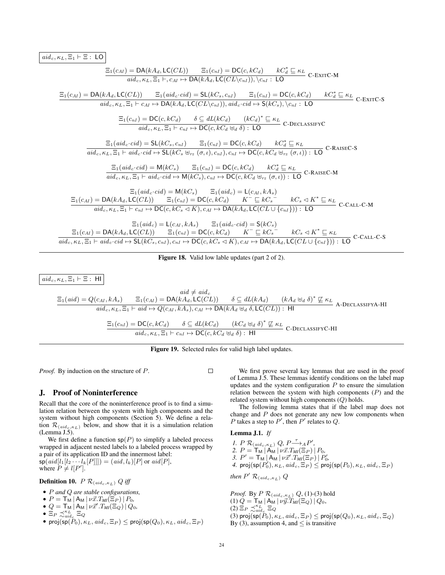$aid_c, \kappa_L, \Xi_1 \vdash \Xi$ : LO

$$
\frac{\Xi_1(c_{AI}) = DA(kA_d, LC(CL)) \quad \Xi_1(c_{nI}) = DC(c, kC_d) \quad kC_d^* \subseteq \kappa_L}{aid_c, \kappa_L, \Xi_1 \vdash, c_{AI} \mapsto DA(kA_d, LC(CL \setminus c_{nI})), \setminus c_{nI} : LO} \quad \frac{\Xi_1(c_{AI}) = DA(kA_d, LC(CL)) \quad \Xi_1(aid_c \cdot cd) = SL(kC_s, c_{nI}) \quad \Xi_1(c_{nI}) = DC(c, kC_d) \quad kC_d^* \subseteq \kappa_L}{aid_c, \kappa_L, \Xi_1 \vdash c_{AI} \mapsto DA(kA_d, LC(CL \setminus c_{nI})), aid_c \cdot cd \mapsto S(kC_s), \setminus c_{nI} : LO} \quad \frac{\Xi_1(c_{nI}) = DC(c, kC_d)}{aid_c, \kappa_L, \Xi_1 \vdash c_{nI} \mapsto DA(kC_d) \quad (kC_d)^* \subseteq \kappa_L}{aid_c, \kappa_L, \Xi_1 \vdash c_{nI} \mapsto DC(c, kC_d \uplus d) : LO} \quad \frac{\Xi_1(aid_c \cdot cd) = SL(kC_s, c_{nI}) \quad \Xi_1(c_{nI}) = DC(c, kC_d) \quad kC_d^* \subseteq \kappa_L}{aid_c, \kappa_L, \Xi_1 \vdash aid_c \cdot cd \mapsto SL(kC_s \uplus \tau_2(\sigma, t), c_{nI}), c_{nI} \mapsto DC(c, kC_d \uplus \tau_2(\sigma, t)) : LO} \quad \text{c-RASE-S} \quad \frac{\Xi_1(aid_c \cdot cd) = M(kC_s) \quad \Xi_1(c_{nI}) = DC(c, kC_d) \quad kC_d^* \subseteq \kappa_L}{aid_c, \kappa_L, \Xi_1 \vdash aid_c \cdot cd \mapsto M(kC_s), c_{nI} \mapsto DC(c, kC_d \uplus \tau_2(\sigma, t)) : LO} \quad \text{c-RASE-M} \quad \frac{\Xi_1(aid_c \cdot cd) = M(kC_s) \quad \Xi_1(ad_c) = L(c_{AI}, kA_s)}{aid_c, \kappa_L, \Xi_1 \vdash c_{nI} \mapsto DC(c, kC_d \vee K) \quad \Xi_1(ad_c) = L(c_{AI}, kA_s)} \quad \frac{\Xi_1(c_{AI}) = DC(c, kC_d) \quad K^- \subseteq kC_s}{} \quad kC_s \triangleleft K^* \subseteq \kappa_L}{aid_c, \kappa
$$

 $\frac{1}{\text{aid}_c, \kappa_L, \Xi_1 \vdash \text{aid}_c \cdot \text{cid} \mapsto \mathsf{SL}(\mathcal{K}C_s, c_{nl}), c_{nl} \mapsto \mathsf{DC}(c, kC_s \triangleleft K), c_{AI} \mapsto \mathsf{DA}(\mathcal{K}A_d, \mathsf{LC}(CL \cup \{c_{nl}\})) : \mathsf{LO} \text{ C-CALL-C-S}$ 

## Figure 18. Valid low lable updates (part 2 of 2).

$$
\begin{aligned}\n\text{aid}_{c, \mathcal{KL}}, \Xi_1 \vdash \Xi : \text{ HI} \\
\Xi_1(\text{aid}) &= Q(c_{AI}, kA_s) \\
\Xi_1(\text{aid}) &= Q(c_{AI}, kA_s) \\
\text{aid}_{c, \mathcal{KL}}, \Xi_1 \vdash \text{aid} \mapsto Q(c_{AI}, kA_s), c_{AI} \mapsto \text{DA}(kA_d \uplus_d \delta, \text{LC}(CL)) : \text{ HI} \\
\Xi_1(c_{nI}) &= \text{DC}(c, kC_d) \\
\sigma \subseteq dL(kC_d) \\
\Xi_1(c_{nI}) &= \text{DC}(c, kC_d) \\
\sigma \subseteq dL(kC_d) \\
\text{add}_{c, \mathcal{KL}, \Xi_1 \vdash c_{nI} \mapsto \text{DC}(c, kC_d \uplus_d \delta) : \text{ HI} \\
\end{aligned}
$$
\n
$$
\begin{aligned}\n\Xi_1(\text{c}_{nI}) &= \text{DC}(c, kC_d) \\
\sigma \subseteq dL(kC_d) \\
\text{add}_{c, \mathcal{KL}, \Xi_1 \vdash c_{nI} \mapsto \text{DC}(c, kC_d \uplus_d \delta) : \text{ HI} \\
\end{aligned}
$$
\n
$$
\begin{aligned}\n\Xi_1(\text{c}_{nI}) &= \text{DC}(c, kC_d) \\
\text{add}_{c, \mathcal{KL}, \Xi_1 \vdash c_{nI} \mapsto \text{DC}(c, kC_d \uplus_d \delta) : \text{ HI} \\
\end{aligned}
$$

Figure 19. Selected rules for valid high label updates.

*Proof.* By induction on the structure of P.

## J. Proof of Noninterference

Recall that the core of the noninterference proof is to find a simulation relation between the system with high components and the system without high components (Section 5). We define a relation  $\mathcal{R}_{(aid_c, \kappa_L)}$  below, and show that it is a simulation relation (Lemma J.5).

We first define a function  $sp(P)$  to simplify a labeled process wrapped in adjacent nested labels to a labeled process wrapped by a pair of its application ID and the innermost label:  $\mathsf{sp}(\mathit{aid}[l_1[l_2\cdots l_k[P]]]) = (\mathit{aid}, l_k)[P]$  or  $\mathit{aid}[P],$ where  $P \neq l[P']$ .

**Definition 10.**  $P \mathcal{R}_{(aid_c, \kappa_L)} Q$  *iff* 

- P *and* Q *are stable configurations,*
- $P = T_M | A_M | \nu \vec{x} . T_M(\Xi_P) | P_0$ ,
- $\bullet$   $Q = \mathsf{T}_\mathsf{M} | A_\mathsf{M} | \nu \vec{x}' \cdot T_{\mathsf{M} \vec{l}}(\Xi_Q) | Q_0,$
- $\bullet$   $\Xi_P \precsim_{aid_c}^{\kappa_L} \Xi_Q$
- proj $(\mathsf{sp}(\tilde{P}_0), \kappa_L, \mathit{aid}_c, \Xi_P) \leq \mathsf{proj}(\mathsf{sp}(Q_0), \kappa_L, \mathit{aid}_c, \Xi_P)$

We first prove several key lemmas that are used in the proof of Lemma J.5. These lemmas identify conditions on the label map updates and the system configuration  $P$  to ensure the simulation relation between the system with high components  $(P)$  and the related system without high components (Q) holds.

The following lemma states that if the label map does not change and  $P$  does not generate any new low components when P takes a step to  $P'$ , then  $P'$  relates to  $Q$ .

## Lemma J.1. *If*

\n- 1. 
$$
P \mathcal{R}_{(aid_c, \kappa_L)} Q, P \xrightarrow{\tau} {}_{A}P',
$$
\n- 2.  $P = \mathsf{T}_{\mathsf{M}} | \mathsf{A}_{\mathsf{M}} | \nu \vec{x}. T_{\mathsf{M}}(\Xi_P) | P_0,$
\n- 3.  $P' = \mathsf{T}_{\mathsf{M}} | \mathsf{A}_{\mathsf{M}} | \nu \vec{x}'. T_{\mathsf{M}}(\Xi_P) | P'_0,$
\n- 4.  $\text{proj}(\text{sp}(P'_0), \kappa_L, \text{aid}_c, \Xi_P) \leq \text{proj}(\text{sp}(P_0), \kappa_L, \text{aid}_c, \Xi_P)$
\n

*then*  $P'$   $\mathcal{R}_{(aid_c, \kappa_L)} Q$ 

*Proof.* By  $P \mathcal{R}_{(aid_c, \kappa_L)} Q$ , (1)-(3) hold (1)  $Q = \mathsf{T}_{\mathsf{M}} | \mathsf{A}_{\mathsf{M}} | \nu \vec{y} \cdot T_{\mathsf{M} \mathsf{I}}(\Xi_Q) | Q_0,$  $(2)$   $\Xi_P \precsim_{aid_c}^{\kappa_L} \Xi_Q$ (3) proj $(\mathsf{sp}(\widetilde{P}_0), \kappa_L, \mathit{aid}_c, \Xi_P) \leq \mathsf{proj}(\mathsf{sp}(Q_0), \kappa_L, \mathit{aid}_c, \Xi_Q)$ By (3), assumption 4, and  $\leq$  is transitive

 $\Box$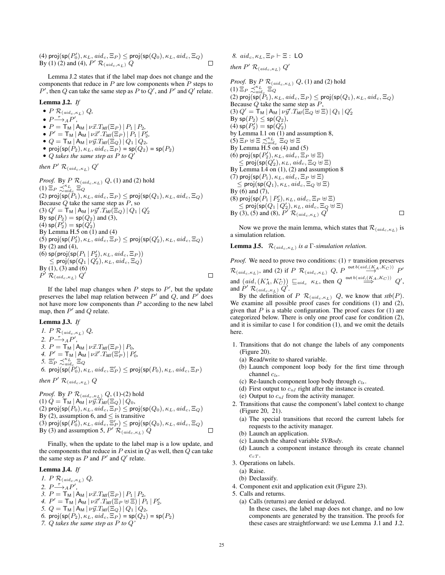(4) proj $(\mathsf{sp}(P_0'), \kappa_L, \mathit{aid}_c, \Xi_P) \leq \mathsf{proj}(\mathsf{sp}(Q_0), \kappa_L, \mathit{aid}_c, \Xi_Q)$ By (1) (2) and (4),  $P'$   $\mathcal{R}_{(aid_c, \kappa_L)}$  Q  $\Box$ 

Lemma J.2 states that if the label map does not change and the components that reduce in  $P$  are low components when  $P$  steps to  $P'$ , then  $Q$  can take the same step as  $P$  to  $Q'$ , and  $P'$  and  $Q'$  relate.

#### Lemma J.2. *If*

- $P$   $\mathcal{R}_{(aid_c, \kappa_L)}$   $Q$ ,
- $P \rightarrow AP'$ ,
- $P = T_M | A_M | \nu \vec{x}. T_M(\Xi_P) | P_1 | P_2$ ,
- $P' = \mathsf{T}_\mathsf{M} | \mathsf{A}_\mathsf{M} | \nu \vec{x}' \cdot T_{\mathsf{M} \mathsf{I}}(\Xi_P) | P_1 | P'_2$
- $\bullet$   $Q = \mathsf{T}_{\mathsf{M}} | \mathsf{A}_{\mathsf{M}} | \nu \vec{y} \cdot T_{\mathsf{M}I}(\Xi_Q) | Q_1 | Q_2$
- proj $(\mathsf{sp}(P_2), \kappa_L, \mathit{aid}_c, \Xi_P) = \mathsf{sp}(Q_2) = \mathsf{sp}(P_2)$
- $\bullet$  Q takes the same step as  $\overrightarrow{P}$  to  $\overrightarrow{Q}'$

*then*  $P'$   $\mathcal{R}_{(aid_c, \kappa_L)} Q'$ 

*Proof.* By  $P \mathcal{R}_{(aid_c, \kappa_L)} Q$ , (1) and (2) hold (1)  $\Xi_P \precsim_{aid_c}^{\kappa_L} \Xi_Q$ (2) proj $(\textsf{sp}(P_1), \kappa_L, \textit{aid}_c, \Xi_P) \le \textsf{proj}(\textsf{sp}(Q_1), \kappa_L, \textit{aid}_c, \Xi_Q)$ Because  $Q$  take the same step as  $P$ , so  $(3)$   $Q' = \mathsf{T}_\mathsf{M}$   $\mid$   $\nu \vec{y}'$   $T_{\mathsf{M} \mathsf{I}}(\mathsf{\bar{E}}_Q) \mid Q_1 \mid Q_2'$ By  $sp(P_2) = sp(Q_2)$  and (3), (4)  $\mathsf{sp}(P'_2) = \mathsf{sp}(Q'_2)$ By Lemma H.5 on  $(1)$  and  $(4)$ (5) proj $(\mathsf{sp}(P'_2), \kappa_L, \mathit{aid}_c, \Xi_P) \leq \mathsf{proj}(\mathsf{sp}(Q'_2), \kappa_L, \mathit{aid}_c, \Xi_Q)$ By (2) and (4), (6)  $\mathsf{sp}(\mathsf{proj}(\mathsf{sp}(P_1\,|\,P_2'),\kappa_L,\mathit{aid}_c,\Xi_P))$  $\leq$  proj $(\textsf{sp}(Q_1 \,|\, Q_2'), \kappa_L, \mathit{aid}_c, \Xi_Q)$ By (1), (3) and (6)  $P'$   $\mathcal{R}_{(\mathit{aid}_c,\kappa_L)}$   $Q'$  $\Box$ 

If the label map changes when  $P$  steps to  $P'$ , but the update preserves the label map relation between  $P'$  and  $Q$ , and  $P'$  does not have more low components than  $P$  according to the new label map, then  $P'$  and  $Q$  relate.

## Lemma J.3. *If*

*1.*  $P \mathcal{R}_{(aid_c, \kappa_L)} Q$ , 2.  $P \stackrel{\tau}{\longrightarrow} {}_{A}P'$ , *3.*  $P = \mathsf{T}_M | A_M | \nu \vec{x}. T_M(\Xi_P) | P_0$ , *4.*  $P' = \mathsf{T}_\mathsf{M} | \mathsf{A}_\mathsf{M} | \nu \vec{x}' \cdot T_{\mathsf{M} \mathsf{I}} (\Xi_P') | P'_{0},$ *5.*  $\Xi_P' \precsim_{aid_c}^{\kappa_L} \Xi_Q$  $\delta$ . proj $(\mathrm{sp}(\check P_0'), \kappa_L, \mathit{aid}_c, \Xi_P') \leq \mathrm{proj}(\mathrm{sp}(P_0), \kappa_L, \mathit{aid}_c, \Xi_P)$ 

then 
$$
P' \mathcal{R}_{(aid_c, \kappa_L)} Q
$$

*Proof.* By  $P \mathcal{R}_{(aid_c, \kappa_L)} Q$ , (1)-(2) hold (1)  $Q = {\sf T}_{\sf M} \, | \, {\sf A}_{\sf M} \, | \, \nu \vec{y}. T_{\sf MI}(\Xi_Q) \, | \, Q_0,$ (2) proj(sp( $P_0$ ),  $\kappa_L$ ,  $aid_c$ ,  $\Xi_P$ )  $\leq$  proj(sp( $Q_0$ ),  $\kappa_L$ ,  $aid_c$ ,  $\Xi_Q$ ) By (2), assumption 6, and  $\leq$  is transitive (3) proj $(\mathsf{sp}(P_0), \kappa_L, \mathit{aid}_c, \overline{\Xi}_P') \le \mathsf{proj}(\mathsf{sp}(Q_0), \kappa_L, \mathit{aid}_c, \Xi_Q)$ By (3) and assumption 5,  $P'$   $\mathcal{R}_{(aid_c, \kappa_L)} Q$  $\Box$ 

Finally, when the update to the label map is a low update, and the components that reduce in  $P$  exist in  $Q$  as well, then  $Q$  can take the same step as  $P$  and  $P'$  and  $Q'$  relate.

#### Lemma J.4. *If*

*1.*  $P \mathcal{R}_{(aid_c, \kappa_L)} Q$ , 2.  $P \stackrel{\tau}{\longrightarrow} {}_{A}P'$ , *3.*  $P = \mathsf{T}_{\mathsf{M}} | A_{\mathsf{M}} | \nu \vec{x} . T_{\mathsf{M}}(\Xi_P) | P_1 | P_2$ , *4.*  $P' = \mathsf{T}_\mathsf{M} | A_\mathsf{M} | \nu \vec{x}' \cdot T_{\mathsf{M}I} (\Xi_P \cup \Xi) | P_1 | P'_2$ , *5.*  $Q = \mathsf{T}_\mathsf{M} | \mathsf{A}_\mathsf{M} | \nu \vec{y} . T_{\mathsf{M} \mathsf{I}}(\Xi_Q) | Q_1 | Q_2$ *6.*  $\textsf{proj}(\textsf{sp}(P_2), \kappa_L, \textit{aid}_c, \Xi_P) = \textsf{sp}(Q_2) = \textsf{sp}(P_2)$ *7.* Q *takes the same step as* P *to* Q*'*

*8.*  $aid_c, \kappa_L, \Xi_P \vdash \Xi$ : LO *then*  $P'$   $\mathcal{R}_{(aid_c, \kappa_L)} Q'$ 

*Proof.* By  $P \mathcal{R}_{(aid_c, \kappa_L)} Q$ , (1) and (2) hold (1)  $\Xi_P \precsim_{aid_c}^{\kappa_L} \Xi_Q$ (2) proj $(\textsf{sp}(\tilde{P}_1), \kappa_L, \textit{aid}_c, \Xi_P) \le \textsf{proj}(\textsf{sp}(Q_1), \kappa_L, \textit{aid}_c, \Xi_Q)$ Because  $Q$  take the same step as  $P$ , (3)  $Q' = \mathsf{T}_\mathsf{M} | \mathsf{A}_\mathsf{M} | \nu \vec{y}'. T_{\mathsf{M} \mathsf{I}} (\Xi_Q \uplus \Xi) | Q_1 | Q_2'$ By  ${\sf sp}(P_2)\leq {\sf sp}(Q_2),$ (4)  $\mathsf{sp}(P'_2) = \mathsf{sp}(Q'_2)$ by Lemma I.1 on (1) and assumption 8,  $(5)$   $\Xi_P \boxplus \preceq_{aidc}^{\kappa_L} \Xi_Q \boxplus \Xi$ By Lemma H.5 on (4) and (5) (6) proj $(\mathsf{sp}(P'_2), \kappa_L, \mathit{aid}_c, \Xi_P \uplus \Xi)$  $\leq \mathsf{proj}(\mathsf{sp}(\widetilde{Q}_2'), \kappa_L, \mathit{aid}_c, \Xi_Q \uplus \Xi)$ By Lemma I.4 on (1), (2) and assumption 8 (7) proj $(\textsf{sp}(P_1), \kappa_L, \textit{aid}_c, \Xi_P \boxplus \Xi)$  $\leq$  proj(sp( $Q_1$ ),  $\kappa_L$ ,  $aid_c$ ,  $\Xi_Q \boxplus \Xi$ ) By (6) and (7), (8) proj $(\operatorname{\mathsf{sp}}(P_1 \,|\, P_2'), \kappa_L, \mathit{aid}_c, \Xi_P \uplus \Xi)$  $\leq$  proj $(\mathsf{sp}(\dot{Q}_1 \,|\, \dot{Q}'_2), \kappa_L, \mathit{aid}_c, \Xi_Q \; \forall \, \Xi)$ By (3), (5) and (8),  $P'$   $\mathcal{R}_{(aid_c, \kappa_L)} Q'$  $\Box$ 

Now we prove the main lemma, which states that  $\mathcal{R}_{(aid_c, \kappa_L)}$  is a simulation relation.

**Lemma J.5.**  $\mathcal{R}_{(aid_c, \kappa_L)}$  *is a* Γ-simulation relation.

*Proof.* We need to prove two conditions: (1)  $\tau$  transition preserves  $\mathcal{R}_{(aid_c, \kappa_L)}$ , and (2) if  $P$   $\mathcal{R}_{(aid_c, \kappa_L)}$   $Q$ ,  $P$  <sup>out b(aid,(K</sup>A,Kc))  $P'$ and  $(ai d, (K_A^*, K_C^*))$   $\sqsubseteq_{aid_c} \kappa_L$ , then  $Q \overset{\text{out } b (aid, (K_A, K_C))}{\Longrightarrow} Q'$ , and  $P'$   $\mathcal{R}_{(aid_c, \kappa_L)} Q'$ .

By the definition of P  $\mathcal{R}_{(aid_c, \kappa_L)}$  Q, we know that  $stb(P)$ . We examine all possible proof cases for conditions (1) and (2), given that  $P$  is a stable configuration. The proof cases for  $(1)$  are categorized below. There is only one proof case for condition (2), and it is similar to case 1 for condition (1), and we omit the details here.

- 1. Transitions that do not change the labels of any components (Figure 20).
	- (a) Read/write to shared variable.
	- (b) Launch component loop body for the first time through channel  $c_{ls}$ .
	- (c) Re-launch component loop body through  $c_{ls}$ .
	- (d) First output to  $c_{nI}$  right after the instance is created.
	- (e) Output to  $c_{nI}$  from the activity manager.
- 2. Transitions that cause the component's label context to change (Figure 20, 21).
	- (a) The special transitions that record the current labels for requests to the activity manager.
	- (b) Launch an application.
	- (c) Launch the shared variable *SVBody*.
	- (d) Launch a component instance through its create channel  $c_{cT}$ .
- 3. Operations on labels.
	- (a) Raise.
	- (b) Declassify.
- 4. Component exit and application exit (Figure 23).
- 5. Calls and returns.
	- (a) Calls (returns) are denied or delayed.
		- In these cases, the label map does not change, and no low components are generated by the transition. The proofs for these cases are straightforward: we use Lemma J.1 and J.2.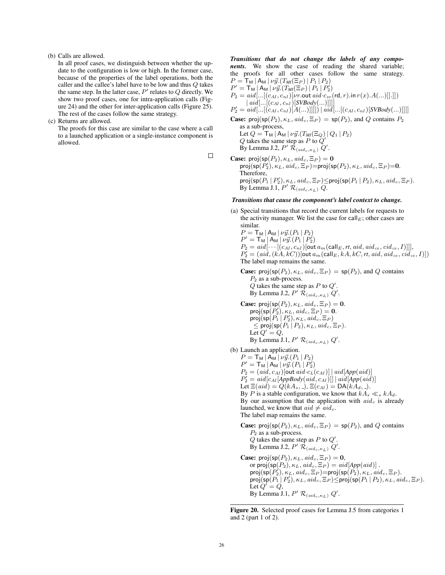## (b) Calls are allowed.

In all proof cases, we distinguish between whether the update to the configuration is low or high. In the former case, because of the properties of the label operations, both the caller and the callee's label have to be low and thus Q takes the same step. In the latter case,  $P'$  relates to  $Q$  directly. We show two proof cases, one for intra-application calls (Figure 24) and the other for inter-application calls (Figure 25). The rest of the cases follow the same strategy.

(c) Returns are allowed.

The proofs for this case are similar to the case where a call to a launched application or a single-instance component is allowed.

 $\Box$ 

*Transitions that do not change the labels of any components.* We show the case of reading the shared variable; the proofs for all other cases follow the same strategy.  $P = T_M | A_M | \nu \vec{y} \cdot (T_M(\Xi_P) | P_1 | P_2)$  $P' = {\sf T}_{\sf M} |{\sf A}_{\sf M} | \nu \vec{y}.(T_{\sf M}(\Xi_P) | P_1 | P_2')$  $P_2 = \text{aid}(...[(c_{AI}, c_{nI}) | \text{in } aid \text{ } c_{sv}(\text{rd}, r) \text{ in } r(x) \text{.} A(...) ]].$  $|aid[...[(c_{AI}, c_{nI})[SVBody(...)]]]$  $P_2' = \text{aid}[\ldots[(c_{AI}, c_{nI})[A(\ldots)]]]] \mid \ldots [[c_{AI}, c_{nI})[SVBody(\ldots)]]]]$ **Case:** proj(sp( $P_2$ ),  $\kappa_L$ ,  $aid_c$ ,  $\Xi_P$ ) = sp( $P_2$ ), and Q contains  $P_2$ as a sub-process, Let  $Q = T_M | A_M | \nu \vec{y} \cdot (T_M(\Xi_Q) | Q_1 | P_2)$  $Q$  takes the same step as  $P$  to  $Q'$ 

By Lemma J.2,  $P'$   $\mathcal{R}_{(aid_c, \kappa_L)} Q'$ . **Case:** proj(sp( $P_2$ ),  $\kappa_L$ ,  $aid_c$ ,  $\Xi_P$ ) = 0 proj $(\mathsf{sp}(P'_2),\kappa_L, \mathit{aid}_c, \Xi_P)$ =proj $(\mathsf{sp}(P_2),\kappa_L, \mathit{aid}_c, \Xi_P)$ =0. Therefore,  $\mathsf{proj}(\mathsf{sp}(P_1\,|\,P'_2), \kappa_L, \mathit{aid}_c, \Xi_P) \leq \mathsf{proj}(\mathsf{sp}(P_1\,|\,P_2), \kappa_L, \mathit{aid}_c, \Xi_P).$ By Lemma J.1,  $P'$   $\mathcal{R}_{(aid_c, \kappa_L)}$   $\widetilde{Q}$ .

## *Transitions that cause the component's label context to change.*

(a) Special transitions that record the current labels for requests to the activity manager. We list the case for call  $E$ ; other cases are similar.

 $P = T_M | A_M | \nu \vec{y} . (P_1 | P_2)$  $P' = T_M | A_M | \nu \vec{y} . (P_1 | P_2')$  $P_2 = aid[··[(c_{AI}, c_{nI})]$  out  $a_m$  (call  $_E$ ,  $rt$ ,  $aid$ ,  $aid_{ce}$ ,  $cid_{ce}$ ,  $I)$ ]],  $P'_{2} = (aid, (k\overset{\cdot}{A}, k\overset{\cdot}{C}))[\textsf{out}\,a_{m}(\textsf{call}_{E}, k\overset{\cdot}{A}, k\overset{\cdot}{C}, rt, aid, aid_{ce}, cid_{ce}, I)])$ The label map remains the same.

**Case:** proj(sp( $P_2$ ),  $\kappa_L$ ,  $aid_c$ ,  $\Xi_P$ ) = sp( $P_2$ ), and Q contains

 $P_2$  as a sub-process.  $Q$  takes the same step as  $P$  to  $Q'$ . By Lemma J.2,  $P'$   $\mathcal{\bar{R}}_{(aid_c, \kappa_L)}$   $Q'$ . **Case:** proj $(sp(P_2), \kappa_L, \text{aid}_c, \Xi_P) = 0.$ proj $(\operatorname{\mathsf{sp}}(P_2'), \kappa_L, \mathit{aid}_c, \Xi_P) = \mathbf{0}.$ proj $(\mathsf{sp}(P_1 \,|\, P_2'), \kappa_L, \mathit{aid}_c, \Xi_P)$  $\leq$  proj(sp( $P_1 | P_2$ ),  $\kappa_L$ , aid<sub>c</sub>,  $\Xi_P$ ). Let  $Q' = Q$ , By Lemma J.1,  $P'$   $\mathcal{R}_{(aid_c, \kappa_L)}$   $Q'$ .

(b) Launch an application.

 $P = T_M | A_M | \nu \vec{y} . (P_1 | P_2)$  $P' = {\sf T}_{\sf M} \, | \, {\sf A}_{\sf M} \, | \, \nu \vec{y}.(P_1 \, | \, P_2')$ 

 $P_2 = (aid, c_{AI})$ [out  $aid \cdot c_L(c_{AI})$ ] |  $aid[App(aid)]$ 

 $P_2' = \dot{a}id[c_{AI}[AppBody(aiid, c_{AI})]] | aid[App(aiid)]$ 

Let  $\Xi(\text{aid}) = Q(kA_s, \Delta)$ ,  $\Xi(c_{AI}) = DA(kA_d, \Delta)$ .

By P is a stable configuration, we know that  $kA_s \ll_s kA_d$ .

By our assumption that the application with  $aid_c$  is already launched, we know that  $aid \neq aid_c$ .

The label map remains the same.

**Case:** proj(sp( $P_2$ ),  $\kappa_L$ ,  $aid_c$ ,  $\Xi_P$ ) = sp( $P_2$ ), and Q contains  $P_2$  as a sub-process.  $Q$  takes the same step as  $P$  to  $Q'$ . By Lemma J.2,  $P'$   $\mathcal{R}_{(aid_c, \kappa_L)} Q'$ . **Case:** proj $(sp(P_2), \kappa_L, aid_c, \Xi_P) = 0$ , or  $\textsf{proj}(\textsf{sp}(P_2), \kappa_L, \textit{aid}_c, \Xi_P) = \textit{aid}[\textit{App}(\textit{aid})]$ .

 $\mathsf{proj}(\mathsf{sp}(P'_2), \kappa_L, \mathit{aid}_c, \Xi_P) {=} \mathsf{proj}(\mathsf{sp}(P_2), \kappa_L, \mathit{aid}_c, \Xi_P).$  $\mathsf{proj}(\mathsf{sp}(P_1\,|\,P_2'), \kappa_L, \mathit{aid}_c, \Xi_P) \leq \mathsf{proj}(\mathsf{sp}(P_1\,|\,P_2), \kappa_L, \mathit{aid}_c, \Xi_P).$ Let  $Q' = Q$ , By Lemma J.1,  $P'$   $\mathcal{R}_{(aid_c, \kappa_L)}$   $Q'$ .

Figure 20. Selected proof cases for Lemma J.5 from categories 1 and 2 (part 1 of 2).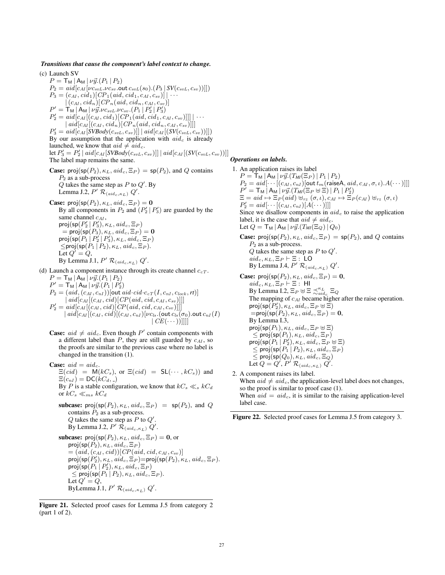## *Transitions that cause the component's label context to change.* (c) Launch SV

 $P = T_{\text{M}} | A_{\text{M}} | \nu \vec{y}. (P_1 | P_2)$  $P_2 = \alpha i d \left[ c_{AI} [\nu c_{svL} \nu c_{sv} \text{.out } c_{svL}(s_0) \cdot (P_3 \, | \, SV(c_{svL}, c_{sv}))] \right]$  $P_3 = (c_{AI}, cid_1)[CP_1(aid, cid_1, c_{AI}, c_{sv})] | \cdots$  $|(c_{AI}, cid_n)|CP_n(aid, cid_n, c_{AI}, c_{sv})]$  $P' = \mathsf{T}_\mathsf{M} \, | \, \mathsf{A}_\mathsf{M} \, | \, \nu \vec{y} . \nu c_{svL} . \nu c_{sv} . (P_1 \, | \, P_2' \, | \, P_3')$  $P'_{2} = \textit{aid}[c_{AI}[(c_{AI}, \textit{cid}_{1})[CP_{1}(\textit{aid}, \textit{cid}_{1}, c_{AI}, c_{sv})]]] | \cdots$  $|aid[c<sub>AI</sub>](c<sub>AI</sub>, cid<sub>n</sub>)[CP<sub>n</sub>(aid, cid<sub>n</sub>, c<sub>AI</sub>, c<sub>sv</sub>)]]|$  $P'_{3} = \text{aid}[c_{AI}[SVBody(c_{svL}, c_{sv})]] \mid \text{aid}[c_{AI}[(SV(c_{svL}, c_{sv}))]]]$ By our assumption that the application with  $aid_c$  is already launched, we know that  $aid \neq aid_c$ . let  $P_3' = P_2' | \text{aid}[c_{AI}[SVBody(c_{svL}, c_{sv})]] | \text{aid}[c_{AI}[(SV(c_{svL}, c_{sv}))]]$ The label map remains the same. **Case:** proj(sp( $P_2$ ),  $\kappa$ <sub>L</sub>, aid<sub>c</sub>,  $\Xi_P$ ) = sp( $P_2$ ), and Q contains  $P_2$  as a sub-process  $Q$  takes the same step as  $P$  to  $Q'$ . By Lemma J.2,  $P'$   $\mathcal{R}_{(aid_c, \kappa_L)}$   $Q'$ . **Case:** proj(sp( $P_2$ ),  $\kappa_L$ ,  $aid_c$ ,  $\Xi_P$ ) = 0 By all components in  $P_2$  and  $(P'_2 | P'_3)$  are guarded by the same channel  $c_{AI}$ , proj $(\operatorname{\mathsf{sp}}(P_2'\,|\,P_3'), \kappa_L, \mathit{aid}_c, \Xi_P)$  $=$  proj(sp( $P_3$ ),  $\kappa_L$ ,  $aid_c$ ,  $\Xi_P$ ) = 0 proj $(\operatorname{\mathsf{sp}}(P_1 \,|\, P_2'|\, P_3'), \kappa_L, \mathit{aid}_c, \Xi_P)$  $\leq$ proj $(\textsf{sp}(P_1 | P_2), \kappa_L, \textit{aid}_c, \Xi_P).$ Let  $Q' = Q$ , By Lemma J.1,  $P'$   $\mathcal{R}_{(aid_c, \kappa_L)}$   $Q'$ . (d) Launch a component instance through its create channel  $c_{cT}$ .  $P = T_{\text{M}} | A_{\text{M}} | \nu \vec{y} . (P_1 | P_2)$  $P' = {\sf T}_{\sf M} \, | \, {\sf A}_{\sf M} \, | \, \nu \vec{y}.(P_1 \, | \, P_2')$  $P_2 = (aid, (c_{AI}, c_{nI}))$ [out aid·cid·c<sub>cT</sub> $(I, c_{nI}, c_{lock}, rt)$ ]  $|$  aid  $|c_{AI}|$   $(c_{AI}, cid)$   $|$   $CP$   $(aid, cid, c<sub>AI</sub>, c<sub>sv</sub>)$ ]]]

$$
P'_2 = \text{aid}[c_{AI}[(c_{AI}, \text{cid})][CP(\text{aid}, \text{cid}, c_{AI}, c_{sv})]]]
$$
  
\n
$$
\begin{array}{|c|c|}\n\text{aid}[c_{AI}[(c_{AI}, \text{cid})][CP(\text{aid}, \text{cid}, c_{AI}, c_{sv})]]] \\
\text{aid}[c_{AI}[(c_{AI}, \text{cid})[(c_{AI}, c_{nI})][\text{v}_{Cls}.(\text{out } c_{ls}(\sigma_0).\text{out } c_{nI}(I)\\
\text{f}_{C}E(\cdots))]]]]\n\end{array}
$$

**Case:**  $aid \neq aid_c$ . Even though P' contain components with a different label than  $P$ , they are still guarded by  $c_{AI}$ , so the proofs are similar to the previous case where no label is changed in the transition (1).

**Case:**  $aid = aid_c$ .  $\Xi(cid) = M(kC_s)$ , or  $\Xi(cid) = SL(\cdots, kC_s)$  and  $\Xi(c_{nI}) = \mathsf{DC}(kC_d, \underline{\ }$ By P is a stable configuration, we know that  $kC_s \ll_s kC_d$ or  $kC_s \ll_{ms} kC_d$ subcase: proj(sp( $P_2$ ),  $\kappa_L$ ,  $aid_c$ ,  $\Xi_P$ ) = sp( $P_2$ ), and Q contains  $P_2$  as a sub-process.  $Q$  takes the same step as  $P$  to  $Q'$ . By Lemma J.2,  $P'$   $\mathcal{R}_{(aid_c, \kappa_L)}$   $Q'$ . subcase:  $proj(sp(P_2), \kappa_L, aid_c, \Xi_P) = 0$ , or proj $(\mathsf{sp}(P_2), \kappa_L, \mathit{aid}_c, \Xi_P)$  $=(aid, (c_{AI}, cid))$ [CP(aid, cid, c<sub>AI</sub>, c<sub>sv</sub>)]  $\mathsf{proj}(\mathsf{sp}(P'_2), \kappa_L, \widetilde{aid}_c, \Xi_P) {=} \mathsf{proj}(\mathsf{sp}(P_2), \kappa_L, \widetilde{aid}_c, \Xi_P).$  $\mathsf{proj}(\mathsf{sp}(P_1 \,|\, P_2'), \kappa_L, \mathit{aid}_c, \Xi_P)$  $\leq$  proj $(\textsf{sp}(P_1 | P_2), \kappa_L, \textit{aid}_c, \Xi_P).$ Let  $Q' = Q$ , ByLemma J.1,  $P'$   $\mathcal{R}_{(aid_c, \kappa_L)}$   $Q'$ .

Figure 21. Selected proof cases for Lemma J.5 from category 2 (part 1 of 2).

## *Operations on labels.*

1. An application raises its label  $P = T_M | A_M | \nu \vec{y} \cdot (T_M(\Xi_P) | P_1 | P_2)$  $P_2 = \text{aid}[\cdots[(c_{AI}, c_{nI})]$  out  $t_m$  (raise A,  $\text{aid}, c_{AI}, \sigma, \iota$ ).  $A(\cdots)$ ]]  $P' = {\sf T}_{\sf M} \, \big\vert \, {\sf A}_{\sf M} \big\vert \, \nu \vec{y} . (T_{\sf M} (\Xi_P \uplus \Xi) \, \vert \, P_1 \, \vert \, P_2')$  $\Xi = aid \mapsto \Xi_P (aid) \uplus_{rz} (\sigma, \iota), c_{AI} \mapsto \Xi_P (c_{AI}) \uplus_{rz} (\sigma, \iota)$  $P'_{2} = aid[\cdots[(c_{AI}, c_{nI})[A(\cdots)]]]$ Since we disallow components in  $aid_c$  to raise the application label, it is the case that  $aid \neq aid_c$ . Let  $Q = \mathsf{T}_\mathsf{M} | A_\mathsf{M} | \nu \vec{y} . (T_\mathsf{M}(\Xi_Q) | Q_0)$ **Case:** proj(sp( $P_2$ ),  $\kappa_L$ ,  $aid_c$ ,  $\Xi_P$ ) = sp( $P_2$ ), and Q contains  $P_2$  as a sub-process.  $Q$  takes the same step as  $P$  to  $Q'$ .  $aid_c, \kappa_L, \Xi_P \vdash \Xi$ : LO By Lemma J.4,  $P'$   $\mathcal{R}_{(aid_c, \kappa_L)}$   $Q'$ . **Case:** proj( $sp(P_2), \kappa_L, \text{aid}_c, \Xi_P) = 0$ ,  $aid_c, \kappa_L, \Xi_P \vdash \Xi$ : HI By Lemma I.2,  $\Xi_P \oplus \Xi \precsim_{aid_c}^{\kappa_L} \Xi_Q$ The mapping of  $c_{AI}$  became higher after the raise operation. proj $(\mathfrak{sp}\hat(P'_2), \kappa_L, \mathit{aid}_c, \Xi_P\uplus \widetilde{\Xi})$  $=$ proj(sp( $P_2$ ),  $\kappa_L$ ,  $aid_c$ ,  $\Xi_P$ ) = 0, By Lemma I.3, proj $(\mathsf{sp}(P_1), \kappa_L, \mathit{aid}_c, \Xi_P \uplus \Xi)$  $\leq$  proj $(\textsf{sp}(P_1), \kappa_L, \textit{aid}_c, \Xi_P)$  $\mathsf{proj}(\mathsf{sp}(P_1 \,|\, P_2'), \kappa_L, \mathit{aid}_c, \Xi_P \uplus \Xi)$  $\leq$  proj $(\textsf{sp}(P_1 | P_2), \kappa_L, \textit{aid}_c, \Xi_P)$  $\leq$  proj $(\mathsf{sp}(Q_0),\kappa_L, \mathit{aid}_c, \Xi_Q)$ Let  $Q = Q', P' \mathcal{R}_{(aid_c, \kappa_L)} Q'$ .

2. A component raises its label. When  $aid \neq aid_c$ , the application-level label does not changes, so the proof is similar to proof case (1). When  $aid = aid<sub>c</sub>$ , it is similar to the raising application-level label case.

Figure 22. Selected proof cases for Lemma J.5 from category 3.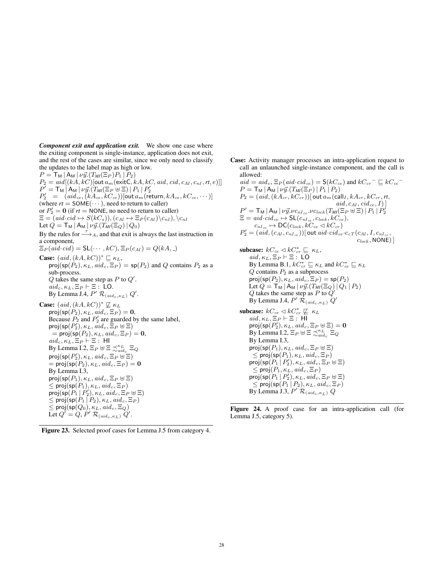*Component exit and application exit.* We show one case where the exiting component is single-instance, application does not exit, and the rest of the cases are similar, since we only need to classify the updates to the label map as high or low.  $P = T_{\text{M}} | A_{\text{M}} | \nu \vec{y} \cdot (T_{\text{M}}(\Xi_P) P_1 | P_2)$  $P_2 = \text{aid}[(kA, kC)$ [out  $a_m$ (exitC,  $kA, kC, \text{aid}, \text{cid}, c_{AI}, c_{nI}, rt, e)$ ]]  $P' = \mathsf{T}_\mathsf{M} \, \big|\, \mathsf{A}_\mathsf{M} \, \big|\, \nu \vec{y}.(T_{\textit{M}'}(\Xi_P \boxplus \Xi) \, \big|\, P_1 \, \big|\, P_2'$  $P_{2}^{\prime} \;\; = \;\; \left(\mathit{aid_{ce}}, \mathit{(kA_{ce}, kC_{ce})}\right) [\mathsf{out}\,a_{m}(\mathsf{return}, kA_{ce}, kC_{ce}, \cdots)]$ (where  $rt = \text{SOME}(\dots)$ , need to return to caller) or  $P'_2 = 0$  (if  $rt = \text{NONE}$ , no need to return to caller)  $\Xi = (aid\cdot cid \mapsto S(kC_s)),(c_{AI} \mapsto \Xi_P(c_{AI})\backslash c_{nI}), \langle c_{nI} \xi, \xi \rangle$ Let  $Q = \mathsf{T}_\mathsf{M} | \mathsf{A}_\mathsf{M} | \nu \vec{y} \cdot (T_{\mathsf{M} \mathsf{I}}(\Xi_Q) | Q_0)$ By the rules for  $\stackrel{\tau}{\longrightarrow}_A$ , and that exit is always the last instruction in a component,  $\Xi_P(\textit{aid}\cdot\textit{cid}) = \mathsf{SL}(\cdots,kC), \Xi_P(c_{AI}) = Q(kA, \_)$ **Case:**  $(ai d, (kA, kC))^* \sqsubseteq \kappa_L$ , proj(sp( $P_2$ ),  $\kappa_L$ ,  $aid_c$ ,  $\Xi_P$ ) = sp( $P_2$ ) and Q contains  $P_2$  as a sub-process.  $Q$  takes the same step as  $P$  to  $Q'$ .  $aid_c, \kappa_L, \Xi_P \vdash \Xi$ : LO. By Lemma J.4,  $P'$   $\mathcal{R}_{(aid_c, \kappa_L)}$   $Q'$ . **Case:**  $(ai d, (kA, kC))^* \not\sqsubseteq \kappa_L$ proj $(sp(P_2), \kappa_L, \text{aid}_c, \Xi_P) = 0$ , Because  $P_2$  and  $P'_2$  are guarded by the same label,  $\mathsf{proj}(\mathsf{sp}(P_2'), \kappa_L, \vec{\mathit{aid}}_c, \vec{\Xi}_P \uplus \Xi)$  $= \text{proj}(\text{sp}(P_2), \kappa_L, \text{aid}_c, \Xi_P) = \mathbf{0},$  $aid_c, \kappa_L, \Xi_P \vdash \Xi$ : HI By Lemma I.2,  $\Xi_P \oplus \Xi \precsim_{aid_c}^{\kappa_L} \Xi_Q$  $\mathsf{proj}(\mathsf{sp}(P_2'), \kappa_L, \mathit{aid}_c, \Xi_P \uplus \Xi)$  $=$  proj(sp( $P_2$ ),  $\kappa_L$ ,  $aid_c$ ,  $\Xi_P$ )  $=$  0 By Lemma I.3, proj $(\mathsf{sp}(P_1), \kappa_L, \mathit{aid}_c, \Xi_P \boxplus \Xi)$  $\leq$  proj $(\textsf{sp}(P_1), \kappa_L, \textit{aid}_c, \Xi_P)$  $proj(sp(P_1 | P_2'), \kappa_L, aid_c, \Xi_P \boxplus \Xi)$  $\leq$  proj $(\textsf{sp}(P_1 | P_2), \kappa_L, \textit{aid}_c, \Xi_P)$  $\leq$  proj $(\mathsf{sp}(Q_0),\kappa_L, \mathit{aid}_c, \Xi_Q)$ Let  $Q' = Q$ ,  $P' \mathcal{R}_{(aid_c, \kappa_L)} Q'$ .

Figure 23. Selected proof cases for Lemma J.5 from category 4.

Case: Activity manager processes an intra-application request to call an unlaunched single-instance component, and the call is allowed:

 $aid = aid_c$ ,  $\Xi_P(id \cdot cid_{ce}) = \mathsf{S}(kC_{ce})$  and  $kC_{cr}$ <sup>-</sup>  $\sqsubseteq kC_{ce}$ <sup>-</sup>  $P = T_M | A_M | \nu \vec{y} \cdot (T_M(\Xi_P) | P_1 | P_2)$  $P_2 = (aid, (kA_{cr}, kC_{cr}))$ [ out  $a_m$ (call<sub>I</sub>,  $kA_{cr}, kC_{cr}, rt$ ,  $aid, c_{AI}, cid_{ce}, I)$  $P^{\prime} = {\sf T}_{\sf M} \, | \, {\sf A}_{\sf M} \, | \, \nu \vec{y}. \nu c_{nI_{ce}}. \nu c_{lock} (T_{\sf M} (\Xi_P \uplus \Xi) \, | \, P_1 \, | \, P_2^{\prime}$  $\Xi = \mathit{aid}\ \mathit{cid}\_\mathit{ce} \mapsto \mathsf{SL}(c_{\mathit{nl}\,\mathit{ce}}, c_{\mathit{lock}}, kC_{\mathit{ce}}),$  $c_{nI_{ce}} \mapsto \mathsf{DC}(c_{lock}, kC_{ce} \triangleleft kC_{cr})$  $P_2' = (a i d, (c_{AI}, c_{nI_{ce}}))$ [out  $a i d \cdot c i d_{ce} \cdot c_{cT}(c_{AI}, I, c_{nI_{ce}}, I)$  $c_{lock}$ , NONE)] subcase:  $kC_{ce} \triangleleft kC_{cr}^* \sqsubseteq \kappa_L$ , aid,  $\kappa_L, \Xi_P \vdash \Xi$ : LO By Lemma B.1,  $kC_{cr}^* \sqsubseteq \kappa_L$  and  $kC_{ce}^* \sqsubseteq \kappa_L$  $Q$  contains  $P_2$  as a subprocess proj $(\mathsf{sp}(P_2), \kappa_L, \mathit{aid}_c, \Xi_P) = \mathsf{sp}(P_2)$ Let  $Q = T_M | A_M | \nu \vec{y} \cdot (T_M(\Xi_Q) | Q_1 | P_2)$  $Q$  takes the same step as  $P$  to  $\tilde{Q}'$ By Lemma J.4,  $P'$   $\mathcal{\bar{R}}_{(aid_c, \kappa_L)}$   $Q'$ subcase:  $kC_{ce} \triangleleft kC_{cr}^* \not\sqsubseteq \kappa_L$  $aid, \kappa_L, \Xi_P \vdash \Xi$ :  $\overline{HI}$  $\mathsf{proj}(\mathsf{sp}(P_2'), \kappa_L, \mathit{aid}_c, \Xi_P \uplus \Xi) = \mathbf{0}$ By Lemma I.2,  $\Xi_P \oplus \Xi \precsim_{aid_c}^{\kappa_L} \Xi_Q$ By Lemma I.3, proj $(\mathsf{sp}(P_1), \kappa_L, \mathit{aid}_c, \Xi_P \boxplus \Xi)$  $\leq$  proj $(\textsf{sp}(P_1), \kappa_L, \textit{aid}_c, \Xi_P)$  $proj(sp(P_1 | P'_2), \kappa_L, aid_c, \Xi_P \uplus \Xi)$  $\leq$  proj $(P_1, \kappa_L, \text{aid}_c, \Xi_P)$  $proj(sp(P_1 | P'_2), \kappa_L, aid_c, \Xi_P \uplus \Xi)$  $\leq$  proj $(\textsf{sp}(P_1 | P_2), \kappa_L, \textit{aid}_c, \Xi_P)$ By Lemma J.3,  $P'$   $\mathcal{R}_{(aid_c, \kappa_L)} Q$ 

Figure 24. A proof case for an intra-application call (for Lemma J.5, category 5).